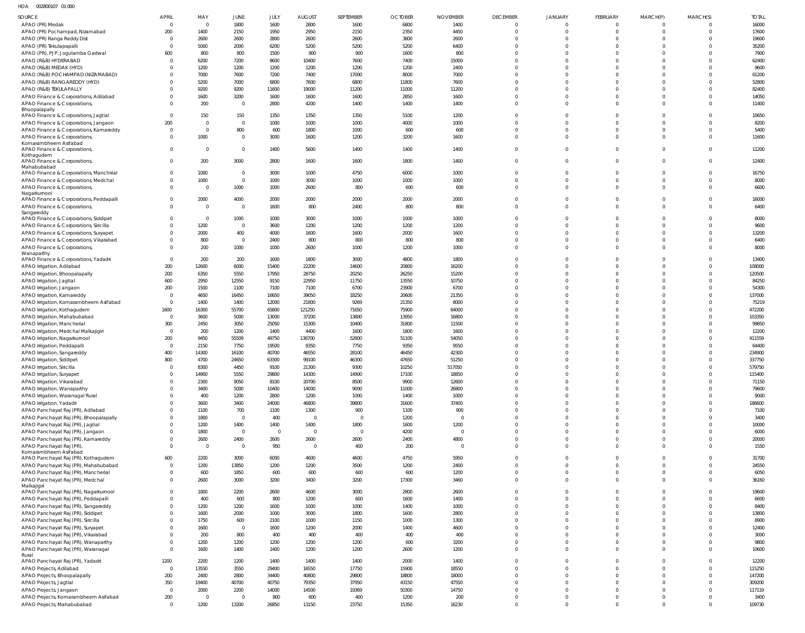HOA 002800107 01 000

| SOURCE                                                                          | APRIL               | MAY                    | JUNE                   | JULY                | <b>AUGUST</b>          | SEPTEMBER              | <b>OCTOBER</b> | <b>NOVEMBER</b>        | <b>DECEMBER</b>      | JANUARY                  | <b>FEBRUARY</b>      | MARCH(P)                         | MARCH(S)             | <b>TOTAL</b>     |
|---------------------------------------------------------------------------------|---------------------|------------------------|------------------------|---------------------|------------------------|------------------------|----------------|------------------------|----------------------|--------------------------|----------------------|----------------------------------|----------------------|------------------|
| APAO (PR) Medak                                                                 | $\Omega$            | $\overline{0}$         | 1800                   | 1600                | 2800                   | 1600                   | 6800           | 1400                   | $\Omega$             | $\Omega$                 | $\Omega$             | $\circ$                          |                      | 16000            |
| APAO (PR) Pochampad, Nizamabad                                                  | 200                 | 1400                   | 2150                   | 1950                | 2950                   | 2150                   | 2350           | 4450                   | $\Omega$             | $\Omega$                 | $\Omega$             | $\overline{0}$                   | $\Omega$             | 17600            |
| APAO (PR) Ranga Reddy Dist                                                      | $\Omega$            | 2600                   | 2600                   | 2800                | 2600                   | 2600                   | 3800           | 2600                   | $\Omega$             | $\Omega$                 | $\Omega$             | $\Omega$                         | $\Omega$             | 19600            |
| APAO (PR) Tekulapapalli<br>APAO (PR), PJP, Jogulamba Gadwal                     | $\Omega$<br>600     | 5000<br>800            | 2000<br>800            | 6200<br>1500        | 5200<br>900            | 5200<br>900            | 5200<br>1600   | 6400<br>800            | $\Omega$<br>$\Omega$ | $\Omega$<br>$\Omega$     | $\Omega$<br>$\Omega$ | $\Omega$<br>$\Omega$             |                      | 35200<br>7900    |
| APAO (R&B) HYDERABAD                                                            | $\Omega$            | 6200                   | 7200                   | 8600                | 10400                  | 7600                   | 7400           | 15000                  | $\Omega$             | $\Omega$                 | $\Omega$             | $\Omega$                         |                      | 62400            |
| APAO (R&B) MEDAK (HYD)                                                          |                     | 1200                   | 1200                   | 1200                | 1200                   | 1200                   | 1200           | 2400                   | $\Omega$             | $\Omega$                 | $\Omega$             | $\Omega$                         |                      | 9600             |
| APAO (R&B) POCHAMPAD (NIZAMABAD)                                                |                     | 7000                   | 7600                   | 7200                | 7400                   | 17000                  | 8000           | 7000                   | $\Omega$             | $\Omega$                 | $\Omega$             | $\Omega$                         |                      | 61200            |
| APAO (R&B) RANGAREDDY (HYD)                                                     |                     | 5200                   | 7000                   | 6800                | 7600                   | 6800                   | 11800          | 7600                   | $\Omega$             | $\Omega$                 | $\Omega$             | $\Omega$                         |                      | 52800            |
| APAO (R&B) TEKULAPALLY                                                          |                     | 9200                   | 9200                   | 11600               | 19000                  | 11200                  | 11000          | 11200                  | $\Omega$<br>$\Omega$ | $\Omega$<br>$\Omega$     | $\Omega$<br>$\Omega$ | $\Omega$                         | $\Omega$             | 82400            |
| APAO Finance & Corporations, Adilabad<br>APAO Finance & Corporations,           |                     | 1600<br>200            | 3200<br>$\overline{0}$ | 1600<br>2800        | 1600<br>4200           | 1600<br>1400           | 2850<br>1400   | 1600<br>1400           | $\Omega$             | $\Omega$                 | $\Omega$             | $\overline{0}$<br>$\Omega$       | $\Omega$             | 14050<br>11400   |
| Bhoopalapally                                                                   |                     |                        |                        |                     |                        |                        |                |                        |                      |                          |                      |                                  |                      |                  |
| APAO Finance & Corporations, Jagtial                                            | $\Omega$            | 150                    | 150                    | 1350                | 1350                   | 1350                   | 5100           | 1200                   | $\Omega$             | $\Omega$                 | $\Omega$             | $\overline{0}$                   | $\Omega$             | 10650            |
| APAO Finance & Corporations, Jangaon<br>APAO Finance & Corporations, Kamareddy  | 200<br>$\Omega$     | $\Omega$<br>$\Omega$   | $\overline{0}$<br>800  | 1000<br>600         | 1000<br>1800           | 1000<br>1000           | 4000<br>600    | 1000<br>600            | $\Omega$<br>$\Omega$ | $\Omega$<br>$\Omega$     | $\Omega$<br>$\Omega$ | $\Omega$<br>$\overline{0}$       | $\Omega$<br>$\Omega$ | 8200<br>5400     |
| APAO Finance & Corporations                                                     |                     | 1000                   | $\overline{0}$         | 3000                | 1600                   | 1200                   | 3200           | 1600                   | $\Omega$             | $\Omega$                 | $\Omega$             | $\Omega$                         | $\Omega$             | 11600            |
| Komarambheem Asifabad                                                           |                     |                        |                        |                     |                        |                        |                |                        |                      |                          |                      |                                  |                      |                  |
| APAO Finance & Corporations,<br>Kothagudem                                      |                     | $\Omega$               | $\mathbf 0$            | 1400                | 5600                   | 1400                   | 1400           | 1400                   | $\Omega$             | $\Omega$                 | $\Omega$             | $\Omega$                         | $\Omega$             | 11200            |
| APAO Finance & Corporations,                                                    | $\Omega$            | 200                    | 3000                   | 2800                | 1600                   | 1600                   | 1800           | 1400                   | $\Omega$             | $\Omega$                 | $\Omega$             | $\Omega$                         | $\Omega$             | 12400            |
| Mahabubabad<br>APAO Finance & Corporations, Manchirial                          |                     | 1000                   | $\mathbf 0$            | 3000                | 1000                   | 4750                   | 6000           | 1000                   | $\Omega$             | $\Omega$                 | $\Omega$             | $\overline{0}$                   | $\Omega$             | 16750            |
| APAO Finance & Corporations, Medchal                                            |                     | 1000                   | $\mathbf 0$            | 1000                | 3000                   | 1000                   | 1000           | 1000                   | $\Omega$             | $\Omega$                 | $\Omega$             | $\overline{0}$                   | $\Omega$             | 8000             |
| APAO Finance & Corporations,                                                    |                     | $\overline{0}$         | 1000                   | 1000                | 2600                   | 800                    | 600            | 600                    | $\Omega$             | $\Omega$                 | $\Omega$             | $\Omega$                         | $\Omega$             | 6600             |
| Nagarkurnool                                                                    |                     |                        |                        |                     |                        |                        |                |                        | $\Omega$             | $\Omega$                 | $\Omega$             | $\Omega$                         | $\Omega$             |                  |
| APAO Finance & Corporations, Peddapalli<br>APAO Finance & Corporations,         |                     | 2000<br>$\overline{0}$ | 4000<br>$\overline{0}$ | 2000<br>1600        | 2000<br>800            | 2000<br>2400           | 2000<br>800    | 2000<br>800            | $\Omega$             | $\Omega$                 | $\Omega$             | $\Omega$                         | $\Omega$             | 16000<br>6400    |
| Sangareddy                                                                      |                     |                        |                        |                     |                        |                        |                |                        |                      |                          |                      |                                  |                      |                  |
| APAO Finance & Corporations, Siddipet                                           |                     | $\Omega$               | 1000                   | 1000                | 3000                   | 1000                   | 1000           | 1000                   | $\Omega$             | $\Omega$                 | $\Omega$             | $\Omega$                         | $\Omega$             | 8000             |
| APAO Finance & Corporations, Siricilla                                          |                     | 1200<br>2000           | $\overline{0}$<br>400  | 3600                | 1200                   | 1200<br>1600           | 1200<br>2000   | 1200<br>1600           | $\Omega$<br>$\Omega$ | $\Omega$<br>$\Omega$     | $\Omega$<br>$\Omega$ | $\Omega$<br>$\Omega$             | $\Omega$             | 9600             |
| APAO Finance & Corporations, Suryapet<br>APAO Finance & Corporations, Vikarabad |                     | 800                    | $\overline{0}$         | 4000<br>2400        | 1600<br>800            | 800                    | 800            | 800                    | $\Omega$             | $\Omega$                 | $\Omega$             | $\overline{0}$                   | $\Omega$             | 13200<br>6400    |
| APAO Finance & Corporations,                                                    |                     | 200                    | 1000                   | 1000                | 2600                   | 1000                   | 1200           | 1000                   | $\Omega$             | $\Omega$                 | $\Omega$             | $\Omega$                         | $\Omega$             | 8000             |
| Wanaparthy                                                                      |                     |                        |                        |                     |                        |                        |                |                        |                      |                          |                      |                                  |                      |                  |
| APAO Finance & Corporations, Yadadri<br>APAO Irrigation, Adilabad               | $\Omega$<br>200     | 200<br>12600           | 200<br>6000            | 1600<br>15400       | 1800<br>22200          | 3000<br>14600          | 4800<br>20800  | 1800<br>16200          | $\Omega$<br>$\Omega$ | $\Omega$<br>$\Omega$     | $\Omega$<br>$\Omega$ | $\Omega$<br>$\Omega$             | $\Omega$             | 13400<br>108000  |
| APAO Irrigation, Bhoopalapally                                                  | 200                 | 6350                   | 5550                   | 17950               | 28750                  | 20250                  | 26250          | 15200                  | $\Omega$             | $\Omega$                 | $\Omega$             | $\Omega$                         | $\Omega$             | 120500           |
| APAO Irrigation, Jagtial                                                        | 600                 | 2950                   | 12550                  | 9150                | 22950                  | 11750                  | 13550          | 10750                  | $\Omega$             | $\Omega$                 | $\Omega$             | $\Omega$                         |                      | 84250            |
| APAO Irrigation, Jangaon                                                        | 200                 | 1500                   | 1100                   | 7100                | 7100                   | 6700                   | 23900          | 6700                   | $\Omega$             | $\Omega$                 | $\Omega$             | $\Omega$                         | $\Omega$             | 54300            |
| APAO Irrigation, Kamareddy                                                      | $\Omega$            | 4650                   | 16450                  | 16650               | 39050                  | 18250                  | 20600          | 21350                  | $\Omega$             | $\Omega$                 | $\Omega$             | $\Omega$                         |                      | 137000           |
| APAO Irrigation, Komarambheem Asifabad                                          | $\mathbf 0$         | 1400                   | 1400                   | 12000               | 21800                  | 9269                   | 21350          | 8000                   | $\Omega$<br>$\Omega$ | $\Omega$<br>$\Omega$     | $\Omega$<br>$\Omega$ | $\Omega$<br>$\Omega$             |                      | 75219            |
| APAO Irrigation, Kothagudem<br>APAO Irrigation, Mahabubabad                     | 1600<br>$\Omega$    | 16300<br>3600          | 55700<br>5000          | 65800<br>13000      | 121250<br>37200        | 71650<br>13800         | 75900<br>13950 | 64000<br>16800         | $\Omega$             | $\Omega$                 | $\Omega$             | $\Omega$                         |                      | 472200<br>103350 |
| APAO Irrigation, Mancherial                                                     | 300                 | 2450                   | 3050                   | 25050               | 15300                  | 10400                  | 31800          | 11500                  | $\Omega$             | $\Omega$                 | $\Omega$             | $\Omega$                         |                      | 99850            |
| APAO Irrigation, Medchal Malkajigiri                                            | $\mathbf 0$         | 200                    | 1200                   | 1400                | 4400                   | 1600                   | 1800           | 1600                   | $\Omega$             | $\Omega$                 | $\Omega$             | $\Omega$                         |                      | 12200            |
| APAO Irrigation, Nagarkurnool                                                   | 200                 | 9450                   | 55509                  | 49750               | 138700                 | 52800                  | 51100          | 54050                  | $\Omega$             | $\Omega$                 | $\Omega$             | $\Omega$                         |                      | 411559           |
| APAO Irrigation, Peddapalli<br>APAO Irrigation, Sangareddy                      | $\Omega$<br>400     | 2150<br>14300          | 7750<br>16100          | 19500<br>40700      | 8350<br>46550          | 7750<br>28100          | 9350<br>46450  | 9550<br>42300          | $\Omega$<br>$\Omega$ | $\Omega$<br>$\Omega$     | $\Omega$<br>$\Omega$ | $\Omega$<br>$\Omega$             |                      | 64400<br>234900  |
| APAO Irrigation, Siddipet                                                       | 800                 | 4700                   | 24650                  | 63300               | 99100                  | 46300                  | 47650          | 51250                  | $\Omega$             | $\Omega$                 | $\Omega$             | $\Omega$                         | $\Omega$             | 337750           |
| APAO Irrigation, Siricilla                                                      |                     | 8300                   | 4450                   | 9100                | 21300                  | 9300                   | 10250          | 517050                 |                      | $\Omega$                 | $\Omega$             | $\cap$                           |                      | 579750           |
| APAO Irrigation, Suryapet                                                       |                     | 14900                  | 5550                   | 29800               | 14300                  | 14900                  | 17100          | 18850                  | $\Omega$             | $\Omega$                 | $\Omega$             | $\Omega$                         | $\Omega$             | 115400           |
| APAO Irrigation, Vikarabad                                                      |                     | 2300                   | 9050                   | 8100                | 20700                  | 8500                   | 9900           | 12600                  | $\Omega$             | $\Omega$                 | $\Omega$             | $\overline{0}$                   | $\Omega$             | 71150            |
| APAO Irrigation, Wanaparthy                                                     |                     | 3400<br>400            | 5000<br>1200           | 10400<br>2800       | 14000<br>1200          | 9000<br>1000           | 11000<br>1400  | 26800<br>1000          | $\Omega$<br>$\Omega$ | $\Omega$<br>$\Omega$     | $\Omega$<br>$\Omega$ | $\Omega$<br>$\Omega$             | $\Omega$<br>$\Omega$ | 79600<br>9000    |
| APAO Irrigation, Waranagal Rural<br>APAO Irrigation, Yadadri                    |                     | 3600                   | 3400                   | 24000               | 46800                  | 39800                  | 31600          | 37400                  | $\Omega$             | $\Omega$                 | $\Omega$             | $\overline{0}$                   | $\Omega$             | 186600           |
| APAO Panchayat Raj (PR), Adilabad                                               |                     | 1100                   | 700                    | 1100                | 1300                   | 900                    | 1100           | 900                    | $\Omega$             | $\Omega$                 | $\Omega$             | $\overline{0}$                   | $\Omega$             | 7100             |
| APAO Panchayat Raj (PR), Bhoopalapally                                          |                     | 1800                   | $\overline{0}$         | 400                 | $\overline{0}$         | $\overline{0}$         | 1200           | $\overline{0}$         | $\Omega$             | $\Omega$                 | $\Omega$             | $\overline{0}$                   | $\Omega$             | 3400             |
| APAO Panchayat Raj (PR), Jagtial                                                |                     | 1200                   | 1400                   | 1400                | 1400                   | 1800                   | 1600           | 1200                   | $\Omega$             | $\Omega$                 | $\Omega$             | $\overline{0}$                   | $\Omega$             | 10000            |
| APAO Panchayat Raj (PR), Jangaon                                                |                     | 1800<br>2600           | $\overline{0}$<br>2400 | $\mathbf 0$<br>2600 | $\overline{0}$<br>2600 | $\overline{0}$<br>2600 | 4200<br>2400   | $\overline{0}$<br>4800 | $\Omega$<br>$\Omega$ | $\Omega$<br>$\Omega$     | $\Omega$<br>$\Omega$ | $\overline{0}$<br>$\overline{0}$ | $\Omega$<br>$\Omega$ | 6000<br>20000    |
| APAO Panchayat Raj (PR), Kamareddy<br>APAO Panchayat Raj (PR)                   | $\Omega$            | $\overline{0}$         | $\overline{0}$         | 950                 | $\overline{0}$         | 400                    | 200            | $\overline{0}$         | $\Omega$             | $\Omega$                 | $\Omega$             | $\Omega$                         | $\Omega$             | 1550             |
| Komarambheem Asifabad                                                           |                     |                        |                        |                     |                        |                        |                |                        |                      |                          |                      |                                  |                      |                  |
| APAO Panchayat Raj (PR), Kothagudem<br>APAO Panchayat Raj (PR), Mahabubabad     | 600<br>$\Omega$     | 2200<br>1200           | 3000<br>13850          | 6000<br>1200        | 4600<br>1200           | 4600<br>3500           | 4750<br>1200   | 5950<br>2400           | $\Omega$<br>$\Omega$ | $\Omega$<br>$\Omega$     | $\Omega$<br>$\Omega$ | $\Omega$<br>$\Omega$             | $\Omega$<br>$\Omega$ | 31700<br>24550   |
| APAO Panchayat Raj (PR), Mancherial                                             | $\Omega$            | 600                    | 1850                   | 600                 | 600                    | 600                    | 600            | 1200                   | $\Omega$             | $\Omega$                 | $\Omega$             | $\overline{0}$                   | $\Omega$             | 6050             |
| APAO Panchayat Raj (PR), Medchal                                                | $\Omega$            | 2600                   | 3000                   | 3200                | 3400                   | 3200                   | 17300          | 3460                   | $\Omega$             | $\Omega$                 | $\Omega$             | $\Omega$                         | $\Omega$             | 36160            |
| Malkajigiri                                                                     | $\Omega$            | 1800                   | 2200                   | 2600                | 4600                   | 3000                   | 2800           | 2600                   | $\Omega$             | $\Omega$                 | $\Omega$             | $\Omega$                         | $\Omega$             |                  |
| APAO Panchayat Raj (PR), Nagarkurnool<br>APAO Panchayat Raj (PR), Peddapalli    |                     | 400                    | 600                    | 800                 | 1200                   | 600                    | 1600           | 1400                   | $\Omega$             | $\Omega$                 | $\Omega$             | $\overline{0}$                   | $\Omega$             | 19600<br>6600    |
| APAO Panchayat Raj (PR), Sangareddy                                             |                     | 1200                   | 1200                   | 1600                | 1000                   | 1000                   | 1400           | 1000                   | $\Omega$             | $\Omega$                 | $\Omega$             | $\overline{0}$                   | $\Omega$             | 8400             |
| APAO Panchayat Raj (PR), Siddipet                                               |                     | 1600                   | 2000                   | 1000                | 3000                   | 1800                   | 1600           | 2800                   | $\Omega$             | $\Omega$                 | $\Omega$             | $\Omega$                         | $\Omega$             | 13800            |
| APAO Panchayat Raj (PR), Siricilla                                              |                     | 1750                   | 600                    | 2100                | 1000                   | 1150                   | 1000           | 1300                   | $\Omega$             | $\Omega$                 | $\Omega$             | $\Omega$                         | $\Omega$             | 8900             |
| APAO Panchayat Raj (PR), Suryapet                                               |                     | 1600                   | $\overline{0}$         | 1600                | 1200                   | 2000                   | 1400           | 4600                   | $\Omega$             | $\Omega$                 | $\Omega$             | $\Omega$                         | $\Omega$             | 12400            |
| APAO Panchayat Raj (PR), Vikarabad<br>APAO Panchayat Raj (PR), Wanaparthy       |                     | 200<br>1200            | 800<br>1200            | 400<br>1200         | 400<br>1200            | 400<br>1200            | 400<br>600     | 400<br>3200            | $\Omega$<br>$\Omega$ | $\Omega$<br>$\Omega$     | $\Omega$<br>$\Omega$ | $\overline{0}$<br>$\overline{0}$ | $\Omega$<br>$\Omega$ | 3000<br>9800     |
| APAO Panchayat Raj (PR), Waranagal                                              | $\Omega$            | 1600                   | 1400                   | 1400                | 1200                   | 1200                   | 2600           | 1200                   | $\Omega$             | $\Omega$                 | $\Omega$             | $\overline{0}$                   | $\Omega$             | 10600            |
| Rural                                                                           |                     |                        |                        |                     |                        |                        |                |                        |                      |                          |                      |                                  |                      |                  |
| APAO Panchayat Raj (PR), Yadadri                                                | 1200<br>$\mathbf 0$ | 2200<br>13550          | 1200<br>3550           | 1400<br>29400       | 1400<br>16550          | 1400<br>17750          | 2000<br>15900  | 1400<br>18550          | $\Omega$<br>$\Omega$ | $\mathbf{0}$<br>$\Omega$ | $\Omega$<br>$\Omega$ | $\overline{0}$<br>$\Omega$       | $\Omega$<br>$\Omega$ | 12200<br>115250  |
| APAO Projects, Adilabad<br>APAO Projects, Bhoopalapally                         | 200                 | 2400                   | 2800                   | 34400               | 40800                  | 29800                  | 18800          | 18000                  | $\Omega$             | $\Omega$                 | $\Omega$             | $\overline{0}$                   | $\Omega$             | 147200           |
| APAO Projects, Jagtial                                                          | 350                 | 19400                  | 40700                  | 40750               | 79350                  | 37950                  | 43150          | 47550                  | $\Omega$             | $\Omega$                 | $\Omega$             | $\Omega$                         | $\Omega$             | 309200           |
| APAO Projects, Jangaon                                                          | $\Omega$            | 2000                   | 2200                   | 14000               | 14500                  | 19369                  | 50300          | 14750                  | $\Omega$             | $\Omega$                 | $\Omega$             | $\Omega$                         | $\Omega$             | 117119           |
| APAO Projects, Komarambheem Asifabad                                            | 200                 | $\Omega$               | $\overline{0}$         | 800                 | 600                    | 400                    | 1200           | 200                    | $\Omega$             | $\mathbf 0$              | $\Omega$             | $\overline{0}$                   | $\Omega$             | 3400             |
| APAO Projects, Mahabubabad                                                      | $\Omega$            | 1200                   | 13200                  | 26850               | 13150                  | 23750                  | 15350          | 16230                  | $\Omega$             | $\Omega$                 | $\Omega$             | $\Omega$                         | $\Omega$             | 109730           |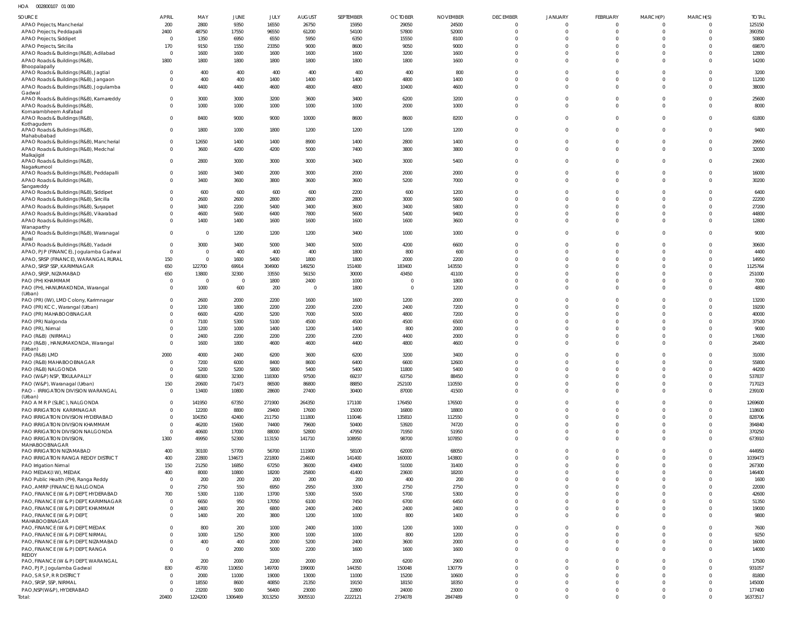| HOA | 002800107 01 000 |  |
|-----|------------------|--|
|     |                  |  |

| SOURCE                                                                            | APRIL                            | MAY                            | <b>JUNE</b>     | JULY             | <b>AUGUST</b>           | SEPTEMBER        | <b>OCTOBER</b>          | <b>NOVEMBER</b>  | <b>DECEMBER</b>             | <b>JANUARY</b>          | <b>FEBRUARY</b>          | MARCH(P)                         | MARCH(S)                 | <b>TOTAL</b>       |
|-----------------------------------------------------------------------------------|----------------------------------|--------------------------------|-----------------|------------------|-------------------------|------------------|-------------------------|------------------|-----------------------------|-------------------------|--------------------------|----------------------------------|--------------------------|--------------------|
| APAO Projects, Mancherial                                                         | 200                              | 2800                           | 9350            | 16550            | 26750                   | 15950            | 29050                   | 24500            | $\mathbf 0$                 | $\Omega$                | $\Omega$                 | $\Omega$                         | $\Omega$                 | 125150             |
| APAO Projects, Peddapalli                                                         | 2400                             | 48750                          | 17550           | 96550            | 61200                   | 54100            | 57800                   | 52000            | $\mathbf 0$                 | $\Omega$                | $\Omega$                 | $\Omega$                         | $\Omega$                 | 390350             |
| APAO Projects, Siddipet                                                           | $\Omega$                         | 1350                           | 6950            | 6550             | 5950                    | 6350             | 15550                   | 8100             | $\Omega$                    |                         |                          | $\Omega$                         |                          | 50800              |
| APAO Projects, Siricilla<br>APAO Roads & Buildings (R&B), Adilabad                | 170<br>$\overline{0}$            | 9150<br>1600                   | 1550<br>1600    | 23350<br>1600    | 9000<br>1600            | 8600<br>1600     | 9050<br>3200            | 9000<br>1600     | $\Omega$<br>$\Omega$        |                         |                          | $\Omega$<br>$\Omega$             |                          | 69870<br>12800     |
| APAO Roads & Buildings (R&B),                                                     | 1800                             | 1800                           | 1800            | 1800             | 1800                    | 1800             | 1800                    | 1600             | $\Omega$                    | $\Omega$                | $\Omega$                 | $\Omega$                         | $\Omega$                 | 14200              |
| Bhoopalapally                                                                     |                                  |                                |                 |                  |                         |                  |                         |                  |                             |                         |                          |                                  |                          |                    |
| APAO Roads & Buildings (R&B), Jagtial                                             | $\Omega$                         | 400                            | 400             | 400              | 400                     | 400              | 400                     | 800              | $\Omega$                    | $\Omega$                |                          | $\Omega$                         | $\Omega$                 | 3200               |
| APAO Roads & Buildings (R&B), Jangaon                                             | $\Omega$<br>$\Omega$             | 400                            | 400             | 1400             | 1400                    | 1400<br>4800     | 4800                    | 1400             | $\Omega$<br>$\mathbf 0$     | $\Omega$<br>$\Omega$    | $\Omega$<br>$\Omega$     | $\Omega$<br>$\Omega$             | $\Omega$                 | 11200              |
| APAO Roads & Buildings (R&B), Jogulamba<br>Gadwal                                 |                                  | 4400                           | 4400            | 4600             | 4800                    |                  | 10400                   | 4600             |                             |                         |                          |                                  | $\Omega$                 | 38000              |
| APAO Roads & Buildings (R&B), Kamareddy                                           | $\overline{0}$                   | 3000                           | 3000            | 3200             | 3600                    | 3400             | 6200                    | 3200             | $\mathbf 0$                 | $\Omega$                | $\Omega$                 | $\Omega$                         | $\Omega$                 | 25600              |
| APAO Roads & Buildings (R&B),                                                     | $\Omega$                         | 1000                           | 1000            | 1000             | 1000                    | 1000             | 2000                    | 1000             | $\mathbf 0$                 | $\Omega$                | $\Omega$                 | $\Omega$                         | $\Omega$                 | 8000               |
| Komarambheem Asifabad<br>APAO Roads & Buildings (R&B),                            | $\Omega$                         | 8400                           | 9000            | 9000             | 10000                   | 8600             | 8600                    | 8200             | $\mathbf 0$                 | $\Omega$                | $\Omega$                 | $\Omega$                         | $\Omega$                 | 61800              |
| Kothagudem                                                                        |                                  |                                |                 |                  |                         |                  |                         |                  |                             |                         |                          |                                  |                          |                    |
| APAO Roads & Buildings (R&B),                                                     | $\overline{0}$                   | 1800                           | 1000            | 1800             | 1200                    | 1200             | 1200                    | 1200             | $\mathbf 0$                 | $\Omega$                | $\Omega$                 | $\Omega$                         | $\Omega$                 | 9400               |
| Mahabubabad<br>APAO Roads & Buildings (R&B), Mancherial                           | $\overline{0}$                   | 12650                          | 1400            | 1400             | 8900                    | 1400             | 2800                    | 1400             | $\mathbf 0$                 | $\Omega$                | $\Omega$                 | $\Omega$                         | $\Omega$                 | 29950              |
| APAO Roads & Buildings (R&B), Medchal                                             | $\Omega$                         | 3600                           | 4200            | 4200             | 5000                    | 7400             | 3800                    | 3800             | $\Omega$                    | $\Omega$                | $\Omega$                 | $\Omega$                         | $\Omega$                 | 32000              |
| Malkajigiri                                                                       |                                  |                                |                 |                  |                         |                  |                         |                  |                             |                         |                          |                                  |                          |                    |
| APAO Roads & Buildings (R&B),                                                     | $\Omega$                         | 2800                           | 3000            | 3000             | 3000                    | 3400             | 3000                    | 5400             | $\mathbf 0$                 | $\Omega$                | $\Omega$                 | $\Omega$                         | $\Omega$                 | 23600              |
| Nagarkurnool<br>APAO Roads & Buildings (R&B), Peddapalli                          | $\Omega$                         | 1600                           | 3400            | 2000             | 3000                    | 2000             | 2000                    | 2000             | $\Omega$                    | $\Omega$                |                          | $\Omega$                         | $\Omega$                 | 16000              |
| APAO Roads & Buildings (R&B),                                                     | $\Omega$                         | 3400                           | 3600            | 3800             | 3600                    | 3600             | 5200                    | 7000             | $\mathbf 0$                 | $\Omega$                | $\Omega$                 | $\Omega$                         | $\Omega$                 | 30200              |
| Sangareddy                                                                        |                                  |                                |                 |                  |                         |                  |                         |                  |                             |                         |                          |                                  |                          |                    |
| APAO Roads & Buildings (R&B), Siddipet<br>APAO Roads & Buildings (R&B), Siricilla | $\Omega$<br>$\overline{0}$       | 600<br>2600                    | 600<br>2600     | 600<br>2800      | 600<br>2800             | 2200<br>2800     | 600<br>3000             | 1200<br>5600     | $\Omega$<br>$\Omega$        | $\Omega$<br>$\Omega$    |                          | $\Omega$<br>$\Omega$             | $\Omega$<br><sup>0</sup> | 6400<br>22200      |
| APAO Roads & Buildings (R&B), Suryapet                                            | $\Omega$                         | 3400                           | 2200            | 5400             | 3400                    | 3600             | 3400                    | 5800             | $\Omega$                    | $\Omega$                |                          | $\Omega$                         | $\Omega$                 | 27200              |
| APAO Roads & Buildings (R&B), Vikarabad                                           | $\Omega$                         | 4600                           | 5600            | 6400             | 7800                    | 5600             | 5400                    | 9400             | $\mathbf 0$                 | $\Omega$                | $\Omega$                 | $\Omega$                         | <sup>0</sup>             | 44800              |
| APAO Roads & Buildings (R&B),                                                     | $\Omega$                         | 1400                           | 1400            | 1600             | 1600                    | 1600             | 1600                    | 3600             | $\mathbf 0$                 | $\Omega$                | $\Omega$                 | $\Omega$                         | $\Omega$                 | 12800              |
| Wanaparthy                                                                        |                                  |                                |                 |                  |                         |                  |                         |                  |                             |                         |                          |                                  |                          |                    |
| APAO Roads & Buildings (R&B), Waranagal                                           | $\overline{0}$                   | $\overline{\mathbf{0}}$        | 1200            | 1200             | 1200                    | 3400             | 1000                    | 1000             | $\mathbf{0}$                | $\Omega$                | $\Omega$                 | $\Omega$                         | $\Omega$                 | 9000               |
| Rural<br>APAO Roads & Buildings (R&B), Yadadri                                    | $\overline{0}$                   | 3000                           | 3400            | 5000             | 3400                    | 5000             | 4200                    | 6600             | $\mathbf{0}$                | $\Omega$                | $\Omega$                 | $\Omega$                         | $\Omega$                 | 30600              |
| APAO, PJP (FINANCE), Jogulamba Gadwal                                             | $\overline{0}$                   | $\overline{\mathbf{0}}$        | 400             | 400              | 400                     | 1800             | 800                     | 600              | $\mathbf 0$                 | $\Omega$                | $\Omega$                 | $\Omega$                         | <sup>0</sup>             | 4400               |
| APAO, SRSP (FINANCE), WARANGAL RURAL                                              | 150                              | $\overline{\mathbf{0}}$        | 1600            | 5400             | 1800                    | 1800             | 2000                    | 2200             | $\Omega$                    | $\Omega$                |                          | $\Omega$                         | <sup>0</sup>             | 14950              |
| APAO, SRSP SSP, KARIMNAGAR                                                        | 650                              | 122700                         | 69914           | 304900           | 149250                  | 151400           | 183400                  | 143550           | $\Omega$                    | $\Omega$                |                          | $\Omega$                         | <sup>0</sup>             | 1125764            |
| APAO, SRSP, NIZAMABAD                                                             | 650                              | 13800                          | 32300           | 33550            | 56150                   | 30000            | 43450                   | 41100            | $\Omega$                    | $\Omega$                |                          | $\Omega$                         | <sup>0</sup>             | 251000             |
| PAO (PH) KHAMMAM                                                                  | $\Omega$                         | $\overline{\mathbf{0}}$        | $\overline{0}$  | 1800             | 2400                    | 1000             | $\Omega$                | 1800             | $\mathbf 0$                 | $\mathbf 0$             | $\Omega$                 | $\Omega$                         | $\Omega$                 | 7000               |
| PAO (PH), HANUMAKONDA, Warangal<br>(Urban)                                        | $\Omega$                         | 1000                           | 600             | 200              | $\overline{\mathbf{0}}$ | 1800             | $\overline{\mathbf{0}}$ | 1200             | $\mathbf 0$                 | $\Omega$                | $\Omega$                 | $\Omega$                         | <sup>0</sup>             | 4800               |
| PAO (PR) (IW), LMD Colony, Karimnagar                                             | $\overline{0}$                   | 2600                           | 2000            | 2200             | 1600                    | 1600             | 1200                    | 2000             | $\mathbf 0$                 | $\Omega$                | $\Omega$                 | $\Omega$                         | $\Omega$                 | 13200              |
| PAO (PR) KCC, Warangal (Urban)                                                    | $\Omega$                         | 1200                           | 1800            | 2200             | 2200                    | 2200             | 2400                    | 7200             | $\mathbf 0$                 | $\Omega$                | $\Omega$                 | $\Omega$                         | $\Omega$                 | 19200              |
| PAO (PR) MAHABOOBNAGAR                                                            | $\Omega$                         | 6600                           | 4200            | 5200             | 7000                    | 5000             | 4800                    | 7200             | $\mathbf 0$                 | $\Omega$                |                          | $\Omega$                         | <sup>0</sup>             | 40000              |
| PAO (PR) Nalgonda                                                                 | $\Omega$                         | 7100                           | 5300            | 5100             | 4500                    | 4500             | 4500                    | 6500             | $\mathbf 0$                 | $\Omega$                |                          | $\Omega$                         | $\Omega$                 | 37500              |
| PAO (PR), Nirmal                                                                  | $\Omega$                         | 1200                           | 1000            | 1400             | 1200                    | 1400             | 800                     | 2000             | $\mathbf 0$                 | $\Omega$                |                          | $\Omega$                         | <sup>0</sup>             | 9000               |
| PAO (R&B) (NIRMAL)<br>PAO (R&B), HANUMAKONDA, Warangal                            | $\Omega$<br>$\Omega$             | 2400<br>1600                   | 2200<br>1800    | 2200<br>4600     | 2200<br>4600            | 2200<br>4400     | 4400<br>4800            | 2000<br>4600     | $\mathbf 0$<br>$\mathbf 0$  | $\Omega$<br>$\Omega$    | $\Omega$<br>$\Omega$     | $\Omega$<br>$\Omega$             | $\Omega$<br>$\Omega$     | 17600<br>26400     |
| (Urban)                                                                           |                                  |                                |                 |                  |                         |                  |                         |                  |                             |                         |                          |                                  |                          |                    |
| PAO (R&B) LMD                                                                     | 2000                             | 4000                           | 2400            | 6200             | 3600                    | 6200             | 3200                    | 3400             | $\Omega$                    |                         |                          | $\Omega$                         |                          | 31000              |
| PAO (R&B) MAHABOOBNAGAR                                                           | $\overline{0}$                   | 7200                           | 6000            | 8400             | 8600                    | 6400             | 6600                    | 12600            | $\mathbf 0$                 | $\mathbf{0}$            | $\Omega$                 | $\Omega$                         | $\Omega$                 | 55800              |
| PAO (R&B) NALGONDA                                                                |                                  | 5200                           | 5200            | 5800             | 5400                    | 5400             | 11800                   | 5400             | $\cap$                      |                         |                          | $\cap$                           |                          | 44200              |
| PAO (W&P) NSP, TEKULAPALLY                                                        | $\overline{0}$                   | 68300                          | 32300           | 118300           | 97500                   | 69237            | 63750                   | 88450            | $\mathbf 0$                 | $\mathbf 0$             | $\Omega$                 | $\Omega$                         | <sup>0</sup>             | 537837             |
| PAO (W&P), Waranagal (Urban)<br>PAO - IRRIGATION DIVISION WARANGAL                | 150<br>$\overline{0}$            | 20600<br>13400                 | 71473<br>10800  | 86500<br>28600   | 86800                   | 88850<br>30400   | 252100<br>87000         | 110550<br>41500  | $\mathbf 0$<br>$\mathbf 0$  | $\mathbf 0$<br>$\Omega$ | $\mathbf{0}$<br>$\Omega$ | $\overline{0}$<br>$\Omega$       | $\Omega$<br>$\Omega$     | 717023<br>239100   |
| (Urban)                                                                           |                                  |                                |                 |                  | 27400                   |                  |                         |                  |                             |                         |                          |                                  |                          |                    |
| PAO A M R P (SLBC), NALGONDA                                                      | $\overline{0}$                   | 141950                         | 67350           | 271900           | 264350                  | 171100           | 176450                  | 176500           | $\mathbf{0}$                | $\Omega$                | $\Omega$                 | $\Omega$                         | $\Omega$                 | 1269600            |
| PAO IRRIGATION KARIMNAGAR                                                         | $\overline{0}$                   | 12200                          | 8800            | 29400            | 17600                   | 15000            | 16800                   | 18800            | $\mathbf 0$                 | $\Omega$                | $\Omega$                 | $\overline{0}$                   | $\Omega$                 | 118600             |
| PAO IRRIGATION DIVISION HYDERABAD                                                 | $\Omega$                         | 104350                         | 42400           | 211750           | 111800                  | 110046           | 135810                  | 112550           | $\mathbf 0$                 | $\Omega$                | $\Omega$                 | $\overline{0}$                   |                          | 828706             |
| PAO IRRIGATION DIVISION KHAMMAM                                                   | $\overline{0}$                   | 46200                          | 15600           | 74400            | 79600                   | 50400            | 53920                   | 74720            | $\mathbf 0$                 | $\Omega$                | $\Omega$                 | $\overline{0}$                   |                          | 394840             |
| PAO IRRIGATION DIVISION NALGONDA<br>PAO IRRIGATION DIVISION,                      | $\overline{0}$<br>1300           | 40600<br>49950                 | 17000<br>52300  | 88000<br>113150  | 52800<br>141710         | 47950<br>108950  | 71950<br>98700          | 51950<br>107850  | $\mathbf 0$<br>$\mathbf 0$  | $\Omega$<br>$\Omega$    | $\Omega$<br>$\Omega$     | $\overline{0}$<br>$\overline{0}$ | $\Omega$                 | 370250<br>673910   |
| MAHABOOBNAGAR                                                                     |                                  |                                |                 |                  |                         |                  |                         |                  |                             |                         |                          |                                  |                          |                    |
| PAO IRRIGATION NIZAMABAD                                                          | 400                              | 30100                          | 57700           | 56700            | 111900                  | 58100            | 62000                   | 68050            | $\mathbf 0$                 | $\Omega$                | $\Omega$                 | $\Omega$                         | <sup>0</sup>             | 444950             |
| PAO IRRIGATION RANGA REDDY DISTRICT                                               | 400                              | 22800                          | 134673          | 221800           | 214600                  | 141400           | 160000                  | 143800           | $\mathbf 0$                 | $\Omega$                | $\Omega$                 | $\overline{0}$                   | $\Omega$                 | 1039473            |
| PAO Irrigation Nirmal                                                             | 150                              | 21250                          | 16850           | 67250            | 36000                   | 43400            | 51000                   | 31400            | $\mathbf 0$                 | $\Omega$                | $\Omega$                 | $\overline{0}$                   | <sup>0</sup>             | 267300             |
| PAO MEDAK(IW), MEDAK                                                              | 400                              | 8000                           | 10800           | 18200            | 25800                   | 41400            | 23600                   | 18200            | $\mathbf{0}$                | $\Omega$                | $\Omega$                 | $\Omega$                         |                          | 146400             |
| PAO Public Health (PH), Ranga Reddy<br>PAO, AMRP (FINANCE) NALGONDA               | $\overline{0}$<br>$\overline{0}$ | 200<br>2750                    | 200<br>550      | 200<br>6950      | 200<br>2950             | 200<br>3300      | 400<br>2750             | 200<br>2750      | $\mathbf 0$<br>$\mathbf 0$  | $\Omega$<br>$\Omega$    |                          | $\overline{0}$<br>$\Omega$       |                          | 1600<br>22000      |
| PAO, FINANCE (W & P) DEPT, HYDERABAD                                              | 700                              | 5300                           | 1100            | 13700            | 5300                    | 5500             | 5700                    | 5300             | $\mathbf 0$                 | $\Omega$                |                          | $\Omega$                         |                          | 42600              |
| PAO, FINANCE (W & P) DEPT, KARIMNAGAR                                             | $\overline{0}$                   | 6650                           | 950             | 17050            | 6100                    | 7450             | 6700                    | 6450             | $\mathbf 0$                 | $\Omega$                |                          | $\overline{0}$                   |                          | 51350              |
| PAO, FINANCE (W & P) DEPT, KHAMMAM                                                | $\overline{0}$                   | 2400                           | 200             | 6800             | 2400                    | 2400             | 2400                    | 2400             | $\mathbf 0$                 | $\Omega$                | $\Omega$                 | $\overline{0}$                   | <sup>0</sup>             | 19000              |
| PAO, FINANCE (W & P) DEPT,                                                        | $\Omega$                         | 1400                           | 200             | 3800             | 1200                    | 1000             | 800                     | 1400             | $\mathbf 0$                 | $\Omega$                | $\Omega$                 | $\Omega$                         | <sup>0</sup>             | 9800               |
| MAHABOOBNAGAR                                                                     |                                  |                                |                 |                  |                         |                  |                         |                  |                             |                         |                          |                                  |                          |                    |
| PAO, FINANCE (W & P) DEPT, MEDAK                                                  | $\Omega$                         | 800                            | 200             | 1000             | 2400                    | 1000             | 1200                    | 1000             | $\mathbf{0}$                | $\Omega$                | $\Omega$                 | $\Omega$                         | <sup>0</sup>             | 7600               |
| PAO, FINANCE (W & P) DEPT, NIRMAL                                                 | $\Omega$<br>$\Omega$             | 1000                           | 1250            | 3000             | 1000                    | 1000             | 800                     | 1200             | $\mathbf 0$                 | $\mathbf 0$             | $\Omega$                 | $\overline{0}$                   | $\Omega$                 | 9250               |
| PAO, FINANCE (W & P) DEPT, NIZAMABAD<br>PAO, FINANCE (W & P) DEPT, RANGA          | $\Omega$                         | 400<br>$\overline{\mathbf{0}}$ | 400<br>2000     | 2000<br>5000     | 5200<br>2200            | 2400<br>1600     | 3600<br>1600            | 2000<br>1600     | $\mathbf 0$<br>$\mathbf 0$  | $\mathbf 0$<br>$\Omega$ | $\Omega$<br>$\Omega$     | $\overline{0}$<br>$\Omega$       | <sup>0</sup><br>$\Omega$ | 16000<br>14000     |
| REDDY                                                                             |                                  |                                |                 |                  |                         |                  |                         |                  |                             |                         |                          |                                  |                          |                    |
| PAO, FINANCE (W & P) DEPT, WARANGAL                                               | $\overline{0}$                   | 200                            | 2000            | 2200             | 2000                    | 2000             | 6200                    | 2900             | $\mathbf 0$                 | $\Omega$                | $\Omega$                 | $\Omega$                         | $\Omega$                 | 17500              |
| PAO, PJP, Jogulamba Gadwal                                                        | 830                              | 45700                          | 110650          | 149700           | 199000                  | 144350           | 150048                  | 130779           | $\mathbf 0$                 | $\Omega$                | $\Omega$                 | $\overline{0}$                   | <sup>0</sup>             | 931057             |
| PAO, S R S P, R R DISTRICT                                                        | $\overline{0}$                   | 2000                           | 11000           | 19000            | 13000                   | 11000            | 15200                   | 10600            | $\mathbf 0$                 | $\Omega$                | $\Omega$                 | $\overline{0}$                   |                          | 81800              |
| PAO, SRSP, SSP, NIRMAL                                                            | $\Omega$<br>$\overline{0}$       | 18550                          | 8600            | 40850            | 21350                   | 19150            | 18150                   | 18350            | $\mathbf{0}$                | $\Omega$                | $\Omega$<br>$\Omega$     | $\overline{0}$                   | 0                        | 145000             |
| PAO, NSP(W&P), HYDERABAD<br>Total:                                                | 20400                            | 23200<br>1224200               | 5000<br>1306469 | 56400<br>3013250 | 23000<br>3005510        | 22800<br>2222121 | 24000<br>2734078        | 23000<br>2847489 | $\mathbf{0}$<br>$\mathbf 0$ | $\mathbf 0$<br>$\Omega$ | $\Omega$                 | $\overline{0}$<br>$\overline{0}$ | $\Omega$<br>$\Omega$     | 177400<br>16373517 |
|                                                                                   |                                  |                                |                 |                  |                         |                  |                         |                  |                             |                         |                          |                                  |                          |                    |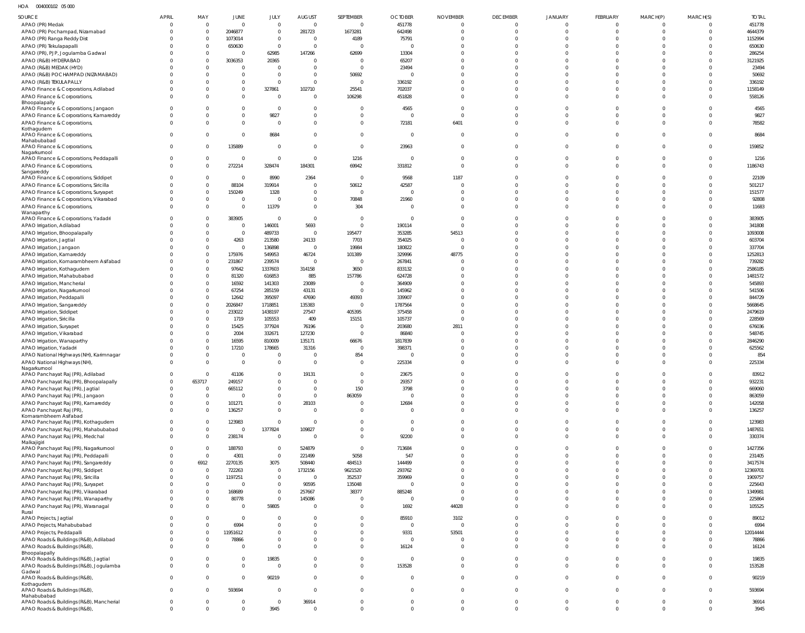HOA 004000102 05 000

| SOURCE                                                                          | <b>APRIL</b>         | MAY                        | JUNE                             | JULY                       | <b>AUGUST</b>              | SEPTEMBER                        | <b>OCTOBER</b>           | <b>NOVEMBER</b>                  | <b>DECEMBER</b>      | <b>JANUARY</b>             | FEBRUARY                   | MARCH(P)             | MARCH(S)                   | <b>TOTAL</b>      |
|---------------------------------------------------------------------------------|----------------------|----------------------------|----------------------------------|----------------------------|----------------------------|----------------------------------|--------------------------|----------------------------------|----------------------|----------------------------|----------------------------|----------------------|----------------------------|-------------------|
| APAO (PR) Medak                                                                 |                      | $\mathbf 0$                | $\overline{0}$                   | $\mathbf 0$                | $\overline{0}$             | $\overline{0}$                   | 451778                   | $\mathbf 0$                      | $\Omega$             | $\mathbf 0$                | $\overline{0}$             | $\Omega$             | $\Omega$                   | 451778            |
| APAO (PR) Pochampad, Nizamabad                                                  |                      | $\overline{0}$<br>$\Omega$ | 2046877                          | $\mathbf 0$                | 281723                     | 1673281                          | 642498                   | $\Omega$<br>$\Omega$             | $\Omega$             | $\mathbf 0$                | $\mathbf{0}$<br>$\Omega$   | $\Omega$             | $\overline{0}$             | 4644379           |
| APAO (PR) Ranga Reddy Dist<br>APAO (PR) Tekulapapalli                           |                      | $\Omega$                   | 1073014<br>650630                | $\mathbf 0$<br>$\mathbf 0$ | $\Omega$<br>$\Omega$       | 4189<br>$\mathsf{C}$             | 75791<br>$\Omega$        | $\Omega$                         | $\Omega$             | $\Omega$<br>$\Omega$       | $\Omega$                   |                      | $\Omega$<br>$\Omega$       | 1152994<br>650630 |
| APAO (PR), PJP, Jogulamba Gadwal                                                |                      | $\Omega$                   | $\overline{0}$                   | 62985                      | 147266                     | 62699                            | 13304                    | $\Omega$                         | $\Omega$             | $\Omega$                   | $\Omega$                   |                      | $\Omega$                   | 286254            |
| APAO (R&B) HYDERABAD                                                            |                      | $\Omega$                   | 3036353                          | 20365                      | $\Omega$                   | C                                | 65207                    | $\Omega$                         |                      | $\Omega$                   | $\Omega$                   |                      | $\Omega$                   | 3121925           |
| APAO (R&B) MEDAK (HYD)                                                          |                      |                            | $\overline{0}$                   | - 0                        | $\Omega$                   | $\mathsf{C}$                     | 23494                    | $\Omega$                         |                      | $\Omega$                   | $\Omega$                   |                      | $\Omega$                   | 23494             |
| APAO (R&B) POCHAMPAD (NIZAMABAD)                                                |                      |                            | $\overline{0}$<br>$\overline{0}$ | $\Omega$<br>$\mathbf 0$    | $\Omega$<br>$\Omega$       | 50692<br>$\overline{0}$          | $\Omega$                 | $\Omega$<br>$\Omega$             |                      | $\Omega$<br>$\Omega$       | $\Omega$<br>$\Omega$       |                      | $\Omega$<br>$\Omega$       | 50692<br>336192   |
| APAO (R&B) TEKULAPALLY<br>APAO Finance & Corporations, Adilabad                 |                      |                            | $\overline{0}$                   | 327861                     | 102710                     | 25541                            | 336192<br>702037         | $\Omega$                         | $\Omega$             | $\Omega$                   | $\mathbf 0$                | $\Omega$             | $\mathbf 0$                | 1158149           |
| APAO Finance & Corporations,                                                    |                      |                            | $\mathbf 0$                      | $\Omega$                   | $\Omega$                   | 106298                           | 451828                   | $\Omega$                         | $\Omega$             | $\Omega$                   | $\Omega$                   |                      | $\Omega$                   | 558126            |
| Bhoopalapally                                                                   |                      |                            |                                  |                            |                            |                                  |                          |                                  |                      |                            |                            |                      |                            |                   |
| APAO Finance & Corporations, Jangaon<br>APAO Finance & Corporations, Kamareddy  |                      |                            | $\overline{0}$<br>$\overline{0}$ | $\Omega$<br>9827           | $\Omega$<br>$\overline{0}$ | C<br>$\overline{0}$              | 4565<br>$\overline{0}$   | $\Omega$<br>$\Omega$             | $\Omega$             | $\Omega$<br>$\mathbf 0$    | $\Omega$<br>$\mathbf 0$    | $\Omega$             | $\Omega$<br>$\Omega$       | 4565<br>9827      |
| APAO Finance & Corporations,                                                    |                      |                            | $\overline{0}$                   | $\Omega$                   | $\Omega$                   | $\overline{0}$                   | 72181                    | 6401                             | $\Omega$             | $\Omega$                   | $\mathbf 0$                | $\Omega$             | $\Omega$                   | 78582             |
| Kothagudem                                                                      |                      |                            |                                  |                            |                            |                                  |                          |                                  |                      |                            |                            |                      |                            |                   |
| APAO Finance & Corporations,<br>Mahabubabad                                     | $\Omega$             |                            | $\overline{0}$                   | 8684                       | $\Omega$                   | $\overline{0}$                   | $\overline{0}$           | $\overline{0}$                   | $\Omega$             | $\mathbf 0$                | $\Omega$                   | $\Omega$             | $\Omega$                   | 8684              |
| APAO Finance & Corporations,                                                    | $\Omega$             | 0                          | 135889                           | $\mathbf 0$                | $\Omega$                   | $\overline{0}$                   | 23963                    | $\overline{0}$                   | $\Omega$             | $\Omega$                   | $\mathbf 0$                | $\Omega$             | $\Omega$                   | 159852            |
| Nagarkurnool<br>APAO Finance & Corporations, Peddapalli                         |                      | $\mathbf{0}$               | $\overline{0}$                   | $\overline{0}$             | $\Omega$                   | 1216                             | $\overline{0}$           | $\overline{0}$                   | $\Omega$             | $\mathbf 0$                | $\mathbf 0$                | $\Omega$             | $\mathbf 0$                | 1216              |
| APAO Finance & Corporations,                                                    | $\Omega$             | $\Omega$                   | 272214                           | 328474                     | 184301                     | 69942                            | 331812                   | $\overline{0}$                   | $\Omega$             | $\Omega$                   | $\mathbf 0$                | $\Omega$             | $\Omega$                   | 1186743           |
| Sangareddy                                                                      |                      |                            |                                  |                            |                            |                                  |                          |                                  |                      |                            |                            |                      |                            |                   |
| APAO Finance & Corporations, Siddipet<br>APAO Finance & Corporations, Siricilla |                      | $\Omega$<br>$\Omega$       | $\overline{0}$<br>88104          | 8990<br>319914             | 2364<br>$\overline{0}$     | $\overline{0}$<br>50612          | 9568<br>42587            | 1187<br>$\overline{0}$           | $\Omega$             | $\Omega$<br>$\Omega$       | $^{\circ}$<br>$\Omega$     | $\Omega$             | $\Omega$<br>$\Omega$       | 22109<br>501217   |
| APAO Finance & Corporations, Suryapet                                           |                      | $\Omega$                   | 150249                           | 1328                       | $\overline{0}$             | $\overline{0}$                   | $\overline{0}$           | $\Omega$                         | $\Omega$             | $\Omega$                   | $\Omega$                   | $\Omega$             | $\Omega$                   | 151577            |
| APAO Finance & Corporations, Vikarabad                                          |                      | $\Omega$                   | $\mathbf 0$                      | $\Omega$                   | $\overline{0}$             | 70848                            | 21960                    | $\Omega$                         | $\Omega$             | $\Omega$                   | $\mathbf 0$                | $\Omega$             | $\mathbf 0$                | 92808             |
| APAO Finance & Corporations,                                                    |                      | $\Omega$                   | $\overline{0}$                   | 11379                      | $\Omega$                   | 304                              | $\Omega$                 | $\Omega$                         | $\Omega$             | $\Omega$                   | $\Omega$                   | $\Omega$             | $\Omega$                   | 11683             |
| Wanaparthy<br>APAO Finance & Corporations, Yadadri                              |                      |                            | 383905                           | $\circ$                    | $\Omega$                   | $\overline{0}$                   | $\overline{0}$           | $\Omega$                         |                      | $\Omega$                   | $\Omega$                   |                      | $\Omega$                   | 383905            |
| APAO Irrigation, Adilabad                                                       |                      |                            | $\overline{0}$                   | 146001                     | 5693                       | $\overline{0}$                   | 190114                   | $\Omega$                         |                      | $\Omega$                   | $\Omega$                   |                      | $\Omega$                   | 341808            |
| APAO Irrigation, Bhoopalapally                                                  |                      | $\Omega$                   | $\overline{0}$                   | 489733                     | $\overline{0}$             | 195477                           | 353285                   | 54513                            | $\Omega$             | $\Omega$                   | $\Omega$                   | $\Omega$             | $\Omega$                   | 1093008           |
| APAO Irrigation, Jagtial                                                        |                      |                            | 4263                             | 213580                     | 24133                      | 7703                             | 354025                   | $\Omega$                         |                      | $\Omega$                   | $\Omega$                   |                      | $\Omega$                   | 603704            |
| APAO Irrigation, Jangaon<br>APAO Irrigation, Kamareddy                          |                      | $\Omega$<br>$\Omega$       | $\overline{0}$<br>175976         | 136898<br>549953           | $\overline{0}$<br>46724    | 19984<br>101389                  | 180822<br>329996         | $\Omega$<br>48775                |                      | $\Omega$<br>$\Omega$       | $\Omega$<br>$\Omega$       |                      | $\Omega$<br>$\Omega$       | 337704<br>1252813 |
| APAO Irrigation, Komarambheem Asifabad                                          |                      | $\Omega$                   | 231867                           | 239574                     | $\overline{0}$             | - 0                              | 267841                   | $\Omega$                         |                      | $\Omega$                   | $\Omega$                   |                      | $\Omega$                   | 739282            |
| APAO Irrigation, Kothagudem                                                     |                      |                            | 97642                            | 1337603                    | 314158                     | 3650                             | 833132                   | $\Omega$                         |                      | $\Omega$                   | $\Omega$                   |                      | $\Omega$                   | 2586185           |
| APAO Irrigation, Mahabubabad                                                    |                      | $\Omega$                   | 81320                            | 616853                     | 885                        | 157786                           | 624728                   | $\Omega$                         |                      | $\Omega$                   | $\Omega$                   |                      | $\Omega$                   | 1481572           |
| APAO Irrigation, Mancherial                                                     |                      | $\Omega$                   | 16592                            | 141303                     | 23089                      | $\overline{0}$                   | 364909                   | $\Omega$                         |                      | $\Omega$                   | $\Omega$                   |                      | $\Omega$                   | 545893            |
| APAO Irrigation, Nagarkurnool<br>APAO Irrigation, Peddapalli                    |                      | $\Omega$<br>$\Omega$       | 67254<br>12642                   | 285159<br>395097           | 43131<br>47690             | C<br>49393                       | 145962<br>339907         | $\Omega$<br>$\Omega$             |                      | $\Omega$<br>$\Omega$       | $\Omega$<br>$\Omega$       |                      | $\Omega$<br>$\Omega$       | 541506<br>844729  |
| APAO Irrigation, Sangareddy                                                     |                      | $\Omega$                   | 2026847                          | 1718851                    | 135383                     | $\mathbf{C}$                     | 1787564                  | $\Omega$                         |                      | $\Omega$                   | $\Omega$                   |                      | $\Omega$                   | 5668645           |
| APAO Irrigation, Siddipet                                                       |                      |                            | 233022                           | 1438197                    | 27547                      | 405395                           | 375458                   | $\Omega$                         |                      | $\Omega$                   | $\Omega$                   |                      | $\Omega$                   | 2479619           |
| APAO Irrigation, Siricilla                                                      |                      | $\Omega$                   | 1719                             | 105553                     | 409                        | 15151                            | 105737                   | $\Omega$                         |                      | $\Omega$                   | $\Omega$                   |                      | $\Omega$                   | 228569            |
| APAO Irrigation, Suryapet                                                       |                      | $\Omega$                   | 15425                            | 377924                     | 76196                      | C                                | 203680                   | 2811                             |                      | $\Omega$                   | $\Omega$                   |                      | $\Omega$                   | 676036            |
| APAO Irrigation, Vikarabad<br>APAO Irrigation, Wanaparthy                       |                      | $\Omega$<br>$\Omega$       | 2004<br>16595                    | 332671<br>810009           | 127230<br>135171           | $\overline{0}$<br>66676          | 86840<br>1817839         | $\Omega$<br>$\Omega$             |                      | $\Omega$<br>$\Omega$       | $\Omega$<br>$\Omega$       |                      | $\Omega$<br>$\Omega$       | 548745<br>2846290 |
| APAO Irrigation, Yadadri                                                        |                      | $\Omega$                   | 17210                            | 178665                     | 31316                      | $\overline{0}$                   | 398371                   | $\Omega$                         |                      | $\Omega$                   | $\Omega$                   |                      | $\Omega$                   | 625562            |
| APAO National Highways (NH), Karimnagar                                         |                      | $\Omega$                   | $\overline{0}$                   | $\Omega$                   | $\Omega$                   | 854                              | $\circ$                  | $\Omega$                         | $\Omega$             | $\mathbf 0$                | $\mathbf 0$                |                      | $\Omega$                   | 854               |
| APAO National Highways (NH),                                                    | $\Omega$             | $\Omega$                   | $\overline{0}$                   | $\mathbf 0$                | $\Omega$                   | $\Omega$                         | 225334                   | $\Omega$                         | $\Omega$             | $\Omega$                   | $\Omega$                   | $\Omega$             | $\Omega$                   | 225334            |
| Nagarkurnool<br>APAO Panchayat Raj (PR), Adilabad                               | $\Omega$             | $\Omega$                   | 41106                            | $\Omega$                   | 19131                      | $\overline{0}$                   | 23675                    | $\Omega$                         |                      | $\Omega$                   | $\mathbf 0$                |                      | $\Omega$                   | 83912             |
| APAO Panchayat Raj (PR), Bhoopalapally                                          | $\Omega$             | 653717                     | 249157                           | $\mathbf 0$                | $\overline{0}$             | $\overline{0}$                   | 29357                    | $\overline{0}$                   | $\Omega$             | $\mathbf 0$                | $\mathbf 0$                | $\Omega$             | $\Omega$                   | 932231            |
| APAO Panchayat Raj (PR), Jagtial                                                | $\Omega$             | $\Omega$                   | 665112                           | $\mathbf 0$                | $\Omega$                   | 150                              | 3798                     | $\mathbf 0$                      | $\Omega$             | $\mathbf 0$                | $\mathbf 0$                | $\Omega$             | $\Omega$                   | 669060            |
| APAO Panchayat Raj (PR), Jangaon                                                |                      | $\overline{0}$             | $\overline{0}$                   | $\mathbf 0$                | $\Omega$                   | 863059                           | $\overline{0}$           | $\overline{0}$                   | $\Omega$             | $\Omega$                   | $\Omega$                   | $\Omega$             | $\Omega$                   | 863059            |
| APAO Panchayat Raj (PR), Kamareddy<br>APAO Panchayat Raj (PR),                  | $\Omega$             | $\mathbf 0$<br>$\Omega$    | 101271<br>136257                 | $\mathbf 0$<br>$\mathbf 0$ | 28103<br>$\overline{0}$    | $\overline{0}$<br>$\overline{0}$ | 12684<br>$\overline{0}$  | $\overline{0}$<br>$\overline{0}$ | $\Omega$<br>$\Omega$ | $\mathbf 0$<br>$\mathbf 0$ | $\mathbf 0$<br>$\mathbf 0$ | $\Omega$<br>$\Omega$ | $\mathbf 0$<br>$\Omega$    | 142058<br>136257  |
| Komarambheem Asifabad                                                           |                      |                            |                                  |                            |                            |                                  |                          |                                  |                      |                            |                            |                      |                            |                   |
| APAO Panchayat Raj (PR), Kothagudem                                             | $\Omega$             | $\Omega$                   | 123983                           | $\mathbf 0$                | $\overline{0}$             | $\overline{0}$                   | $\overline{\mathbf{0}}$  | $\overline{0}$                   | $\Omega$             | $\mathbf 0$                | $\mathbf 0$                | $\Omega$<br>$\Omega$ | $\mathbf 0$                | 123983            |
| APAO Panchayat Raj (PR), Mahabubabad<br>APAO Panchayat Raj (PR), Medchal        | $\Omega$             | $\mathbf 0$<br>$\Omega$    | $^{\circ}$<br>238174             | 1377824<br>$\mathbf 0$     | 109827<br>$\Omega$         | $\mathbf 0$<br>$\mathbf 0$       | $\overline{0}$<br>92200  | $\overline{0}$<br>$\overline{0}$ | $\Omega$<br>$\Omega$ | $\mathbf 0$<br>$\mathbf 0$ | $\mathbf 0$<br>$\mathbf 0$ | $\Omega$             | $\mathbf 0$<br>$\Omega$    | 1487651<br>330374 |
| Malkajigiri                                                                     |                      |                            |                                  |                            |                            |                                  |                          |                                  |                      |                            |                            |                      |                            |                   |
| APAO Panchayat Raj (PR), Nagarkurnool                                           | $\Omega$             | $\Omega$                   | 188793                           | $\mathbf 0$                | 524879                     | $\overline{0}$                   | 713684                   | $\overline{0}$                   |                      | $\Omega$                   | $\Omega$                   | $\Omega$             | $\Omega$                   | 1427356           |
| APAO Panchayat Raj (PR), Peddapalli<br>APAO Panchayat Raj (PR), Sangareddy      | $\Omega$<br>$\Omega$ | $\Omega$<br>6912           | 4301<br>2270135                  | $\mathbf 0$<br>3075        | 221499<br>508440           | 5058<br>484513                   | 547<br>144499            | $\mathbf 0$<br>$\overline{0}$    | $\Omega$<br>$\Omega$ | $\mathbf 0$<br>$\Omega$    | $\mathbf 0$<br>$\Omega$    | $\Omega$<br>$\Omega$ | $\Omega$<br>$\Omega$       | 231405<br>3417574 |
| APAO Panchayat Raj (PR), Siddipet                                               |                      | $\overline{0}$             | 722263                           | $\mathbf 0$                | 1732156                    | 9621520                          | 293762                   | $\mathbf 0$                      | $\Omega$             | $\Omega$                   | $\mathbf 0$                | $\cap$               | $\Omega$                   | 12369701          |
| APAO Panchayat Raj (PR), Siricilla                                              |                      | $\Omega$                   | 1197251                          | $\mathbf 0$                | $\Omega$                   | 352537                           | 359969                   | $\overline{0}$                   | $\Omega$             | $\Omega$                   | $\Omega$                   | $\Omega$             | $\Omega$                   | 1909757           |
| APAO Panchayat Raj (PR), Suryapet                                               |                      | $\Omega$                   | $\overline{0}$                   | $\mathbf 0$                | 90595                      | 135048                           | $\overline{0}$           | $\overline{0}$                   |                      | $\Omega$                   | $\Omega$                   | $\cap$               | $\Omega$                   | 225643            |
| APAO Panchayat Raj (PR), Vikarabad                                              |                      | $\Omega$<br>$\mathbf 0$    | 168689<br>80778                  | $\mathbf 0$<br>$\mathbf 0$ | 257667<br>145086           | 38377<br>$\overline{0}$          | 885248<br>$\overline{0}$ | $\overline{0}$<br>$\overline{0}$ | $\Omega$<br>$\Omega$ | $\Omega$<br>$\mathbf 0$    | $\Omega$<br>$\mathbf 0$    | $\Omega$<br>$\Omega$ | $\Omega$<br>$\Omega$       | 1349981<br>225864 |
| APAO Panchayat Raj (PR), Wanaparthy<br>APAO Panchayat Raj (PR), Waranagal       | $\Omega$             | $\Omega$                   | $\overline{0}$                   | 59805                      | $\overline{0}$             | $\overline{0}$                   | 1692                     | 44028                            | $\Omega$             | $\mathbf 0$                | $\mathbf 0$                | $\Omega$             | $\Omega$                   | 105525            |
| Rural                                                                           |                      |                            |                                  |                            |                            |                                  |                          |                                  |                      |                            |                            |                      |                            |                   |
| APAO Projects, Jagtial                                                          |                      | $\Omega$                   | $\overline{0}$<br>6994           | $^{\circ}$<br>$\mathbf 0$  | $\Omega$<br>$\Omega$       | $\overline{0}$<br>$\mathbf 0$    | 85910<br>$\overline{0}$  | 3102<br>$\Omega$                 | $\Omega$<br>$\Omega$ | $\mathbf 0$<br>$\Omega$    | $\mathbf 0$<br>$\mathbf 0$ | $\Omega$<br>$\Omega$ | $\mathbf 0$<br>$\mathbf 0$ | 89012<br>6994     |
| APAO Projects, Mahabubabad<br>APAO Projects, Peddapalli                         |                      | $\Omega$                   | 11951612                         | $\mathbf{0}$               | $\Omega$                   | $\mathbf 0$                      | 9331                     | 53501                            | $\Omega$             | $\mathbf 0$                | $\mathbf 0$                | $\Omega$             | $\mathbf 0$                | 12014444          |
| APAO Roads & Buildings (R&B), Adilabad                                          | $\Omega$             | $\Omega$                   | 78866                            | $\mathbf 0$                | $\Omega$                   | $\mathbf 0$                      | $\overline{0}$           | $\overline{0}$                   | $\Omega$             | $\mathbf 0$                | $\mathbf 0$                | $\Omega$             | $\mathbf 0$                | 78866             |
| APAO Roads & Buildings (R&B),                                                   | $\Omega$             |                            | $\overline{0}$                   | $\Omega$                   | $\Omega$                   | $\mathbf 0$                      | 16124                    | $\overline{0}$                   | $\Omega$             | $\Omega$                   | $\Omega$                   | $\Omega$             | $\Omega$                   | 16124             |
| Bhoopalapally<br>APAO Roads & Buildings (R&B), Jagtial                          | $\Omega$             |                            | $\overline{0}$                   | 19835                      | $\Omega$                   | $\mathbf 0$                      | $\overline{0}$           | $\overline{0}$                   | $\Omega$             | $\mathbf 0$                | $\mathbf 0$                | $\Omega$             | $\Omega$                   | 19835             |
| APAO Roads & Buildings (R&B), Jogulamba                                         | $\Omega$             | $\Omega$                   | $\mathbf 0$                      | $\overline{0}$             | $\Omega$                   | $\mathbf 0$                      | 153528                   | $\overline{0}$                   | $\Omega$             | $\mathbf 0$                | $\mathbf 0$                | $\Omega$             | $\overline{0}$             | 153528            |
| Gadwal                                                                          |                      |                            |                                  |                            |                            |                                  |                          |                                  |                      |                            |                            |                      |                            |                   |
| APAO Roads & Buildings (R&B),<br>Kothagudem                                     | $\Omega$             | $\Omega$                   | $\overline{0}$                   | 90219                      | $\overline{0}$             | $\mathbf 0$                      | $\overline{0}$           | $\overline{0}$                   | $\mathbf 0$          | $\mathbf 0$                | $\mathbf 0$                | $\Omega$             | $\mathbf 0$                | 90219             |
| APAO Roads & Buildings (R&B),                                                   | $\Omega$             | $\Omega$                   | 593694                           | $\mathbf{0}$               | $\Omega$                   | $\mathbf 0$                      | $\overline{0}$           | $\overline{0}$                   | $\Omega$             | $\mathbf 0$                | $\mathbf 0$                | $\Omega$             | $\Omega$                   | 593694            |
| Mahabubabad<br>APAO Roads & Buildings (R&B), Mancherial                         | $\overline{0}$       | $\mathbf 0$                | $\overline{0}$                   | $\overline{0}$             | 36914                      | $\mathbf 0$                      | $\overline{0}$           | $\overline{0}$                   | $\mathbf{0}$         | $\mathbf 0$                | $\mathbf 0$                | $\overline{0}$       | $\overline{0}$             | 36914             |
| APAO Roads & Buildings (R&B),                                                   | $\Omega$             | $\Omega$                   | $\overline{0}$                   | 3945                       | $\overline{0}$             | $\overline{0}$                   | $\overline{0}$           | $\overline{0}$                   | $\Omega$             | $\mathbf 0$                | $\mathbf{0}$               | $\mathbf{0}$         | $\mathbf 0$                | 3945              |
|                                                                                 |                      |                            |                                  |                            |                            |                                  |                          |                                  |                      |                            |                            |                      |                            |                   |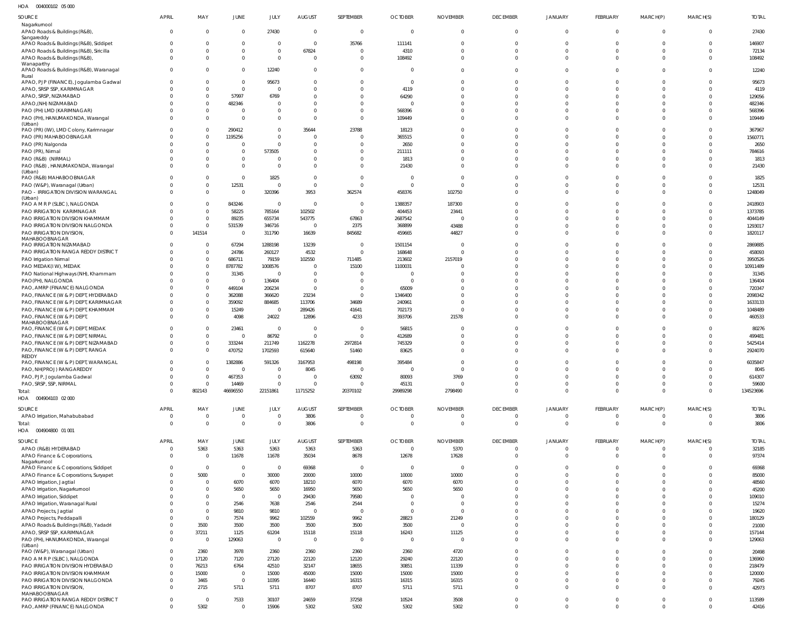004000102 05 000 HOA

| SOURCE                                                                            | APRIL                      | MAY                              | JUNE                           | JULY                      | <b>AUGUST</b>                    | SEPTEMBER                        | <b>OCTOBER</b>                   | <b>NOVEMBER</b>         | <b>DECEMBER</b>                | <b>JANUARY</b>                   | FEBRUARY                   | MARCH(P)             | MARCH(S)                         | <b>TOTAL</b>       |
|-----------------------------------------------------------------------------------|----------------------------|----------------------------------|--------------------------------|---------------------------|----------------------------------|----------------------------------|----------------------------------|-------------------------|--------------------------------|----------------------------------|----------------------------|----------------------|----------------------------------|--------------------|
| Nagarkurnool<br>APAO Roads & Buildings (R&B),                                     | $\Omega$                   | $\overline{0}$                   | $\mathbf 0$                    | 27430                     | $\overline{0}$                   | $\mathbf 0$                      | $\overline{0}$                   | $\mathbf 0$             | $\mathbf 0$                    | $\overline{0}$                   | $\mathbf 0$                | $\Omega$             | $\overline{0}$                   | 27430              |
| Sangareddy                                                                        |                            |                                  |                                |                           |                                  |                                  |                                  |                         |                                |                                  |                            |                      |                                  |                    |
| APAO Roads & Buildings (R&B), Siddipet<br>APAO Roads & Buildings (R&B), Siricilla |                            | $\Omega$<br>$\Omega$             | $\mathbf 0$<br>$\overline{0}$  | $\Omega$<br>$\mathbf{0}$  | $\overline{0}$<br>67824          | 35766<br>$\overline{0}$          | 111141<br>4310                   |                         | $\mathbf{0}$<br>$\Omega$       | $\Omega$<br>$\Omega$             | $\Omega$<br>$\Omega$       |                      | $\Omega$<br>$\mathbf 0$          | 146907<br>72134    |
| APAO Roads & Buildings (R&B),                                                     |                            | $\Omega$                         | $\overline{0}$                 | $\Omega$                  | $\Omega$                         | $\overline{0}$                   | 108492                           |                         | $\Omega$                       | $\Omega$                         | $\Omega$                   |                      | $\Omega$                         | 108492             |
| Wanaparthy<br>APAO Roads & Buildings (R&B), Waranagal                             |                            | $\Omega$                         | $\mathbf{0}$                   | 12240                     | $\overline{0}$                   | $\overline{0}$                   | $\Omega$                         |                         | $\Omega$                       | $\Omega$                         | $\Omega$                   |                      | $\Omega$                         | 12240              |
| Rural<br>APAO, PJP (FINANCE), Jogulamba Gadwal                                    |                            | $\Omega$                         | $\overline{0}$                 | 95673                     | $\mathbf{0}$                     | $\overline{0}$                   | $\overline{0}$                   |                         | $\mathbf{0}$                   | $\Omega$                         | $\Omega$                   |                      |                                  | 95673              |
| APAO, SRSP SSP, KARIMNAGAR                                                        |                            | $\Omega$                         | $\mathbf{0}$                   | $\Omega$                  | $\Omega$                         | $\Omega$                         | 4119                             |                         | $\Omega$                       | $\Omega$                         | $\Omega$                   |                      | $\Omega$                         | 4119               |
| APAO, SRSP, NIZAMABAD                                                             |                            | $\overline{0}$                   | 57997                          | 6769                      | $\Omega$                         | $\Omega$                         | 64290                            |                         | $\Omega$                       | $\Omega$                         |                            |                      | $\Omega$                         | 129056             |
| APAO, (NH) NIZAMABAD                                                              |                            | $\Omega$                         | 482346                         | - 0                       | $\Omega$                         | $\Omega$                         | $\Omega$                         |                         | $\Omega$                       | $\Omega$                         | $\Omega$                   |                      | $\Omega$                         | 482346             |
| PAO (PH) LMD (KARIMNAGAR)<br>PAO (PH), HANUMAKONDA, Warangal                      |                            | $\overline{0}$<br>$\overline{0}$ | $\mathbf 0$<br>$\mathbf{0}$    | $\Omega$<br>$\Omega$      | $\overline{0}$<br>$\Omega$       | $\overline{0}$<br>$\Omega$       | 568396<br>109449                 | $\Omega$                | $\Omega$<br>$\Omega$           | $\Omega$<br>$\Omega$             | $\Omega$<br>$\Omega$       |                      | $\Omega$<br>$\Omega$             | 568396<br>109449   |
| (Urban)                                                                           |                            |                                  |                                |                           |                                  |                                  |                                  |                         |                                |                                  |                            |                      |                                  |                    |
| PAO (PR) (IW), LMD Colony, Karimnagar                                             |                            | $\Omega$                         | 290412                         | $\Omega$                  | 35644                            | 23788                            | 18123                            |                         | $\Omega$                       | $\Omega$                         |                            |                      |                                  | 367967             |
| PAO (PR) MAHABOOBNAGAR<br>PAO (PR) Nalgonda                                       |                            | $\Omega$<br>$\Omega$             | 1195256<br>0                   | $\Omega$<br>$\Omega$      | $\Omega$<br>$\Omega$             | $\Omega$<br>$\Omega$             | 365515<br>2650                   |                         | $\Omega$<br>$\Omega$           | $\Omega$<br>$\Omega$             | $\Omega$<br>$\Omega$       |                      | $\Omega$                         | 1560771<br>2650    |
| PAO (PR), Nirmal                                                                  |                            | $\Omega$                         | $\mathbf 0$                    | 573505                    | $\Omega$                         | $\Omega$                         | 211111                           |                         | $\Omega$                       | $\Omega$                         | $\Omega$                   |                      | $\Omega$                         | 784616             |
| PAO (R&B) (NIRMAL)                                                                |                            | $\Omega$                         | $\mathbf{0}$                   | $\Omega$                  | $\mathbf 0$                      | $\overline{0}$                   | 1813                             |                         | $\Omega$                       | $\Omega$                         | $\Omega$                   |                      |                                  | 1813               |
| PAO (R&B), HANUMAKONDA, Warangal<br>(Urban)                                       |                            | $\Omega$                         | $\mathbf{0}$                   | $\Omega$                  | $\Omega$                         | $\overline{0}$                   | 21430                            | $\Omega$                | $\Omega$                       | $\Omega$                         | $\Omega$                   | $\Omega$             | $\Omega$                         | 21430              |
| PAO (R&B) MAHABOOBNAGAR                                                           |                            | $\overline{0}$                   | $\mathbf 0$                    | 1825                      | $\overline{\mathbf{0}}$          | $\overline{0}$                   | $\overline{0}$                   | $\Omega$                | $\Omega$                       | $\Omega$                         | $\Omega$                   |                      |                                  | 1825               |
| PAO (W&P), Waranagal (Urban)<br>PAO - IRRIGATION DIVISION WARANGAL                |                            | $\overline{0}$<br>$\mathbf 0$    | 12531<br>$\mathbf{0}$          | $\Omega$<br>320396        | $\overline{0}$<br>3953           | $\overline{0}$<br>362574         | $\overline{0}$<br>458376         | $\Omega$<br>102750      | $\Omega$<br>$\Omega$           | $\Omega$<br>$\Omega$             | $\Omega$<br>$\Omega$       | $\Omega$             | $\Omega$<br>$\Omega$             | 12531<br>1248049   |
| (Urban)                                                                           |                            |                                  |                                |                           |                                  |                                  |                                  |                         |                                |                                  |                            |                      |                                  |                    |
| PAO A M R P (SLBC), NALGONDA                                                      |                            | $\Omega$<br>$\overline{0}$       | 843246                         | $\overline{0}$            | $\overline{0}$                   | $\overline{0}$                   | 1388357                          | 187300                  | $\Omega$                       | $\Omega$                         | $\Omega$<br>$\Omega$       |                      |                                  | 2418903            |
| PAO IRRIGATION KARIMNAGAR<br>PAO IRRIGATION DIVISION KHAMMAM                      |                            | $\overline{0}$                   | 58225<br>89235                 | 785164<br>655734          | 102502<br>543775                 | $\overline{0}$<br>67863          | 404453<br>2687542                | 23441                   | $\Omega$<br>$\Omega$           | $\Omega$<br>$\Omega$             | $\Omega$                   |                      | $\Omega$<br>$\Omega$             | 1373785<br>4044149 |
| PAO IRRIGATION DIVISION NALGONDA                                                  |                            | $\overline{0}$                   | 531539                         | 346716                    | $\overline{0}$                   | 2375                             | 368899                           | 43488                   | $\mathbf{0}$                   | $\Omega$                         | $\Omega$                   |                      | $\Omega$                         | 1293017            |
| PAO IRRIGATION DIVISION.                                                          |                            | 141514                           | $\mathbf 0$                    | 311790                    | 16639                            | 845682                           | 459665                           | 44827                   | $\Omega$                       | $\Omega$                         | $\Omega$                   |                      | $\Omega$                         | 1820117            |
| MAHABOOBNAGAR<br>PAO IRRIGATION NIZAMABAD                                         |                            | $\mathbf{0}$                     | 67294                          | 1288198                   | 13239                            | - 0                              | 1501154                          |                         | $\Omega$                       | $\Omega$                         |                            |                      |                                  | 2869885            |
| PAO IRRIGATION RANGA REDDY DISTRICT                                               |                            | $\overline{0}$                   | 24786                          | 260127                    | 4532                             | $\mathbf{0}$                     | 168648                           |                         | $\Omega$                       | $\Omega$                         | $\Omega$                   |                      |                                  | 458093             |
| PAO Irrigation Nirmal                                                             |                            | $\overline{0}$                   | 686711                         | 79159                     | 102550                           | 711485                           | 213602                           | 2157019                 | $\Omega$                       | $\Omega$                         | $\Omega$                   |                      | $\Omega$                         | 3950526            |
| PAO MEDAK(IW), MEDAK<br>PAO National Highways (NH), Khammam                       |                            | $\overline{0}$<br>$\Omega$       | 8787782<br>31345               | 1008576<br>$\overline{0}$ | $\overline{0}$<br>$\overline{0}$ | 15100<br>$\Omega$                | 1100031<br>$\overline{0}$        |                         | $\Omega$<br>$\Omega$           | $\Omega$<br>$\Omega$             | $\Omega$                   |                      |                                  | 10911489<br>31345  |
| PAO(PH), NALGONDA                                                                 |                            | $\overline{0}$                   | $\overline{0}$                 | 136404                    | $\overline{0}$                   | $\Omega$                         | $\overline{0}$                   |                         | $\Omega$                       | $\Omega$                         |                            |                      |                                  | 136404             |
| PAO, AMRP (FINANCE) NALGONDA                                                      |                            | $\overline{0}$                   | 449104                         | 206234                    | $\overline{0}$                   | $\overline{0}$                   | 65009                            |                         | $\Omega$                       | $\Omega$                         |                            |                      | $\Omega$                         | 720347             |
| PAO, FINANCE (W & P) DEPT, HYDERABAD                                              |                            | $\Omega$                         | 362088                         | 366620                    | 23234                            | $\Omega$                         | 1346400                          |                         | $\Omega$                       | $\Omega$                         |                            |                      |                                  | 2098342            |
| PAO, FINANCE (W & P) DEPT, KARIMNAGAR<br>PAO, FINANCE (W & P) DEPT, KHAMMAM       |                            | $\overline{0}$<br>$\overline{0}$ | 359092<br>15249                | 884685<br>$\overline{0}$  | 113706<br>289426                 | 34689<br>41641                   | 240961<br>702173                 | $\Omega$                | $\Omega$<br>$\Omega$           | $\Omega$<br>$\Omega$             | $\Omega$<br>$\Omega$       |                      | $\Omega$<br>$\Omega$             | 1633133<br>1048489 |
| PAO, FINANCE (W & P) DEPT,                                                        |                            | $\Omega$                         | 4098                           | 24022                     | 12896                            | 4233                             | 393706                           | 21578                   | $\Omega$                       | $\Omega$                         | $\Omega$                   |                      | $\Omega$                         | 460533             |
| MAHABOOBNAGAR<br>PAO, FINANCE (W & P) DEPT, MEDAK                                 |                            | $\overline{0}$                   | 23461                          | $\overline{0}$            | $\overline{0}$                   | $\overline{0}$                   | 56815                            |                         | $\Omega$                       | $\Omega$                         | $\Omega$                   |                      |                                  | 80276              |
| PAO, FINANCE (W & P) DEPT, NIRMAL                                                 |                            | $\overline{0}$                   | $\overline{0}$                 | 86792                     | $\overline{0}$                   | $\overline{0}$                   | 412689                           |                         | $\Omega$                       |                                  | $\Omega$                   |                      |                                  | 499481             |
| PAO, FINANCE (W & P) DEPT, NIZAMABAD                                              |                            | $\overline{0}$                   | 333244                         | 211749                    | 1162278                          | 2972814                          | 745329                           |                         | $\Omega$                       | $\Omega$                         | $\Omega$                   |                      | $\Omega$                         | 5425414            |
| PAO, FINANCE (W & P) DEPT, RANGA<br>REDDY                                         |                            | $\Omega$                         | 470752                         | 1702593                   | 615640                           | 51460                            | 83625                            |                         | $\Omega$                       | $\Omega$                         | $\Omega$                   |                      | $\Omega$                         | 2924070            |
| PAO, FINANCE (W & P) DEPT, WARANGAL                                               | $\Omega$                   | $\Omega$                         | 1382886                        | 591326                    | 3167953                          | 498198                           | 395484                           | $\Omega$                | $\Omega$                       | $\Omega$                         | $\Omega$                   |                      | $\Omega$                         | 6035847            |
| PAO, NH(PROJ) RANGAREDDY                                                          |                            |                                  | 0                              |                           | 8045                             | -0                               | 0                                |                         | 0                              |                                  |                            |                      |                                  | 8045               |
| PAO, PJP, Jogulamba Gadwal<br>PAO, SRSP, SSP, NIRMAL                              | $\Omega$                   | $\overline{0}$<br>$\overline{0}$ | 467353<br>14469                | $\Omega$<br>$\Omega$      | $\overline{0}$<br>$\Omega$       | 63092<br>$\overline{0}$          | 80093<br>45131                   | 3769<br>$\Omega$        | $\mathbf 0$<br>$\mathbf{0}$    | $\Omega$<br>$\overline{0}$       | $\Omega$<br>$\mathbf 0$    | $\Omega$<br>$\Omega$ | $\Omega$<br>$\overline{0}$       | 614307<br>59600    |
| Total:                                                                            | $\Omega$                   | 802143                           | 46696550                       | 22151861                  | 11715252                         | 20370102                         | 29989298                         | 2798490                 | $\mathbf{0}$                   | $\overline{0}$                   | $\mathbf 0$                | $\Omega$             | $\Omega$                         | 134523696          |
| HOA<br>004904103 02 000                                                           |                            |                                  |                                |                           |                                  |                                  |                                  |                         |                                |                                  |                            |                      |                                  |                    |
| SOURCE                                                                            | <b>APRIL</b>               | MAY                              | JUNE                           | JULY                      | AUGUST                           | SEPTEMBER                        | <b>OCTOBER</b>                   | <b>NOVEMBER</b>         | <b>DECEMBER</b>                | JANUARY                          | <b>FEBRUARY</b>            | MARCH(P)             | MARCH(S)                         | <b>TOTAL</b>       |
| APAO Irrigation, Mahabubabad<br>Total:                                            | $\overline{0}$<br>$\Omega$ | $\overline{0}$<br>$\overline{0}$ | $\mathbf{0}$<br>$\overline{0}$ | $\Omega$<br>$\Omega$      | 3806<br>3806                     | $\overline{0}$<br>$\overline{0}$ | $\overline{0}$<br>$\overline{0}$ | $\mathbf 0$<br>$\Omega$ | $\overline{0}$<br>$\mathbf{0}$ | $\overline{0}$<br>$\overline{0}$ | $\mathbf 0$<br>$\mathbf 0$ | $\Omega$<br>$\Omega$ | $\overline{0}$<br>$\overline{0}$ | 3806<br>3806       |
| 004904800 01 001<br>HOA                                                           |                            |                                  |                                |                           |                                  |                                  |                                  |                         |                                |                                  |                            |                      |                                  |                    |
| SOURCE                                                                            | <b>APRIL</b>               | MAY                              | <b>JUNE</b>                    | JULY                      | <b>AUGUST</b>                    | SEPTEMBER                        | <b>OCTOBER</b>                   | <b>NOVEMBER</b>         | <b>DECEMBER</b>                | <b>JANUARY</b>                   | FEBRUARY                   | MARCH(P)             | MARCH(S)                         | <b>TOTAL</b>       |
| APAO (R&B) HYDERABAD                                                              | 0                          | 5363                             | 5363                           | 5363                      | 5363                             | 5363                             | $\overline{0}$                   | 5370                    | $\overline{0}$                 | $\overline{0}$                   | $\mathbf{0}$               |                      | 0                                | 32185              |
| APAO Finance & Corporations,<br>Nagarkurnool                                      | $\Omega$                   | $\overline{0}$                   | 11678                          | 11678                     | 35034                            | 8678                             | 12678                            | 17628                   | $\mathbf{0}$                   | $\overline{0}$                   | $\mathbf 0$                | $\Omega$             | $\Omega$                         | 97374              |
| APAO Finance & Corporations, Siddipet                                             | <sup>0</sup>               | $\overline{0}$                   | $\mathbf{0}$                   | $\Omega$                  | 69368                            | $\overline{0}$                   | $\overline{0}$                   | $\overline{0}$          | $\overline{0}$                 | $\overline{0}$                   | $\Omega$                   | $\Omega$             | $\Omega$                         | 69368              |
| APAO Finance & Corporations, Suryapet<br>APAO Irrigation, Jagtial                 |                            | 5000<br>$\overline{0}$           | $\mathbf 0$<br>6070            | 30000<br>6070             | 20000                            | 10000<br>6070                    | 10000<br>6070                    | 10000<br>6070           | $\mathbf 0$<br>$\Omega$        | $\Omega$<br>$\Omega$             | $\Omega$<br>$\Omega$       | $\Omega$<br>$\Omega$ | $\Omega$<br>$\Omega$             | 85000<br>48560     |
| APAO Irrigation, Nagarkurnool                                                     |                            | $\overline{0}$                   | 5650                           | 5650                      | 18210<br>16950                   | 5650                             | 5650                             | 5650                    | $\mathbf 0$                    | $\Omega$                         | $\Omega$                   | $\Omega$             | $\Omega$                         | 45200              |
| APAO Irrigation, Siddipet                                                         |                            | $\overline{0}$                   | $\mathbf{0}$                   | $\Omega$                  | 29430                            | 79580                            | $\overline{0}$                   | $\Omega$                | $\Omega$                       | $\Omega$                         | $\Omega$                   | $\Omega$             | $\Omega$                         | 109010             |
| APAO Irrigation, Waranagal Rural                                                  |                            | $\overline{0}$                   | 2546                           | 7638                      | 2546                             | 2544                             | $\overline{0}$                   | $\Omega$                | $\Omega$                       | $\Omega$                         | $\Omega$                   | $\Omega$             | $\Omega$                         | 15274              |
| APAO Projects, Jagtial                                                            |                            | $\overline{0}$<br>$\overline{0}$ | 9810<br>7574                   | 9810<br>9962              | $\overline{0}$<br>102559         | $\overline{0}$<br>9962           | $\overline{0}$<br>28823          | $\Omega$<br>21249       | $\Omega$<br>$\mathbf 0$        | $\Omega$<br>$\Omega$             | $\Omega$<br>$\Omega$       | $\Omega$<br>$\Omega$ | $\Omega$<br>$\Omega$             | 19620<br>180129    |
| APAO Projects, Peddapalli<br>APAO Roads & Buildings (R&B), Yadadri                |                            | 3500                             | 3500                           | 3500                      | 3500                             | 3500                             | 3500                             | $\mathbf 0$             | $\Omega$                       | $\Omega$                         | $\Omega$                   | $\Omega$             | $\Omega$                         | 21000              |
| APAO, SRSP SSP, KARIMNAGAR                                                        |                            | 37211                            | 1125                           | 61204                     | 15118                            | 15118                            | 16243                            | 11125                   | $\mathbf 0$                    | $\overline{0}$                   | $\Omega$                   | $\Omega$             | $\overline{0}$                   | 157144             |
| PAO (PH), HANUMAKONDA, Warangal<br>(Urban)                                        | $\Omega$                   | $\overline{0}$                   | 129063                         | $\overline{0}$            | $\overline{0}$                   | $\overline{0}$                   | $\overline{0}$                   | $\overline{0}$          | $\mathbf 0$                    | $\Omega$                         | $\Omega$                   | $\Omega$             | $\Omega$                         | 129063             |
| PAO (W&P), Waranagal (Urban)                                                      |                            | 2360                             | 3978                           | 2360                      | 2360                             | 2360                             | 2360                             | 4720                    | $\mathbf{0}$                   | $\Omega$                         | $\Omega$                   |                      | $\Omega$                         | 20498              |
| PAO A M R P (SLBC), NALGONDA                                                      |                            | 17120                            | 7120                           | 27120                     | 22120                            | 12120                            | 29240                            | 22120                   | $\mathbf 0$                    | $\Omega$                         | $\Omega$                   | $\Omega$             | $\Omega$                         | 136960             |
| PAO IRRIGATION DIVISION HYDERABAD<br>PAO IRRIGATION DIVISION KHAMMAM              |                            | 76213<br>15000                   | 6764<br>$\mathbf 0$            | 42510<br>15000            | 32147<br>45000                   | 18655<br>15000                   | 30851<br>15000                   | 11339<br>15000          | $\mathbf 0$<br>$\Omega$        | $\Omega$<br>$\Omega$             | $\Omega$<br>$\Omega$       | $\Omega$<br>$\Omega$ | $\Omega$<br>$\Omega$             | 218479             |
| PAO IRRIGATION DIVISION NALGONDA                                                  |                            | 3465                             | $\mathbf 0$                    | 10395                     | 16440                            | 16315                            | 16315                            | 16315                   | $\mathbf 0$                    | $\overline{0}$                   | $\mathbf 0$                | $\Omega$             | $\overline{0}$                   | 120000<br>79245    |
| PAO IRRIGATION DIVISION,                                                          |                            | 2715                             | 5711                           | 5711                      | 8707                             | 8707                             | 5711                             | 5711                    | $\mathbf 0$                    | $\Omega$                         | $\Omega$                   | $\Omega$             | $\Omega$                         | 42973              |
| MAHABOOBNAGAR<br>PAO IRRIGATION RANGA REDDY DISTRICT                              |                            | $\overline{0}$                   | 7533                           | 30107                     | 24659                            | 37258                            | 10524                            | 3508                    | $\mathbf{0}$                   | $\overline{0}$                   | $\mathbf{0}$               | $\Omega$             | $\mathbf 0$                      | 113589             |
| PAO, AMRP (FINANCE) NALGONDA                                                      | $\Omega$                   | 5302                             | $\mathbf 0$                    | 15906                     | 5302                             | 5302                             | 5302                             | 5302                    | $\overline{0}$                 | $\mathbf 0$                      | $\mathbf{0}$               | $\Omega$             | $\mathbf 0$                      | 42416              |
|                                                                                   |                            |                                  |                                |                           |                                  |                                  |                                  |                         |                                |                                  |                            |                      |                                  |                    |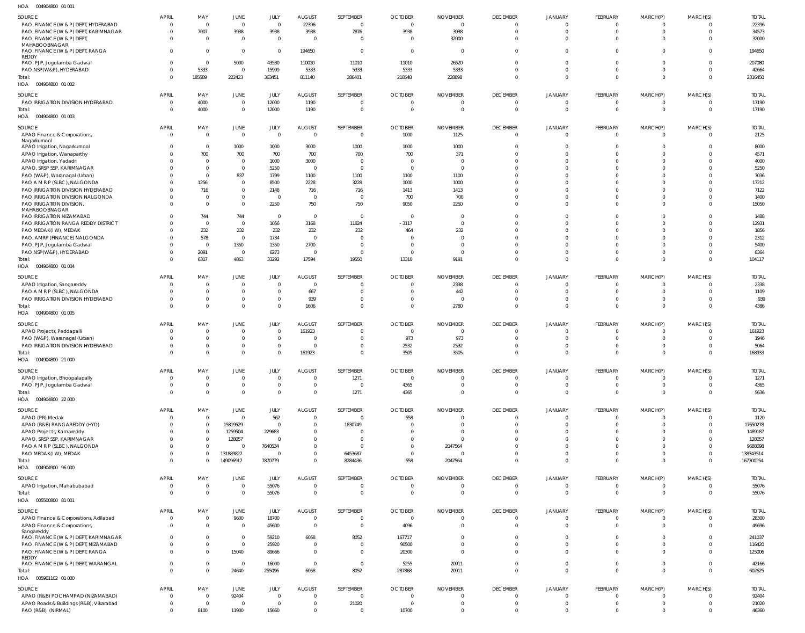004904800 01 001 HOA

| SOURCE                                                                        | <b>APRIL</b>             | MAY                            | JUNE                        | JULY                     | <b>AUGUST</b>                    | SEPTEMBER                        | <b>OCTOBER</b>                   | <b>NOVEMBER</b>                 | <b>DECEMBER</b>                   | <b>JANUARY</b>                | FEBRUARY                       | MARCH(P)                         | MARCH(S)                   | <b>TOTAL</b>           |
|-------------------------------------------------------------------------------|--------------------------|--------------------------------|-----------------------------|--------------------------|----------------------------------|----------------------------------|----------------------------------|---------------------------------|-----------------------------------|-------------------------------|--------------------------------|----------------------------------|----------------------------|------------------------|
| PAO, FINANCE (W & P) DEPT, HYDERABAD                                          | $\Omega$                 | $\Omega$                       | $\mathbf 0$                 | $\overline{0}$           | 22396                            | $\overline{0}$                   | $\overline{0}$                   | $\mathbf 0$                     | $\Omega$                          | $\mathbf 0$                   | $\mathbf 0$                    | $\Omega$                         |                            | 22396                  |
| PAO, FINANCE (W & P) DEPT, KARIMNAGAR                                         |                          | 7007                           | 3938                        | 3938                     | 3938<br>$\Omega$                 | 7876<br>$\Omega$                 | 3938<br>$\Omega$                 | 3938                            | $\mathbf 0$<br>$\Omega$           | $\overline{0}$                | $\mathbf{0}$                   | $\Omega$<br>$\Omega$             | $\Omega$                   | 34573                  |
| PAO, FINANCE (W & P) DEPT<br>MAHABOOBNAGAR                                    |                          | $\Omega$                       | $\mathbf 0$                 | $\overline{0}$           |                                  |                                  |                                  | 32000                           |                                   | $\overline{0}$                | $\mathbf{0}$                   |                                  | $\Omega$                   | 32000                  |
| PAO, FINANCE (W & P) DEPT, RANGA                                              | $\Omega$                 | $\Omega$                       | $\overline{0}$              | $\overline{0}$           | 194650                           | $\overline{0}$                   | $\overline{0}$                   | $\Omega$                        | $\Omega$                          | $\mathbf 0$                   | $\mathbf{0}$                   | $\Omega$                         | $\Omega$                   | 194650                 |
| REDDY<br>PAO, PJP, Jogulamba Gadwal                                           |                          | $\Omega$                       | 5000                        | 43530                    | 110010                           | 11010                            | 11010                            | 26520                           | $\Omega$                          | $\mathbf 0$                   | $\mathbf 0$                    | $\overline{0}$                   | $\Omega$                   | 207080                 |
| PAO, NSP (W&P), HYDERABAD                                                     |                          | 5333                           | $\mathbf 0$                 | 15999                    | 5333                             | 5333                             | 5333                             | 5333                            | $\Omega$                          | $\overline{0}$                | $\mathbf{0}$                   | $\Omega$                         | $\Omega$                   | 42664                  |
| Total:                                                                        |                          | 185589                         | 222423                      | 363451                   | 811140                           | 286401                           | 218548                           | 228898                          | $\Omega$                          | $\overline{0}$                | $\mathbf{0}$                   | $\Omega$                         | $\Omega$                   | 2316450                |
| HOA  004904800  01 002                                                        |                          |                                |                             |                          |                                  |                                  |                                  |                                 |                                   |                               |                                |                                  |                            |                        |
| SOURCE                                                                        | <b>APRIL</b>             | MAY                            | JUNE                        | JULY                     | <b>AUGUST</b>                    | SEPTEMBER                        | <b>OCTOBER</b>                   | <b>NOVEMBER</b>                 | <b>DECEMBER</b>                   | JANUARY                       | FEBRUARY                       | MARCH(P)                         | MARCH(S)                   | <b>TOTAL</b>           |
| PAO IRRIGATION DIVISION HYDERABAD                                             | - 0                      | 4000                           | $\mathbf 0$                 | 12000                    | 1190                             | $\overline{0}$                   | $\overline{0}$                   | $\Omega$                        | $^{\circ}$                        | $\overline{0}$                | $\overline{0}$                 | $\overline{0}$                   | $\Omega$                   | 17190                  |
| Total:<br>HOA  004904800  01 003                                              |                          | 4000                           | $\mathbf 0$                 | 12000                    | 1190                             | $\overline{0}$                   | $\overline{0}$                   | $\Omega$                        | $\overline{0}$                    | $\overline{0}$                | $\mathbf{0}$                   | $\Omega$                         | $\Omega$                   | 17190                  |
|                                                                               |                          |                                |                             |                          |                                  |                                  |                                  |                                 |                                   |                               |                                |                                  |                            |                        |
| SOURCE                                                                        | <b>APRIL</b>             | MAY                            | <b>JUNE</b>                 | JULY                     | <b>AUGUST</b>                    | SEPTEMBER                        | <b>OCTOBER</b>                   | <b>NOVEMBER</b>                 | <b>DECEMBER</b>                   | JANUARY                       | FEBRUARY                       | MARCH(P)                         | MARCH(S)                   | <b>TOTAL</b>           |
| APAO Finance & Corporations,<br>Nagarkurnool                                  | $\Omega$                 | $\overline{0}$                 | $\mathbf 0$                 | $\overline{0}$           | $\Omega$                         | $\mathbf{0}$                     | 1000                             | 1125                            | $\overline{0}$                    | $\overline{0}$                | $\overline{0}$                 | $\overline{0}$                   | $\Omega$                   | 2125                   |
| APAO Irrigation, Nagarkurnool                                                 |                          | $\Omega$                       | 1000                        | 1000                     | 3000                             | 1000                             | 1000                             | 1000                            | $\Omega$                          | $\mathbf 0$                   | $\mathbf 0$                    | $\Omega$                         | $\Omega$                   | 8000                   |
| APAO Irrigation, Wanaparthy                                                   |                          | 700                            | 700                         | 700                      | 700                              | 700                              | 700                              | 371                             | $\Omega$                          | $\mathbf 0$                   | $\mathbf{0}$                   | $\Omega$                         | $\Omega$                   | 4571                   |
| APAO Irrigation, Yadadri<br>APAO, SRSP SSP, KARIMNAGAR                        |                          | $\Omega$                       | $\mathbf 0$<br>$\mathbf 0$  | 1000<br>5250             | 3000<br>$\overline{0}$           | $\overline{0}$<br>$\Omega$       | $\overline{0}$<br>$\Omega$       | $\Omega$<br>$\Omega$            | $\Omega$<br>$\Omega$              | $\Omega$<br>$\Omega$          | $\Omega$<br>$\Omega$           | $\Omega$<br>$\Omega$             | $\Omega$                   | 4000<br>5250           |
| PAO (W&P), Waranagal (Urban)                                                  |                          | $\Omega$                       | 837                         | 1799                     | 1100                             | 1100                             | 1100                             | 1100                            | $\Omega$                          | $\Omega$                      | $\Omega$                       | $\Omega$                         |                            | 7036                   |
| PAO A M R P (SLBC), NALGONDA                                                  |                          | 1256                           | $\mathbf 0$                 | 8500                     | 2228                             | 3228                             | 1000                             | 1000                            | $\Omega$                          | $\Omega$                      | $\Omega$                       | $\Omega$                         |                            | 17212                  |
| PAO IRRIGATION DIVISION HYDERABAD                                             |                          | 716                            | $\mathbf 0$                 | 2148                     | 716                              | 716                              | 1413                             | 1413                            | $\Omega$                          | $\Omega$                      | $\Omega$                       | $\Omega$                         |                            | 7122                   |
| PAO IRRIGATION DIVISION NALGONDA                                              |                          |                                | $\mathbf 0$                 | $\overline{0}$           | $\overline{0}$                   | $\overline{0}$                   | 700                              | 700                             | $\Omega$                          | $\Omega$                      | $\Omega$                       | $\Omega$                         |                            | 1400                   |
| PAO IRRIGATION DIVISION,<br>MAHABOOBNAGAR                                     |                          | $\Omega$                       | $\mathbf 0$                 | 2250                     | 750                              | 750                              | 9050                             | 2250                            | $\Omega$                          | $\mathbf 0$                   | $\Omega$                       | $\Omega$                         | $\Omega$                   | 15050                  |
| PAO IRRIGATION NIZAMABAD                                                      |                          | 744                            | 744                         | $\mathbf{0}$             | $\overline{0}$                   | $\overline{0}$                   | $\overline{0}$                   | 0                               | $\Omega$                          | $\mathbf 0$                   | $\mathbf 0$                    | $\Omega$                         | $\Omega$                   | 1488                   |
| PAO IRRIGATION RANGA REDDY DISTRICT                                           |                          | $\Omega$                       | $\mathbf 0$                 | 1056                     | 3168                             | 11824                            | $-3117$                          | $\mathbf 0$                     | $\Omega$                          | $\Omega$                      | $\Omega$                       | $\Omega$                         | $\Omega$                   | 12931                  |
| PAO MEDAK(IW), MEDAK                                                          |                          | 232                            | 232                         | 232                      | 232                              | 232                              | 464                              | 232                             | $\Omega$                          | $\Omega$                      | $\Omega$                       | $\Omega$                         |                            | 1856                   |
| PAO, AMRP (FINANCE) NALGONDA<br>PAO, PJP, Jogulamba Gadwal                    |                          | 578<br>$\Omega$                | $\overline{0}$<br>1350      | 1734<br>1350             | $\overline{0}$<br>2700           | $\Omega$<br>$\Omega$             | $\Omega$<br>$\Omega$             | $\Omega$<br>$\Omega$            | $\Omega$<br>$\Omega$              | $\Omega$<br>$\Omega$          | $\Omega$<br>$\Omega$           | $\Omega$<br>$\Omega$             |                            | 2312<br>5400           |
| PAO, NSP (W&P), HYDERABAD                                                     |                          | 2091                           | $\overline{0}$              | 6273                     | $\overline{0}$                   | $\overline{0}$                   | $\overline{0}$                   | $\Omega$                        | $\Omega$                          | $\mathbf 0$                   | $\mathbf 0$                    | $\Omega$                         | $\Omega$                   | 8364                   |
| Total:                                                                        |                          | 6317                           | 4863                        | 33292                    | 17594                            | 19550                            | 13310                            | 9191                            | $\Omega$                          | $\overline{0}$                | $\Omega$                       | $\Omega$                         | $\Omega$                   | 104117                 |
| HOA  004904800  01 004                                                        |                          |                                |                             |                          |                                  |                                  |                                  |                                 |                                   |                               |                                |                                  |                            |                        |
| SOURCE                                                                        | APRIL                    | MAY                            | JUNE                        | JULY                     | <b>AUGUST</b>                    | SEPTEMBER                        | <b>OCTOBER</b>                   | <b>NOVEMBER</b>                 | <b>DECEMBER</b>                   | JANUARY                       | FEBRUARY                       | MARCH(P)                         | MARCH(S)                   | <b>TOTAL</b>           |
| APAO Irrigation, Sangareddy                                                   |                          | $\Omega$                       | $\mathbf{0}$                | $\overline{0}$           | $\Omega$                         | $\overline{0}$                   | $\mathbf{0}$                     | 2338                            | $\Omega$                          | 0                             | 0                              | $\Omega$                         | $\Omega$                   | 2338                   |
| PAO A M R P (SLBC), NALGONDA                                                  |                          | $\Omega$                       | $\mathbf 0$                 | $\overline{0}$           | 667                              | $\overline{0}$                   | $\overline{0}$                   | 442                             | $\overline{0}$                    | $\mathbf 0$                   | $\overline{0}$                 | $\overline{0}$                   | $^{\circ}$                 | 1109                   |
| PAO IRRIGATION DIVISION HYDERABAD                                             |                          | $\Omega$                       | $\mathbf 0$                 | $\mathbf 0$              | 939                              | $\overline{0}$                   | $\overline{0}$                   | $\Omega$                        | $\overline{0}$                    | $\mathbf 0$                   | $\mathbf 0$                    | $\overline{0}$                   | $\Omega$                   | 939                    |
| Total:<br>HOA  004904800  01  005                                             |                          | $\Omega$                       | $\mathbf{0}$                | $\overline{0}$           | 1606                             | $\overline{0}$                   | $\Omega$                         | 2780                            | $\mathbf 0$                       | $\overline{0}$                | $\mathbf{0}$                   | $\Omega$                         | $\Omega$                   | 4386                   |
|                                                                               |                          |                                |                             |                          |                                  |                                  |                                  |                                 |                                   |                               |                                |                                  |                            |                        |
| SOURCE<br>APAO Projects, Peddapalli                                           | <b>APRIL</b>             | MAY                            | <b>JUNE</b><br>$\mathbf{0}$ | JULY<br>$\mathbf 0$      | <b>AUGUST</b><br>161923          | SEPTEMBER<br>$\overline{0}$      | <b>OCTOBER</b><br>$\overline{0}$ | <b>NOVEMBER</b><br>$\Omega$     | <b>DECEMBER</b><br>$\Omega$       | <b>JANUARY</b><br>$\Omega$    | FEBRUARY<br>0                  | MARCH(P)<br>$\Omega$             | MARCH(S)                   | <b>TOTAL</b><br>161923 |
| PAO (W&P), Waranagal (Urban)                                                  |                          | $\Omega$                       | $\mathbf{0}$                | $\mathbf{0}$             | $\Omega$                         | $\overline{0}$                   | 973                              | 973                             | $\mathbf 0$                       | $\overline{0}$                | $\mathbf{0}$                   | $\Omega$                         | $\Omega$                   | 1946                   |
| PAO IRRIGATION DIVISION HYDERABAD                                             |                          |                                | $\mathbf{0}$                | $\mathbf 0$              | $\Omega$                         | $\Omega$                         | 2532                             | 2532                            | $\Omega$                          | $\mathbf 0$                   | $\mathbf 0$                    | $\Omega$                         |                            | 5064                   |
| Total:                                                                        |                          |                                | $\mathbf 0$                 | $\Omega$                 | 161923                           | $\Omega$                         | 3505                             | 3505                            | $\mathbf 0$                       | $\mathbf 0$                   | $\mathbf 0$                    | $\Omega$                         |                            | 168933                 |
| HOA  004904800  21 000                                                        |                          |                                |                             |                          |                                  |                                  |                                  |                                 |                                   |                               |                                |                                  |                            |                        |
| SOURCE                                                                        | APRIL                    | MAY                            | JUNE                        | JULY                     | <b>AUGUST</b>                    | SEPTEMBER                        | <b>OCTOBER</b>                   | <b>NOVEMBER</b>                 | <b>DECEMBER</b>                   | <b>JANUARY</b>                | FEBRUARY                       | MARCH(P)                         | MARCH(S)                   | <b>TOTAL</b>           |
| APAO Irrigation, Bhoopalapally                                                | $\Omega$                 | $\Omega$                       | $\mathbf{0}$                | $\overline{0}$           | $\mathbf 0$                      | 1271                             | $\overline{0}$                   | $\overline{0}$                  | $\overline{0}$                    | $\overline{0}$                | $\mathbf 0$                    | $\overline{0}$                   | $\Omega$                   | 1271                   |
| PAO, PJP, Jogulamba Gadwal                                                    |                          | $\Omega$                       | $\mathbf 0$                 | $\mathbf{0}$             | $\overline{0}$                   | $\overline{0}$                   |                                  |                                 |                                   | $\overline{0}$                |                                |                                  |                            | 4365                   |
| Total:<br>HOA  004904800  22 000                                              |                          | $\Omega$                       |                             |                          |                                  |                                  | 4365                             | $\mathbf 0$                     | $\mathbf 0$                       |                               | $\mathbf{0}$                   | $\overline{0}$                   | $\overline{0}$             |                        |
|                                                                               |                          |                                | $\mathbf 0$                 | $\mathbf{0}$             | $\Omega$                         | 1271                             | 4365                             | $\Omega$                        | $\mathbf 0$                       | $\overline{0}$                | $\mathbf 0$                    | $\overline{0}$                   | $\Omega$                   | 5636                   |
| SOURCE<br>APAO (PR) Medak                                                     |                          |                                |                             |                          |                                  |                                  |                                  |                                 |                                   |                               |                                |                                  |                            |                        |
|                                                                               | <b>APRIL</b>             | MAY                            | <b>JUNE</b>                 | JULY                     | <b>AUGUST</b>                    | SEPTEMBER                        | <b>OCTOBER</b>                   | <b>NOVEMBER</b>                 | <b>DECEMBER</b>                   | JANUARY                       | FEBRUARY                       | MARCH(P)                         | MARCH(S)                   | <b>TOTAL</b>           |
|                                                                               |                          | 0                              | $\mathbf 0$                 | 562                      | $\Omega$<br>$\Omega$             | $\overline{0}$                   | 558                              | $\overline{0}$<br>$\Omega$      | $\Omega$<br>$\Omega$              | $\mathbf 0$                   | 0                              | $\Omega$<br>$\Omega$             | $\Omega$                   | 1120                   |
| APAO (R&B) RANGAREDDY (HYD)<br>APAO Projects, Kamareddy                       |                          | 0<br>$\Omega$                  | 15819529<br>1259504         | $\overline{0}$<br>229683 |                                  | 1830749<br>$\Omega$              | $\overline{0}$<br>$\Omega$       | $\Omega$                        | $\Omega$                          | $\mathbf 0$<br>$\Omega$       | $\mathbf 0$<br>$\Omega$        |                                  |                            | 17650278<br>1489187    |
| APAO, SRSP SSP, KARIMNAGAR                                                    |                          | 0                              | 128057                      | $\overline{0}$           |                                  | $\overline{0}$                   | $\Omega$                         | $\Omega$                        | $\Omega$                          | $\Omega$                      | $\mathbf 0$                    | $\Omega$                         |                            | 128057                 |
| PAO A M R P (SLBC), NALGONDA                                                  |                          | $\mathbf{0}$                   | $\Omega$                    | 7640534                  | $\Omega$                         | $\Omega$                         | $\mathbf{0}$                     | 2047564                         | $\Omega$                          | $\Omega$                      | $\Omega$                       | $\Omega$                         | -0                         | 9688098                |
| PAO MEDAK(IW), MEDAK                                                          |                          | 0                              | 131889827                   | 0                        | $\Omega$                         | 6453687                          | $\overline{0}$                   | $\Omega$                        | $\Omega$                          | $\mathbf 0$                   | $\mathbf 0$                    | $\overline{0}$                   | $\Omega$                   | 138343514              |
| Total:                                                                        |                          | $\Omega$                       | 149096917                   | 7870779                  | $\Omega$                         | 8284436                          | 558                              | 2047564                         | $\Omega$                          | $\overline{0}$                | $\Omega$                       | $\Omega$                         | $\Omega$                   | 167300254              |
| HOA  004904900  96  000                                                       |                          |                                |                             |                          |                                  |                                  |                                  |                                 |                                   |                               |                                |                                  |                            |                        |
| SOURCE                                                                        | <b>APRIL</b>             | MAY                            | JUNE                        | JULY                     | <b>AUGUST</b>                    | SEPTEMBER                        | <b>OCTOBER</b>                   | <b>NOVEMBER</b>                 | <b>DECEMBER</b>                   | <b>JANUARY</b>                | FEBRUARY                       | MARCH(P)                         | MARCH(S)                   | <b>TOTAL</b>           |
| APAO Irrigation, Mahabubabad<br>Total:                                        | $\Omega$<br>$\Omega$     | $\mathbf{0}$<br>$\overline{0}$ | $\mathbf 0$<br>$\mathbf 0$  | 55076<br>55076           | $\overline{0}$<br>$\overline{0}$ | $\overline{0}$<br>$\overline{0}$ | $\overline{0}$<br>$\overline{0}$ | $\mathbf 0$<br>$\overline{0}$   | $\mathbf{0}$<br>$\overline{0}$    | $\mathbf 0$<br>$\overline{0}$ | $\overline{0}$<br>$\mathbf{0}$ | $\overline{0}$<br>$\overline{0}$ | $\Omega$<br>$\overline{0}$ | 55076<br>55076         |
| HOA   005500800   81   001                                                    |                          |                                |                             |                          |                                  |                                  |                                  |                                 |                                   |                               |                                |                                  |                            |                        |
|                                                                               |                          |                                |                             |                          |                                  |                                  |                                  |                                 |                                   |                               |                                |                                  |                            |                        |
| SOURCE<br>APAO Finance & Corporations, Adilabad                               | <b>APRIL</b><br>$\Omega$ | MAY<br>$\Omega$                | JUNE<br>9600                | JULY<br>18700            | <b>AUGUST</b><br>$\Omega$        | SEPTEMBER<br>$\mathbf{0}$        | <b>OCTOBER</b><br>$\overline{0}$ | <b>NOVEMBER</b><br>$\mathbf{0}$ | <b>DECEMBER</b><br>$\overline{0}$ | <b>JANUARY</b><br>$\mathbf 0$ | FEBRUARY<br>$\mathbf 0$        | MARCH(P)<br>$\overline{0}$       | MARCH(S)                   | <b>TOTAL</b><br>28300  |
| APAO Finance & Corporations,                                                  |                          | $\Omega$                       | $\overline{0}$              | 45600                    | $\Omega$                         | $\overline{0}$                   | 4096                             | $\mathbf 0$                     | $\overline{0}$                    | $\overline{0}$                | $\mathbf{0}$                   | $\Omega$                         | $\overline{0}$             | 49696                  |
| Sangareddy                                                                    |                          |                                |                             |                          |                                  |                                  |                                  |                                 |                                   |                               |                                |                                  |                            |                        |
| PAO, FINANCE (W & P) DEPT, KARIMNAGAR<br>PAO, FINANCE (W & P) DEPT, NIZAMABAD |                          | $\Omega$<br>$\mathbf 0$        | $\mathbf 0$<br>$\mathbf 0$  | 59210<br>25920           | 6058<br>$\overline{0}$           | 8052<br>$\overline{0}$           | 167717<br>90500                  | $\overline{0}$<br>$\Omega$      | $\mathbf 0$<br>$\mathbf 0$        | $\mathbf 0$<br>$\mathbf 0$    | $\mathbf 0$<br>$\mathbf 0$     | $\overline{0}$<br>$\Omega$       | $\Omega$<br>$\Omega$       | 241037<br>116420       |
| PAO, FINANCE (W & P) DEPT, RANGA                                              |                          | $\mathbf{0}$                   | 15040                       | 89666                    | $\Omega$                         | $\overline{0}$                   | 20300                            | $\overline{0}$                  | $\Omega$                          | $\mathbf 0$                   | $\mathbf 0$                    | $\Omega$                         | $\Omega$                   | 125006                 |
| REDDY                                                                         |                          |                                |                             |                          |                                  |                                  |                                  |                                 |                                   |                               |                                |                                  |                            |                        |
| PAO, FINANCE (W & P) DEPT, WARANGAL                                           |                          | $\mathbf{0}$<br>$\Omega$       | $\overline{0}$              | 16000                    | $\overline{0}$                   | $\overline{0}$                   | 5255                             | 20911                           | $\mathbf 0$                       | $\overline{0}$                | $\overline{0}$                 | $\overline{0}$<br>$\Omega$       | $\Omega$<br>$\Omega$       | 42166                  |
| Total:<br>HOA  005901102  01  000                                             |                          |                                | 24640                       | 255096                   | 6058                             | 8052                             | 287868                           | 20911                           | $\mathbf 0$                       | $\overline{0}$                | $\mathbf 0$                    |                                  |                            | 602625                 |
|                                                                               |                          |                                |                             |                          |                                  |                                  |                                  |                                 |                                   |                               |                                |                                  |                            |                        |
| SOURCE                                                                        | <b>APRIL</b><br>$\Omega$ | MAY<br>$\overline{0}$          | JUNE<br>92404               | JULY<br>$\overline{0}$   | <b>AUGUST</b><br>$\Omega$        | SEPTEMBER<br>$\overline{0}$      | <b>OCTOBER</b><br>$\overline{0}$ | <b>NOVEMBER</b><br>$\Omega$     | <b>DECEMBER</b><br>$\overline{0}$ | JANUARY<br>$^{\circ}$         | FEBRUARY<br>$\overline{0}$     | MARCH(P)<br>$\Omega$             | MARCH(S)<br>$\Omega$       | <b>TOTAL</b><br>92404  |
| APAO (R&B) POCHAMPAD (NIZAMABAD)<br>APAO Roads & Buildings (R&B), Vikarabad   |                          | $\overline{0}$                 | $\mathbf{0}$                | $\mathbf{0}$             | $\mathbf 0$                      | 21020                            | $\overline{0}$                   | $\overline{0}$                  | $\mathbf 0$                       | $\mathbf 0$                   | $\mathbf 0$                    | $\overline{0}$                   | - 0                        | 21020                  |
| PAO (R&B) (NIRMAL)                                                            | $\Omega$                 | 8100                           | 11900                       | 15660                    | $\Omega$                         | $\overline{0}$                   | 10700                            | $\mathbf{0}$                    | $\mathbf 0$                       | $\overline{0}$                | $\overline{0}$                 | $\overline{0}$                   | $\Omega$                   | 46360                  |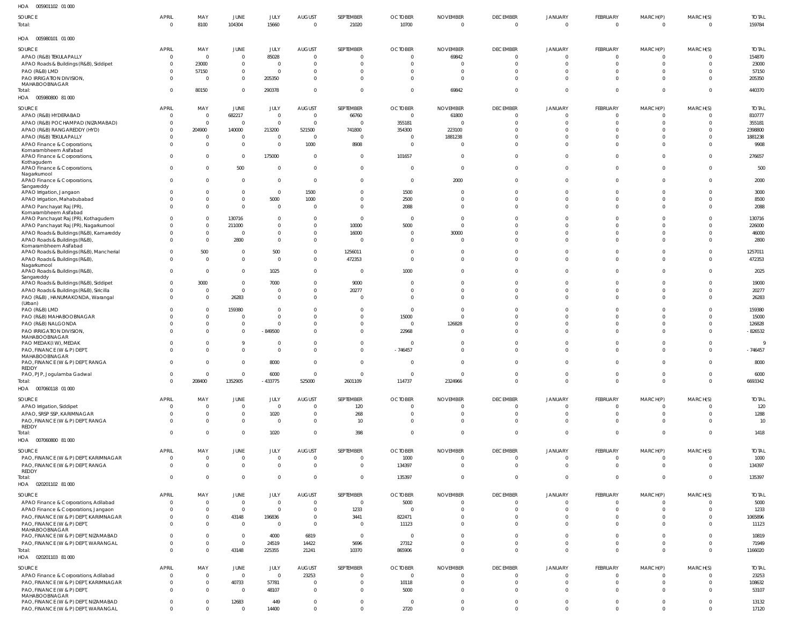| HOA<br>005901102 01 000                                                        |                          |                    |                               |                        |                                  |                        |                                  |                                   |                                  |                            |                            |                                  |                                  |                        |
|--------------------------------------------------------------------------------|--------------------------|--------------------|-------------------------------|------------------------|----------------------------------|------------------------|----------------------------------|-----------------------------------|----------------------------------|----------------------------|----------------------------|----------------------------------|----------------------------------|------------------------|
| SOURCE<br>Total:                                                               | <b>APRIL</b><br>$\Omega$ | MAY<br>8100        | JUNE<br>104304                | JULY<br>15660          | <b>AUGUST</b><br>$\overline{0}$  | SEPTEMBER<br>21020     | <b>OCTOBER</b><br>10700          | <b>NOVEMBER</b><br>$\mathbf 0$    | <b>DECEMBER</b><br>$\Omega$      | JANUARY<br>$\Omega$        | FEBRUARY<br>$\Omega$       | MARCH(P)<br>$\overline{0}$       | MARCH(S)<br>$\overline{0}$       | <b>TOTAL</b><br>159784 |
| HOA   005980101   01   000                                                     |                          |                    |                               |                        |                                  |                        |                                  |                                   |                                  |                            |                            |                                  |                                  |                        |
| SOURCE                                                                         | <b>APRIL</b>             | MAY                | JUNE                          | JULY                   | <b>AUGUST</b>                    | SEPTEMBER              | <b>OCTOBER</b>                   | <b>NOVEMBER</b>                   | <b>DECEMBER</b>                  | <b>JANUARY</b>             | FEBRUARY                   | MARCH(P)                         | MARCH(S)                         | <b>TOTAL</b>           |
| APAO (R&B) TEKULAPALLY                                                         | - 0                      | $\mathbf 0$        | $\mathbf{0}$                  | 85028                  | $\overline{0}$                   |                        | 0                                | 69842                             | 0                                | $\Omega$                   | $\sqrt{ }$                 | $\overline{0}$                   | $\overline{0}$                   | 154870                 |
| APAO Roads & Buildings (R&B), Siddipet                                         |                          | 23000              | $\overline{0}$                | $\Omega$               | $\Omega$                         |                        | $\Omega$                         |                                   | $\Omega$                         |                            |                            | $\Omega$                         | $\Omega$                         | 23000                  |
| PAO (R&B) LMD                                                                  |                          | 57150              | $\mathbf{0}$                  | $\Omega$               | $\mathbf 0$                      |                        | 0                                | $\Omega$                          | $\Omega$                         |                            |                            | $\Omega$                         | $\Omega$                         | 57150                  |
| PAO IRRIGATION DIVISION,                                                       |                          | $\Omega$           | $\overline{0}$                | 205350                 | $\Omega$                         |                        | $\Omega$                         | $\Omega$                          | $\Omega$                         |                            |                            | $\Omega$                         | $\Omega$                         | 205350                 |
| MAHABOOBNAGAR<br>Total:                                                        |                          | 80150              | $\overline{0}$                | 290378                 | $\mathbf 0$                      | $\Omega$               | $\Omega$                         | 69842                             | $\Omega$                         |                            |                            | $\overline{0}$                   | $\overline{0}$                   | 440370                 |
| HOA   005980800   81   000                                                     |                          |                    |                               |                        |                                  |                        |                                  |                                   |                                  |                            |                            |                                  |                                  |                        |
|                                                                                |                          |                    |                               |                        |                                  |                        |                                  |                                   |                                  |                            |                            |                                  |                                  |                        |
| SOURCE                                                                         | <b>APRIL</b><br>- 0      | MAY<br>$\mathbf 0$ | JUNE                          | JULY<br>$\overline{0}$ | AUGUST<br>$\overline{0}$         | SEPTEMBER<br>66760     | <b>OCTOBER</b><br>$\overline{0}$ | <b>NOVEMBER</b><br>61800          | <b>DECEMBER</b><br>- 0           | <b>JANUARY</b><br>$\Omega$ | FEBRUARY<br>- 0            | MARCH(P)<br>$\overline{0}$       | MARCH(S)<br>$\overline{0}$       | <b>TOTAL</b><br>810777 |
| APAO (R&B) HYDERABAD<br>APAO (R&B) POCHAMPAD (NIZAMABAD)                       | - 0                      | $\mathbf 0$        | 682217<br>$\overline{0}$      | $\Omega$               | $\overline{0}$                   |                        | 355181                           |                                   | $\Omega$                         | $\Omega$                   |                            | $\overline{0}$                   | $\overline{0}$                   | 355181                 |
| APAO (R&B) RANGAREDDY (HYD)                                                    | $\Omega$                 | 204900             | 140000                        | 213200                 | 521500                           | 741800                 | 354300                           | 223100                            | $\Omega$                         | $\Omega$                   |                            | $\Omega$                         | $\overline{0}$                   | 2398800                |
| APAO (R&B) TEKULAPALLY                                                         |                          | $\mathbf 0$        | $\overline{0}$                | $\Omega$               | $\overline{0}$                   | $\Omega$               | $\Omega$                         | 1881238                           | $\Omega$                         |                            |                            | $\Omega$                         | $\Omega$                         | 1881238                |
| APAO Finance & Corporations,                                                   |                          | $\Omega$           | $\mathbf{0}$                  | $\Omega$               | 1000                             | 8908                   | $\Omega$                         | $\overline{0}$                    | $\Omega$                         | $\Omega$                   |                            | $\Omega$                         | $\Omega$                         | 9908                   |
| Komarambheem Asifabad                                                          |                          |                    |                               |                        |                                  |                        |                                  |                                   |                                  |                            |                            |                                  |                                  |                        |
| APAO Finance & Corporations,<br>Kothagudem                                     | $\Omega$                 | 0                  | $\mathbf 0$                   | 175000                 | $\overline{0}$                   | $\overline{0}$         | 101657                           | $\overline{0}$                    | $\Omega$                         | $\Omega$                   |                            | $\mathbf 0$                      | $\mathbf{0}$                     | 276657                 |
| APAO Finance & Corporations,                                                   | $\Omega$                 | 0                  | 500                           | $\Omega$               | $\overline{0}$                   | $\overline{0}$         | $\mathbf{0}$                     | $\overline{0}$                    | - 0                              | $\Omega$                   |                            | $\mathbf 0$                      | $\overline{0}$                   | 500                    |
| Nagarkurnool                                                                   |                          |                    |                               |                        |                                  |                        |                                  |                                   |                                  |                            |                            |                                  |                                  |                        |
| APAO Finance & Corporations,<br>Sangareddy                                     | $\Omega$                 | $\Omega$           | $\overline{0}$                | $\overline{0}$         | $\overline{0}$                   | $\Omega$               | $\overline{0}$                   | 2000                              | $\Omega$                         | $\Omega$                   |                            | $\mathbf 0$                      | $\mathbf{0}$                     | 2000                   |
| APAO Irrigation, Jangaon                                                       |                          | 0                  | $\overline{0}$                | $\overline{0}$         | 1500                             | $\Omega$               | 1500                             | $\overline{0}$                    | $\Omega$                         | $\Omega$                   |                            | $\Omega$                         | $\overline{0}$                   | 3000                   |
| APAO Irrigation, Mahabubabad                                                   |                          | $\mathbf 0$        | $\overline{0}$                | 5000                   | 1000                             | $\Omega$               | 2500                             | $\Omega$                          | $\Omega$                         | $\Omega$                   |                            | $\Omega$                         | $\overline{0}$                   | 8500                   |
| APAO Panchayat Raj (PR)                                                        |                          | $\Omega$           | $\mathbf 0$                   | $\Omega$               | $\overline{0}$                   | $\Omega$               | 2088                             | $\overline{0}$                    | $\Omega$                         | $\Omega$                   |                            | $\Omega$                         | $\Omega$                         | 2088                   |
| Komarambheem Asifabad<br>APAO Panchayat Raj (PR), Kothagudem                   |                          | 0                  | 130716                        | $\overline{0}$         | $\mathbf 0$                      | $\Omega$               | $\overline{0}$                   | $\Omega$                          | $\Omega$                         |                            |                            | $\Omega$                         | $\Omega$                         | 130716                 |
| APAO Panchayat Raj (PR), Nagarkurnool                                          |                          | $\mathbf 0$        | 211000                        | $\overline{0}$         | $\mathbf 0$                      | 10000                  | 5000                             | $\mathbf{0}$                      | $\Omega$                         |                            |                            | $\Omega$                         | $\overline{0}$                   | 226000                 |
| APAO Roads & Buildings (R&B), Kamareddy                                        |                          | $\mathbf 0$        | $\overline{0}$                | $\overline{0}$         | $\mathbf 0$                      | 16000                  | $\Omega$                         | 30000                             | $\Omega$                         | $\Omega$                   |                            | $\Omega$                         | $\overline{0}$                   | 46000                  |
| APAO Roads & Buildings (R&B),                                                  |                          | $\Omega$           | 2800                          | $\Omega$               | $\Omega$                         | $\Omega$               | $\Omega$                         | $\overline{0}$                    | $\Omega$                         | $\Omega$                   |                            | $\Omega$                         | $\Omega$                         | 2800                   |
| Komarambheem Asifabad                                                          |                          |                    |                               |                        |                                  |                        |                                  |                                   |                                  |                            |                            |                                  |                                  |                        |
| APAO Roads & Buildings (R&B), Mancherial<br>APAO Roads & Buildings (R&B),      |                          | 500<br>$\Omega$    | $\mathbf 0$<br>$\overline{0}$ | 500<br>$\Omega$        | $\Omega$<br>$\Omega$             | 1256011<br>472353      | $\Omega$<br>$\Omega$             | $\Omega$<br>$\Omega$              | $\Omega$<br>$\Omega$             | -0<br>$\Omega$             |                            | $\Omega$<br>$\Omega$             | $\Omega$<br>$\Omega$             | 1257011<br>472353      |
| Nagarkurnool                                                                   |                          |                    |                               |                        |                                  |                        |                                  |                                   |                                  |                            |                            |                                  |                                  |                        |
| APAO Roads & Buildings (R&B),                                                  | $\Omega$                 | $\Omega$           | $\overline{0}$                | 1025                   | $\mathbf 0$                      | $\Omega$               | 1000                             | $\Omega$                          | $\Omega$                         | $\Omega$                   |                            | $\mathbf 0$                      | $\Omega$                         | 2025                   |
| Sangareddy<br>APAO Roads & Buildings (R&B), Siddipet                           |                          | 3000               | $\overline{0}$                | 7000                   | $\mathbf 0$                      | 9000                   | $\Omega$                         | $\Omega$                          | 0                                | $\Omega$                   |                            | $\Omega$                         | $\overline{0}$                   | 19000                  |
| APAO Roads & Buildings (R&B), Siricilla                                        |                          | $\Omega$           | $\mathbf{0}$                  | $\Omega$               | $\mathbf 0$                      | 20277                  | $\Omega$                         | $\Omega$                          | $\Omega$                         | $\Omega$                   |                            | $\Omega$                         | $\overline{0}$                   | 20277                  |
| PAO (R&B), HANUMAKONDA, Warangal                                               | $\Omega$                 | $\Omega$           | 26283                         | $\Omega$               | $\mathbf 0$                      | $\Omega$               | $\Omega$                         | $\Omega$                          | $\Omega$                         | $\Omega$                   |                            | $\mathbf 0$                      | $\Omega$                         | 26283                  |
| (Urban)                                                                        |                          |                    |                               |                        |                                  |                        |                                  |                                   |                                  |                            |                            |                                  |                                  |                        |
| PAO (R&B) LMD                                                                  |                          | 0<br>$\Omega$      | 159380                        | $\Omega$<br>$\Omega$   | $\Omega$<br>$\Omega$             | $\Omega$<br>$\Omega$   | $\overline{0}$                   | $\Omega$<br>$\Omega$              | $\Omega$                         |                            |                            | $\Omega$<br>$\Omega$             | $\Omega$<br>$\Omega$             | 159380                 |
| PAO (R&B) MAHABOOBNAGAR<br>PAO (R&B) NALGONDA                                  |                          | $\Omega$           | $\overline{0}$<br>$\mathbf 0$ | $\Omega$               | $\mathbf 0$                      | $\Omega$               | 15000<br>$\overline{0}$          | 126828                            | $\Omega$<br>$\Omega$             | -0<br>-0                   |                            | $\Omega$                         | $\mathbf{0}$                     | 15000<br>126828        |
| PAO IRRIGATION DIVISION,                                                       |                          |                    | $\overline{0}$                | $-849500$              | $\Omega$                         | $\Omega$               | 22968                            | $\Omega$                          | $\Omega$                         |                            |                            | $\Omega$                         | $\Omega$                         | $-826532$              |
| MAHABOOBNAGAR                                                                  |                          |                    |                               |                        |                                  |                        |                                  |                                   |                                  |                            |                            |                                  |                                  |                        |
| PAO MEDAK(IW), MEDAK                                                           |                          |                    | 9                             | $\Omega$               | $\mathbf 0$                      | $\Omega$               | $\Omega$                         | $\Omega$                          | 0                                | -0                         |                            | $\Omega$                         | $\mathbf{0}$                     | <b>q</b>               |
| PAO, FINANCE (W & P) DEPT<br>MAHABOOBNAGAR                                     |                          |                    | $\mathbf 0$                   | $\Omega$               | $\Omega$                         | $\Omega$               | $-746457$                        | $\Omega$                          | $\Omega$                         | $\Omega$                   |                            | $\Omega$                         | $\mathbf{0}$                     | $-746457$              |
| PAO, FINANCE (W & P) DEPT, RANGA                                               | $\overline{0}$           | 0                  | 0                             | 8000                   |                                  | $\overline{0}$         | $^{\circ}$                       | $\mathbf{0}$                      |                                  |                            |                            | $\mathbf 0$                      | $\overline{0}$                   | 8000                   |
| <b>REDDY</b>                                                                   |                          |                    |                               |                        |                                  |                        |                                  |                                   |                                  |                            |                            |                                  |                                  |                        |
| PAO, PJP, Jogulamba Gadwal                                                     | $\Omega$<br>$\Omega$     | $\mathbf 0$        | $\mathbf 0$                   | 6000                   | $\overline{0}$                   | $\Omega$               | $\overline{0}$                   | $\mathbf{0}$                      | $\overline{0}$                   | $\overline{0}$<br>$\Omega$ | $\overline{0}$<br>$\Omega$ | $\overline{0}$                   | $\overline{0}$                   | 6000                   |
| Total:<br>HOA  007060118  01  000                                              |                          | 208400             | 1352905                       | $-433775$              | 525000                           | 2601109                | 114737                           | 2324966                           | $\mathbf{0}$                     |                            |                            | $\mathbf 0$                      | $\overline{0}$                   | 6693342                |
|                                                                                |                          |                    |                               |                        |                                  |                        |                                  |                                   |                                  |                            |                            |                                  |                                  |                        |
| SOURCE                                                                         | <b>APRIL</b>             | MAY                | JUNE                          | JULY                   | <b>AUGUST</b>                    | SEPTEMBER              | <b>OCTOBER</b>                   | <b>NOVEMBER</b>                   | <b>DECEMBER</b>                  | <b>JANUARY</b>             | FEBRUARY                   | MARCH(P)                         | MARCH(S)                         | <b>TOTAL</b>           |
| APAO Irrigation, Siddipet                                                      | - 0                      | 0                  | $\mathbf 0$                   | $\overline{0}$         | $\overline{0}$                   | 120                    | $^{\circ}$                       | $\overline{0}$                    | $\overline{0}$                   | $\Omega$                   | $\Omega$                   | $\overline{0}$                   | $\overline{0}$                   | 120                    |
| APAO, SRSP SSP, KARIMNAGAR<br>PAO, FINANCE (W & P) DEPT, RANGA                 |                          | 0<br>$\mathbf 0$   | $\mathbf 0$<br>$\mathbf 0$    | 1020<br>$\Omega$       | $\overline{0}$<br>$\overline{0}$ | 268<br>10              | $\Omega$<br>$\mathbf{0}$         | $\mathbf 0$<br>$\overline{0}$     | - 0<br>$\overline{0}$            | $\Omega$                   | - 0                        | $\overline{0}$<br>$\mathbf 0$    | $\overline{0}$<br>$\overline{0}$ | 1288<br>10             |
| <b>REDDY</b>                                                                   |                          |                    |                               |                        |                                  |                        |                                  |                                   |                                  |                            |                            |                                  |                                  |                        |
| Total:                                                                         | $\Omega$                 | 0                  | $\overline{0}$                | 1020                   | $\overline{0}$                   | 398                    | $\mathbf 0$                      | $\mathbf{0}$                      | $\overline{0}$                   | $\Omega$                   | - 0                        | $\mathbf 0$                      | $\overline{0}$                   | 1418                   |
| HOA  007060800  81  000                                                        |                          |                    |                               |                        |                                  |                        |                                  |                                   |                                  |                            |                            |                                  |                                  |                        |
| SOURCE                                                                         | <b>APRIL</b>             | MAY                | JUNE                          | JULY                   | <b>AUGUST</b>                    | SEPTEMBER              | <b>OCTOBER</b>                   | <b>NOVEMBER</b>                   | <b>DECEMBER</b>                  | <b>JANUARY</b>             | FEBRUARY                   | MARCH(P)                         | MARCH(S)                         | <b>TOTAL</b>           |
| PAO, FINANCE (W & P) DEPT, KARIMNAGAR                                          | $\Omega$                 | $\mathbf 0$        | $\mathbf 0$                   | $\Omega$               | $\overline{0}$                   | $\Omega$               | 1000                             | $\mathbf{0}$                      | $\overline{0}$                   | $\overline{0}$             | $\Omega$                   | $\overline{0}$                   | $\overline{0}$                   | 1000                   |
| PAO, FINANCE (W & P) DEPT, RANGA                                               | $\Omega$                 | $\mathbf 0$        | $\mathbf 0$                   | $\Omega$               | $\overline{0}$                   | $\Omega$               | 134397                           | $\mathbf{0}$                      | $\overline{0}$                   | $\overline{0}$             | $\Omega$                   | $\mathbf 0$                      | $\overline{0}$                   | 134397                 |
| REDDY<br>Total:                                                                | $\Omega$                 | $\mathbf 0$        | $\mathbf 0$                   | $\overline{0}$         | $\overline{0}$                   | $\overline{0}$         | 135397                           | $\mathbf{0}$                      | $\overline{0}$                   | $\overline{0}$             | $\Omega$                   | $\mathbf 0$                      | $\overline{0}$                   | 135397                 |
| HOA  020201102  81  000                                                        |                          |                    |                               |                        |                                  |                        |                                  |                                   |                                  |                            |                            |                                  |                                  |                        |
|                                                                                |                          |                    |                               |                        |                                  |                        |                                  |                                   |                                  |                            |                            |                                  |                                  |                        |
| <b>SOURCE</b><br>APAO Finance & Corporations, Adilabad                         | <b>APRIL</b><br>- 0      | MAY<br>$\mathbf 0$ | JUNE<br>$\mathbf 0$           | JULY<br>$\Omega$       | <b>AUGUST</b><br>$\overline{0}$  | SEPTEMBER<br>$\Omega$  | <b>OCTOBER</b><br>5000           | <b>NOVEMBER</b><br>$\overline{0}$ | <b>DECEMBER</b><br>0             | <b>JANUARY</b><br>$\Omega$ | FEBRUARY<br>$\sqrt{ }$     | MARCH(P)<br>$\overline{0}$       | MARCH(S)<br>$\overline{0}$       | <b>TOTAL</b><br>5000   |
| APAO Finance & Corporations, Jangaon                                           |                          | 0                  | $\mathbf 0$                   | $\overline{0}$         | $\overline{0}$                   | 1233                   | $\Omega$                         | $\mathbf{0}$                      | $\Omega$                         |                            |                            | $\overline{0}$                   | $\overline{0}$                   | 1233                   |
| PAO, FINANCE (W & P) DEPT, KARIMNAGAR                                          |                          | 0                  | 43148                         | 196836                 | $\mathbf 0$                      | 3441                   | 822471                           | $\mathbf 0$                       | - 0                              |                            |                            | $\overline{0}$                   | $\overline{0}$                   | 1065896                |
| PAO, FINANCE (W & P) DEPT,                                                     |                          | 0                  | $\mathbf 0$                   | $\overline{0}$         | $\overline{0}$                   | - 0                    | 11123                            | $\overline{0}$                    | - 0                              |                            |                            | $\mathbf 0$                      | $\Omega$                         | 11123                  |
| MAHABOOBNAGAR                                                                  |                          |                    |                               |                        |                                  |                        |                                  |                                   |                                  |                            |                            |                                  |                                  |                        |
| PAO, FINANCE (W & P) DEPT, NIZAMABAD                                           |                          | 0<br>0             | $\mathbf{0}$                  | 4000                   | 6819                             | $\overline{0}$<br>5696 | $\overline{\mathbf{0}}$<br>27312 | $\Omega$<br>$\mathbf{0}$          | $\overline{0}$<br>$\overline{0}$ | - 0                        |                            | $\overline{0}$<br>$\overline{0}$ | $\Omega$<br>$\overline{0}$       | 10819                  |
| PAO, FINANCE (W & P) DEPT, WARANGAL<br>Total:                                  |                          | 0                  | $\mathbf 0$<br>43148          | 24519<br>225355        | 14422<br>21241                   | 10370                  | 865906                           | $\overline{0}$                    | $\overline{0}$                   | -0                         | $\Omega$                   | $\mathbf 0$                      | $\overline{0}$                   | 71949<br>1166020       |
| HOA  020201103  81  000                                                        |                          |                    |                               |                        |                                  |                        |                                  |                                   |                                  |                            |                            |                                  |                                  |                        |
|                                                                                |                          |                    |                               |                        |                                  |                        |                                  |                                   |                                  |                            |                            |                                  |                                  |                        |
| SOURCE                                                                         | <b>APRIL</b><br>$\Omega$ | MAY<br>$\mathbf 0$ | JUNE<br>$\mathbf 0$           | JULY<br>$\overline{0}$ | AUGUST                           | SEPTEMBER<br>$\Omega$  | <b>OCTOBER</b><br>$\overline{0}$ | <b>NOVEMBER</b><br>$\overline{0}$ | <b>DECEMBER</b><br>0             | <b>JANUARY</b>             | FEBRUARY<br>- 0            | MARCH(P)                         | MARCH(S)<br>$\overline{0}$       | <b>TOTAL</b><br>23253  |
| APAO Finance & Corporations, Adilabad<br>PAO, FINANCE (W & P) DEPT, KARIMNAGAR | - 0                      | $\mathbf 0$        | 40733                         | 57781                  | 23253<br>$\overline{0}$          | $\Omega$               | 10118                            | $\mathbf{0}$                      | $\overline{0}$                   | $^{\circ}$<br>- 0          | - 0                        | $^{\circ}$<br>$\overline{0}$     | $\overline{0}$                   | 108632                 |
| PAO, FINANCE (W & P) DEPT,                                                     | $\Omega$                 | $\Omega$           | $\mathbf 0$                   | 48107                  | $\overline{0}$                   | $\Omega$               | 5000                             | $\overline{0}$                    | 0                                | $\Omega$                   | $\Omega$                   | $\mathbf 0$                      | $\overline{0}$                   | 53107                  |
| MAHABOOBNAGAR                                                                  |                          |                    |                               |                        |                                  |                        |                                  |                                   |                                  |                            |                            |                                  |                                  |                        |
| PAO, FINANCE (W & P) DEPT, NIZAMABAD                                           | $\Omega$                 | $\mathbf 0$        | 12683                         | 449                    | $\mathbf 0$                      | $\overline{0}$         | $\overline{0}$                   | $\mathbf{0}$                      | $\overline{0}$                   | $\Omega$                   | $\Omega$                   | $\mathbf 0$                      | $\overline{0}$                   | 13132                  |
| PAO, FINANCE (W & P) DEPT, WARANGAL                                            | $\Omega$                 | $\Omega$           | $\mathbf 0$                   | 14400                  | $\mathbf 0$                      | $\Omega$               | 2720                             | $\Omega$                          | $\Omega$                         |                            | $\Omega$                   | $\Omega$                         | $\overline{0}$                   | 17120                  |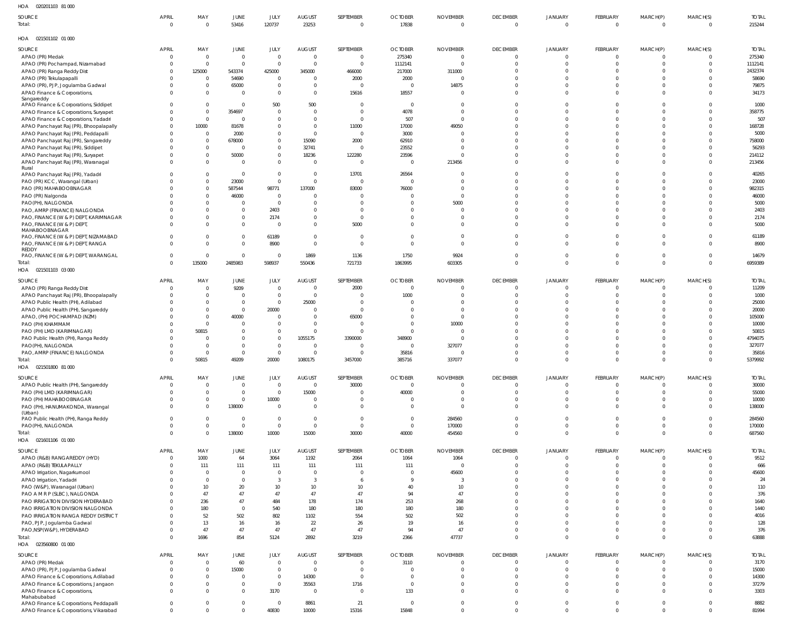| HOA 020201103 81 000                                                       |                      |                         |                              |                             |                                  |                         |                |                    |                 |                |                |                |                         |                   |
|----------------------------------------------------------------------------|----------------------|-------------------------|------------------------------|-----------------------------|----------------------------------|-------------------------|----------------|--------------------|-----------------|----------------|----------------|----------------|-------------------------|-------------------|
| SOURCE                                                                     | <b>APRIL</b>         | MAY                     | JUNE                         | JULY                        | AUGUST                           | SEPTEMBER               | <b>OCTOBER</b> | <b>NOVEMBER</b>    | <b>DECEMBER</b> | <b>JANUARY</b> | FEBRUARY       | MARCH(P)       | MARCH(S)                | <b>TOTAL</b>      |
| Total:                                                                     | $\overline{0}$       | - 0                     | 53416                        | 120737                      | 23253                            | $\Omega$                | 17838          | $\mathbf 0$        | $\Omega$        | $\Omega$       | $\overline{0}$ | $\Omega$       | $\overline{0}$          | 215244            |
| HOA  021501102  01  000                                                    |                      |                         |                              |                             |                                  |                         |                |                    |                 |                |                |                |                         |                   |
| SOURCE                                                                     | <b>APRIL</b>         | MAY                     | JUNE                         | JULY                        | AUGUST                           | SEPTEMBER               | <b>OCTOBER</b> | <b>NOVEMBER</b>    | <b>DECEMBER</b> | <b>JANUARY</b> | FEBRUARY       | MARCH(P)       | MARCH(S)                | <b>TOTAL</b>      |
| APAO (PR) Medak                                                            | 0                    | $\overline{\mathbf{0}}$ | $\mathbf 0$                  | $\circ$                     | $\overline{0}$                   | $\Omega$                | 275340         | $\mathbf 0$        | $\Omega$        | $\Omega$       | $\Omega$       | $\Omega$       | 0                       | 275340            |
| APAO (PR) Pochampad, Nizamabad                                             | $\Omega$<br>$\Omega$ | - 0<br>125000           | $\overline{0}$<br>543374     | $\overline{0}$<br>425000    | $\overline{0}$<br>345000         | 466000                  | 1112141        | $\Omega$<br>311000 | $\Omega$        | - 0            |                | $\Omega$       | $\mathbf 0$<br>$\Omega$ | 1112141           |
| APAO (PR) Ranga Reddy Dist<br>APAO (PR) Tekulapapalli                      | $\Omega$             | $\Omega$                | 54690                        | $^{\circ}$                  | $\overline{0}$                   | 2000                    | 217000<br>2000 | $\Omega$           |                 |                |                | $\Omega$       | $\Omega$                | 2432374<br>58690  |
| APAO (PR), PJP, Jogulamba Gadwal                                           | $\Omega$             | $\Omega$                | 65000                        | $\mathbf{0}$                | $\overline{0}$                   | $\Omega$                | $\Omega$       | 14875              |                 |                | <sup>0</sup>   | $\Omega$       | $\mathbf 0$             | 79875             |
| APAO Finance & Corporations,                                               | $\Omega$             | $\Omega$                | $\overline{0}$               | $\mathbf 0$                 | $\overline{0}$                   | 15616                   | 18557          | $\Omega$           |                 |                | <sup>0</sup>   | $\Omega$       | $\Omega$                | 34173             |
| Sangareddy                                                                 |                      |                         |                              |                             |                                  |                         |                |                    |                 |                |                |                |                         |                   |
| APAO Finance & Corporations, Siddipet                                      | $\Omega$             | $\Omega$                | $\mathbf{0}$                 | 500                         | 500                              | $\Omega$                | $\overline{0}$ |                    |                 |                |                |                | $\Omega$                | 1000              |
| APAO Finance & Corporations, Suryapet                                      | $\Omega$             | $\Omega$                | 354697                       | $^{\circ}$                  | $\overline{0}$                   |                         | 4078           | $\Omega$           |                 |                | <sup>0</sup>   | $\Omega$       | $\Omega$                | 358775            |
| APAO Finance & Corporations, Yadadri                                       | $\Omega$             | $\Omega$                | $\mathbf 0$                  | $\Omega$                    | $\overline{0}$                   | $\Omega$                | 507            | $\Omega$           |                 |                |                |                | $\Omega$                | 507               |
| APAO Panchayat Raj (PR), Bhoopalapally                                     | $\Omega$             | 10000<br>$\Omega$       | 81678                        | $\mathbf 0$                 | $\overline{0}$<br>$\overline{0}$ | 11000<br>$\overline{0}$ | 17000          | 49050              |                 |                |                |                | $\Omega$<br>$\Omega$    | 168728            |
| APAO Panchayat Raj (PR), Peddapalli<br>APAO Panchayat Raj (PR), Sangareddy | $\Omega$<br>$\Omega$ | $\Omega$                | 2000<br>678000               | $\mathbf{0}$<br>$\mathbf 0$ | 15090                            | 2000                    | 3000<br>62910  |                    |                 |                |                |                | $\Omega$                | 5000<br>758000    |
| APAO Panchayat Raj (PR), Siddipet                                          |                      | $\Omega$                | $\overline{0}$               | $\mathbf{0}$                | 32741                            | $\Omega$                | 23552          |                    |                 |                |                |                | $\Omega$                | 56293             |
| APAO Panchayat Raj (PR), Suryapet                                          | $\Omega$             | $\Omega$                | 50000                        | $\mathbf 0$                 | 18236                            | 122280                  | 23596          |                    |                 |                |                | $\Omega$       | $\Omega$                | 214112            |
| APAO Panchayat Raj (PR), Waranagal                                         | $\Omega$             | $\Omega$                | $\overline{0}$               | $\Omega$                    | $\overline{0}$                   | $\Omega$                | - 0            | 213456             |                 |                | $\Omega$       | $\Omega$       | $\Omega$                | 213456            |
| Rural                                                                      |                      |                         |                              |                             |                                  |                         |                |                    |                 |                |                |                |                         |                   |
| APAO Panchayat Raj (PR), Yadadr                                            | $\Omega$             | $\Omega$                | $\overline{0}$               | $\mathbf 0$                 | $\overline{0}$                   | 13701                   | 26564          |                    |                 |                |                | $\Omega$       | $\Omega$                | 40265             |
| PAO (PR) KCC, Warangal (Urban)                                             |                      | $\Omega$                | 23000                        | $\mathbf{0}$                | $\overline{0}$                   | $\Omega$                | $\Omega$       |                    |                 |                |                |                | $\Omega$                | 23000             |
| PAO (PR) MAHABOOBNAGAR                                                     |                      | - 0                     | 587544                       | 98771                       | 137000                           | 83000                   | 76000          |                    |                 |                | $\Omega$       |                | $\Omega$                | 982315            |
| PAO (PR) Nalgonda                                                          |                      | - 0                     | 46000                        | $\overline{0}$              | $\Omega$                         | $\Omega$                |                | $\Omega$           |                 |                |                |                | $\Omega$<br>$\Omega$    | 46000             |
| PAO(PH), NALGONDA<br>PAO, AMRP (FINANCE) NALGONDA                          |                      | - 0<br>- 0              | $\mathbf{0}$<br>$\mathbf{0}$ | $\overline{0}$<br>2403      | $\overline{0}$<br>$\overline{0}$ | $\Omega$<br>$\Omega$    |                | 5000               |                 |                |                |                | $\Omega$                | 5000<br>2403      |
| PAO, FINANCE (W & P) DEPT, KARIMNAGAR                                      | $\Omega$             |                         | $\mathbf{0}$                 | 2174                        | $\overline{0}$                   | $\Omega$                | $\Omega$       | $\Omega$           |                 |                |                | $\Omega$       | $\Omega$                | 2174              |
| PAO, FINANCE (W & P) DEPT,                                                 | $\Omega$             |                         | $\mathbf{0}$                 | $\sqrt{ }$                  | $\Omega$                         | 5000                    | $\Omega$       | $\Omega$           |                 |                |                | $\Omega$       | $\Omega$                | 5000              |
| MAHABOOBNAGAR                                                              |                      |                         |                              |                             |                                  |                         |                |                    |                 |                |                |                |                         |                   |
| PAO, FINANCE (W & P) DEPT, NIZAMABAD                                       | $\Omega$             |                         | $\mathbf{0}$                 | 61189                       | $\overline{0}$                   | $\Omega$                | $\Omega$       | $\Omega$           |                 |                |                | $\Omega$       | $\mathbf 0$             | 61189             |
| PAO, FINANCE (W & P) DEPT, RANGA                                           | $\Omega$             | $\Omega$                | $\mathbf 0$                  | 8900                        | $\overline{0}$                   | $\Omega$                | $\Omega$       | $\Omega$           |                 |                | $\Omega$       | $\Omega$       | $\Omega$                | 8900              |
| <b>REDDY</b><br>PAO, FINANCE (W & P) DEPT, WARANGAL                        | $\mathbf 0$          | $\Omega$                | $\mathbf 0$                  | $\Omega$                    | 1869                             | 1136                    | 1750           | 9924               |                 | $\Omega$       | <sup>0</sup>   | $\overline{0}$ | $\mathbf 0$             | 14679             |
| Total:                                                                     | $\mathbf{0}$         | 135000                  | 2485983                      | 598937                      | 550436                           | 721733                  | 1863995        | 603305             | $\Omega$        | $\Omega$       | $\Omega$       | $\mathbf{0}$   | $\mathbf{0}$            | 6959389           |
| HOA  021501103  03  000                                                    |                      |                         |                              |                             |                                  |                         |                |                    |                 |                |                |                |                         |                   |
|                                                                            |                      |                         |                              |                             |                                  |                         |                |                    |                 |                |                |                |                         |                   |
| SOURCE                                                                     | <b>APRIL</b>         | MAY                     | JUNE                         | JULY                        | AUGUST                           | SEPTEMBER               | <b>OCTOBER</b> | <b>NOVEMBER</b>    | <b>DECEMBER</b> | JANUARY        | FEBRUARY       | MARCH(P)       | MARCH(S)                | <b>TOTAL</b>      |
| APAO (PR) Ranga Reddy Dist                                                 | C                    | $\Omega$                | 9209                         | $\mathbf 0$                 | $\overline{0}$                   | 2000                    | $\overline{0}$ | $\mathbf 0$        |                 |                |                | $\Omega$       | 0                       | 11209             |
| APAO Panchayat Raj (PR), Bhoopalapally                                     |                      | - 0                     | $\mathbf{0}$                 | $\mathbf 0$                 | $\overline{0}$                   |                         | 1000           | $\Omega$           |                 |                |                | $\Omega$       | $\mathbf 0$             | 1000              |
| APAO Public Health (PH), Adilabad                                          |                      | - 0                     | $\mathbf 0$                  | $\mathbf{0}$                | 25000                            |                         |                |                    |                 |                |                | $\Omega$       | $\Omega$                | 25000             |
| APAO Public Health (PH), Sangareddy                                        |                      |                         | $\mathbf{0}$                 | 20000                       | $\overline{0}$                   | - 0                     |                |                    |                 |                |                |                | $\Omega$                | 20000             |
| APAO, (PH) POCHAMPAD (NZM)                                                 |                      | $\Omega$                | 40000                        | $\overline{0}$              | $\overline{0}$                   | 65000                   |                |                    |                 |                |                |                | $\Omega$                | 105000            |
| PAO (PH) KHAMMAM                                                           |                      | $\Omega$                | $\mathbf{0}$                 | $\mathbf 0$                 | $\overline{0}$                   | $\sqrt{ }$              |                | 10000              |                 |                |                |                | $\Omega$<br>$\Omega$    | 10000             |
| PAO (PH) LMD (KARIMNAGAR)                                                  | $\Omega$             | 50815                   | $\mathbf{0}$                 | $\mathbf{0}$                | $\overline{0}$                   |                         |                |                    |                 |                |                |                | $\Omega$                | 50815             |
| PAO Public Health (PH), Ranga Reddy<br>PAO(PH), NALGONDA                   |                      | $\Omega$                | 0<br>$\mathbf{0}$            | $\mathbf 0$<br>$\mathbf 0$  | 1055175<br>$\overline{0}$        | 3390000                 | 348900         | 327077             |                 |                |                |                |                         | 4794075<br>327077 |
| PAO, AMRP (FINANCE) NALGONDA                                               |                      |                         | $\mathbf{0}$                 | $\Omega$                    | $\overline{0}$                   |                         | 35816          |                    |                 |                |                |                | C.                      | 35816             |
| Total:                                                                     |                      | 50815                   | 49209                        | 20000                       | 1080175                          | 3457000                 | 385716         | 337077             |                 |                |                |                | $\Omega$                | 5379992           |
| HOA<br>021501800 81 000                                                    |                      |                         |                              |                             |                                  |                         |                |                    |                 |                |                |                |                         |                   |
|                                                                            |                      |                         |                              |                             |                                  |                         |                |                    |                 |                |                |                |                         |                   |
| SOURCE                                                                     | <b>APRIL</b>         | MAY                     | JUNE                         | JULY                        | <b>AUGUST</b>                    | SEPTEMBER               | <b>OCTOBER</b> | <b>NOVEMBER</b>    | <b>DECEMBER</b> | JANUARY        | FEBRUARY       | MARCH(P)       | MARCH(S)                | <b>TOTAL</b>      |
| APAO Public Health (PH), Sangareddy                                        | 0                    | $\Omega$                | $\mathbf{0}$                 | $\overline{0}$              | $\overline{0}$                   | 30000                   | $\overline{0}$ | $\mathbf 0$        | -0              | - 0            | $\Omega$       | $\Omega$       | $\Omega$                | 30000             |
| PAO (PH) LMD (KARIMNAGAR)                                                  | $\Omega$             | $\Omega$                | $\mathbf 0$                  | $\mathbf{0}$                | 15000                            | $\Omega$                | 40000          | $\Omega$           |                 | $\Omega$       | <sup>0</sup>   | $\Omega$       | $\Omega$                | 55000             |
| PAO (PH) MAHABOOBNAGAR                                                     | $\Omega$             | $\Omega$                | $\mathbf 0$                  | 10000                       | $\overline{0}$                   | $\Omega$                | $\Omega$       | $\Omega$           |                 | - 0            |                | $\Omega$       | $\Omega$                | 10000             |
| PAO (PH), HANUMAKONDA, Warangal<br>(Urban)                                 | $\Omega$             | $\Omega$                | 138000                       | $\Omega$                    | $\overline{0}$                   | $\Omega$                | $\Omega$       | $\Omega$           | $\cup$          | - 0            | $\Omega$       | $\Omega$       | $\mathbf 0$             | 138000            |
| PAO Public Health (PH), Ranga Reddy                                        | $\Omega$             | $\Omega$                | $\mathbf{0}$                 | $\mathbf{0}$                | $\overline{0}$                   | $\Omega$                | $\Omega$       | 284560             | $\cup$          | $\Omega$       | $\Omega$       | $\Omega$       | $\Omega$                | 284560            |
| PAO(PH), NALGONDA                                                          | $\Omega$             | $\Omega$                | $\mathbf 0$                  | $\mathbf 0$                 | $\overline{0}$                   | $\Omega$                | $\overline{0}$ | 170000             | $\Omega$        | $\Omega$       | $\Omega$       | $\Omega$       | $\mathbf 0$             | 170000            |
| Total:                                                                     | $\Omega$             | $\Omega$                | 138000                       | 10000                       | 15000                            | 30000                   | 40000          | 454560             |                 | $\Omega$       | $\Omega$       | $\Omega$       | $\Omega$                | 687560            |
| HOA 021601106 01 000                                                       |                      |                         |                              |                             |                                  |                         |                |                    |                 |                |                |                |                         |                   |
| SOURCE                                                                     | <b>APRIL</b>         | MAY                     | JUNE                         | JULY                        | AUGUST                           | SEPTEMBER               | <b>OCTOBER</b> | <b>NOVEMBER</b>    | <b>DECEMBER</b> | JANUARY        | FEBRUARY       | MARCH(P)       | MARCH(S)                | <b>TOTAL</b>      |
| APAO (R&B) RANGAREDDY (HYD)                                                | $\overline{0}$       | 1000                    | 64                           | 3064                        | 1192                             | 2064                    | 1064           | 1064               | $\Omega$        | $\Omega$       | $\Omega$       | $\Omega$       | $\mathbf 0$             | 9512              |
| APAO (R&B) TEKULAPALLY                                                     | C                    | 111                     | 111                          | 111                         | 111                              | 111                     | 111            | $\mathbf 0$        |                 | - 0            | $\Omega$       | $\overline{0}$ | $\mathbf 0$             | 666               |
| APAO Irrigation, Nagarkurnool                                              | $\Omega$             | - 0                     | $\overline{0}$               | $\mathbf 0$                 | $\overline{0}$                   | $\Omega$                | - 0            | 45600              |                 | - 0            | <sup>0</sup>   | $\Omega$       | $\Omega$                | 45600             |
| APAO Irrigation, Yadadri                                                   |                      | $\Omega$                | $\overline{0}$               | 3                           | $\overline{3}$                   |                         |                | 3                  |                 |                | <sup>0</sup>   | $\Omega$       | $\Omega$                | 24                |
| PAO (W&P), Waranagal (Urban)                                               |                      | 10                      | 20                           | 10                          | 10 <sup>1</sup>                  | 10                      | 40             | 10                 |                 |                |                | $\Omega$       | $\Omega$                | 110               |
| PAO A M R P (SLBC), NALGONDA                                               |                      | 47                      | 47                           | 47                          | 47                               | 47                      | 94             | 47                 |                 |                |                | $\Omega$       | $\Omega$                | 376               |
| PAO IRRIGATION DIVISION HYDERABAD                                          |                      | 236                     | 47                           | 484                         | 178                              | 174                     | 253            | 268                |                 |                |                | $\Omega$       | $\Omega$                | 1640              |
| PAO IRRIGATION DIVISION NALGONDA                                           | -C                   | 180                     | $\overline{0}$               | 540                         | 180                              | 180                     | 180            | 180                |                 |                |                | $\Omega$       | $\Omega$                | 1440              |
| PAO IRRIGATION RANGA REDDY DISTRICT                                        | -C                   | 52                      | 502                          | 802                         | 1102                             | 554                     | 502            | 502                |                 |                |                | $\Omega$       | $\Omega$                | 4016              |
| PAO, PJP, Jogulamba Gadwal                                                 | $\Omega$             | 13                      | 16                           | 16                          | 22                               | 26                      | 19             | 16                 |                 |                | <sup>0</sup>   | $\Omega$       | $\Omega$                | 128               |
| PAO, NSP(W&P), HYDERABAD                                                   | $\Omega$             | 47                      | 47                           | 47                          | 47                               | 47                      | 94             | 47                 |                 | - 0            | $\Omega$       | $\Omega$       | $\mathbf 0$             | 376               |
| Total:                                                                     | $\Omega$             | 1696                    | 854                          | 5124                        | 2892                             | 3219                    | 2366           | 47737              |                 | $\cap$         | $\Omega$       | $\Omega$       | $\Omega$                | 63888             |
| HOA 023560800 01 000                                                       |                      |                         |                              |                             |                                  |                         |                |                    |                 |                |                |                |                         |                   |
| SOURCE                                                                     | <b>APRIL</b>         | MAY                     | JUNE                         | JULY                        | <b>AUGUST</b>                    | SEPTEMBER               | <b>OCTOBER</b> | <b>NOVEMBER</b>    | <b>DECEMBER</b> | JANUARY        | FEBRUARY       | MARCH(P)       | MARCH(S)                | <b>TOTAL</b>      |
| APAO (PR) Medak                                                            | 0                    | $\Omega$                | 60                           | $\mathbf{0}$                | $\overline{0}$                   | $\Omega$                | 3110           | $\Omega$           | -0              | - 0            | $\Omega$       |                | $\Omega$                | 3170              |
| APAO (PR), PJP, Jogulamba Gadwal                                           | $\Omega$             | $\Omega$                | 15000                        | $\mathbf 0$                 | $\overline{0}$                   | $\Omega$                | $\Omega$       | $\Omega$           | $\Omega$        | - 0            | <sup>0</sup>   | $\Omega$       | $\mathbf 0$             | 15000             |
| APAO Finance & Corporations, Adilabad                                      | $\Omega$             | $\Omega$                | $\mathbf{0}$                 | $\mathbf{0}$                | 14300                            | $\Omega$                |                | $\Omega$           |                 | - 0            | <sup>0</sup>   |                | $\Omega$                | 14300             |
| APAO Finance & Corporations, Jangaon                                       | $\Omega$             | - 0                     | $\mathbf{0}$                 | $\overline{0}$              | 35563                            | 1716                    | $\Omega$       | $\Omega$           | $\Omega$        | - 0            | $\Omega$       | $\Omega$       | $\mathbf 0$             | 37279             |
| APAO Finance & Corporations,                                               | $\Omega$             | $\Omega$                | $\mathbf 0$                  | 3170                        | $\overline{0}$                   | $\Omega$                | 133            | $\Omega$           |                 | $\Omega$       | $\Omega$       | $\Omega$       | $\Omega$                | 3303              |
| Mahabubabad<br>APAO Finance & Corporations, Peddapalli                     | $\overline{0}$       | - 0                     | $\mathbf 0$                  | $\circ$                     | 8861                             | 21                      |                | $\Omega$           | $\Omega$        | $\Omega$       | $\Omega$       | $\Omega$       | $\mathbf 0$             | 8882              |
| APAO Finance & Corporations, Vikarabad                                     | $\mathbf 0$          | $\Omega$                | $\Omega$                     | 40830                       | 10000                            | 15316                   | 15848          | $\Omega$           |                 | $\Omega$       | $\Omega$       | $\Omega$       | $\Omega$                | 81994             |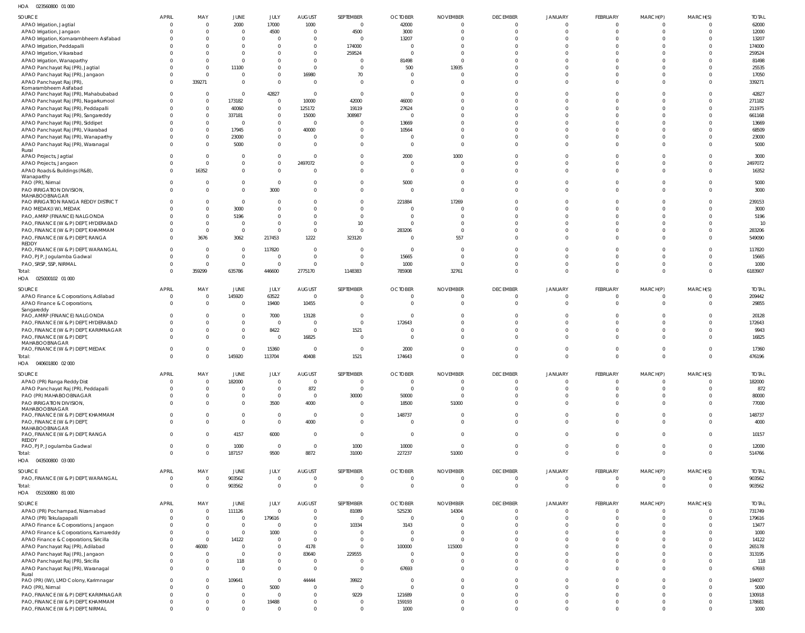023560800 01 000 HOA

| <b>SOURCE</b>                                                              | <b>APRIL</b>   | MAY                              | JUNE                         | JULY                             | <b>AUGUST</b>                    | SEPTEMBER                        | <b>OCTOBER</b>                   | <b>NOVEMBER</b>                  | <b>DECEMBER</b>            | <b>JANUARY</b>             | <b>FEBRUARY</b>            | MARCH(P)                         | MARCH(S)                 | <b>TOTAL</b>     |
|----------------------------------------------------------------------------|----------------|----------------------------------|------------------------------|----------------------------------|----------------------------------|----------------------------------|----------------------------------|----------------------------------|----------------------------|----------------------------|----------------------------|----------------------------------|--------------------------|------------------|
| APAO Irrigation, Jagtial                                                   |                | $\Omega$                         | 2000                         | 17000                            | 1000                             | $\overline{0}$                   | 42000                            | $\overline{0}$                   | $\Omega$                   | $\Omega$                   | $\Omega$                   | $\overline{0}$                   |                          | 62000            |
| APAO Irrigation, Jangaon                                                   |                | $\Omega$                         | $\mathbf 0$                  | 4500                             | $\overline{0}$                   | 4500                             | 3000                             | $\overline{0}$                   | $\Omega$                   | $\Omega$                   | $\Omega$                   | $\overline{0}$                   | $\Omega$                 | 12000            |
| APAO Irrigation, Komarambheem Asifabad                                     |                | $\Omega$                         | $\mathbf{0}$<br>$\mathbf 0$  | $\overline{0}$<br>$\overline{0}$ | $\Omega$<br>$\Omega$             | $\overline{0}$                   | 13207<br>$\overline{0}$          | $\overline{0}$<br>$\Omega$       | $\Omega$<br>$\Omega$       | $\Omega$<br>$\Omega$       | $\Omega$<br>$\Omega$       | $\Omega$<br>$\Omega$             | $\Omega$<br>$\Omega$     | 13207<br>174000  |
| APAO Irrigation, Peddapalli<br>APAO Irrigation, Vikarabad                  |                | $\Omega$                         | $\mathbf{0}$                 | $\mathbf 0$                      | $\Omega$                         | 174000<br>259524                 | $\Omega$                         | $\overline{0}$                   | $\cap$                     | $\Omega$                   | $\cap$                     | $\Omega$                         | U                        | 259524           |
| APAO Irrigation, Wanaparthy                                                |                | $\Omega$                         | $\mathbf 0$                  | $\overline{0}$                   | $\Omega$                         | $\overline{0}$                   | 81498                            | $\overline{0}$                   | $\Omega$                   | $\Omega$                   | $\Omega$                   | $\Omega$                         | $\Omega$                 | 81498            |
| APAO Panchayat Raj (PR), Jagtial                                           |                | $\Omega$                         | 11100                        | $\overline{0}$                   | $\overline{0}$                   | $\overline{0}$                   | 500                              | 13935                            | $\Omega$                   | $\Omega$                   | $\Omega$                   | $\Omega$                         | $\Omega$                 | 25535            |
| APAO Panchayat Raj (PR), Jangaon                                           |                | $\Omega$                         | $\mathbf{0}$                 | $\overline{0}$                   | 16980                            | 70                               | $\overline{0}$                   | $\overline{0}$                   | $\Omega$<br>$\Omega$       | $\Omega$<br>$\Omega$       | $\Omega$<br>$\Omega$       | $\Omega$                         | $\Omega$                 | 17050            |
| APAO Panchayat Raj (PR)<br>Komarambheem Asifabad                           |                | 339271                           | $\mathbf{0}$                 | $\overline{0}$                   | $\overline{0}$                   | $\overline{0}$                   | $\Omega$                         | $\Omega$                         |                            |                            |                            | $\Omega$                         | $\Omega$                 | 339271           |
| APAO Panchayat Raj (PR), Mahabubabad                                       |                | $\Omega$                         | $\mathbf{0}$                 | 42827                            | $\overline{0}$                   | $\overline{0}$                   | $\overline{0}$                   | $\Omega$                         | $\Omega$                   | $\Omega$                   | $\Omega$                   | $\Omega$                         | $\Omega$                 | 42827            |
| APAO Panchayat Raj (PR), Nagarkurnool                                      |                | $\Omega$                         | 173182                       | $\overline{0}$                   | 10000                            | 42000                            | 46000                            | $\Omega$                         | $\cap$                     | $\Omega$                   | $\cap$                     | $\Omega$                         | <sup>0</sup>             | 271182           |
| APAO Panchayat Raj (PR), Peddapalli<br>APAO Panchayat Raj (PR), Sangareddy |                | $\mathbf{0}$<br>$\Omega$         | 40060<br>337181              | $\overline{0}$<br>$\overline{0}$ | 125172<br>15000                  | 19119<br>308987                  | 27624<br>$\Omega$                | $\overline{0}$<br>$\Omega$       | $\Omega$<br>$\Omega$       | $\Omega$<br>$\Omega$       | $\Omega$<br>$\Omega$       | $\Omega$<br>$\Omega$             | $\Omega$<br>$\Omega$     | 211975<br>661168 |
| APAO Panchayat Raj (PR), Siddipet                                          |                | $\Omega$                         | $\overline{0}$               | $\overline{0}$                   | $\overline{0}$                   | $\overline{0}$                   | 13669                            | $\Omega$                         | $\cap$                     | $\Omega$                   | $\Omega$                   | $\Omega$                         | <sup>0</sup>             | 13669            |
| APAO Panchayat Raj (PR), Vikarabad                                         |                | $\Omega$                         | 17945                        | $\overline{0}$                   | 40000                            | $\circ$                          | 10564                            | $\Omega$                         | $\Omega$                   | $\Omega$                   | $\Omega$                   | $\Omega$                         | $\Omega$                 | 68509            |
| APAO Panchayat Raj (PR), Wanaparthy                                        |                | $\Omega$                         | 23000                        | $\overline{0}$                   | $\Omega$                         | $\overline{0}$                   | $\overline{0}$                   | $\overline{0}$                   | $\Omega$                   | $\Omega$                   | $\Omega$                   | $\Omega$                         | $\Omega$                 | 23000            |
| APAO Panchayat Raj (PR), Waranagal<br>Rural                                |                | $\Omega$                         | 5000                         | $\overline{0}$                   | $\Omega$                         | $\overline{0}$                   | $\Omega$                         | $\overline{0}$                   | $\Omega$                   | $\Omega$                   | $\Omega$                   | $\Omega$                         | $\Omega$                 | 5000             |
| APAO Projects, Jagtial                                                     |                | $\Omega$                         | $\mathbf{0}$                 | $\overline{0}$                   | $\overline{0}$                   | $\overline{0}$                   | 2000                             | 1000                             | $\Omega$                   | $\Omega$                   | $\Omega$                   | $\Omega$                         | $\Omega$                 | 3000             |
| APAO Projects, Jangaon                                                     |                | $\Omega$                         | $\mathbf 0$                  | $\overline{0}$                   | 2497072                          | $\overline{0}$                   | $\overline{0}$                   | $\overline{0}$                   | $\Omega$                   | $\Omega$                   | $\Omega$                   | $\overline{0}$                   | $\Omega$                 | 2497072          |
| APAO Roads & Buildings (R&B),<br>Wanaparthy                                |                | 16352                            | $\mathbf 0$                  | $\overline{0}$                   | $\Omega$                         | $\overline{0}$                   | $\overline{0}$                   | $\overline{0}$                   | $\Omega$                   | $\Omega$                   | $\Omega$                   | $\overline{0}$                   | $\Omega$                 | 16352            |
| PAO (PR), Nirmal                                                           |                |                                  | $\mathbf 0$                  | $\overline{0}$                   | $\Omega$                         | $\overline{0}$                   | 5000                             | $\overline{0}$                   | $\Omega$                   | $\Omega$                   | $\Omega$                   | $\overline{0}$                   | $\Omega$                 | 5000             |
| PAO IRRIGATION DIVISION,                                                   |                | $\Omega$                         | $\mathbf 0$                  | 3000                             | $\Omega$                         | $\overline{0}$                   | $\overline{0}$                   | $\overline{0}$                   | $\Omega$                   | $\Omega$                   | $\Omega$                   | $\overline{0}$                   | $\Omega$                 | 3000             |
| MAHABOOBNAGAR<br>PAO IRRIGATION RANGA REDDY DISTRICT                       |                | $\Omega$                         | $\mathbf{0}$                 | $\overline{0}$                   | $\Omega$                         | $\overline{0}$                   | 221884                           | 17269                            | $\Omega$                   | $\Omega$                   | $\Omega$                   | $\Omega$                         | $\Omega$                 | 239153           |
| PAO MEDAK(IW), MEDAK                                                       |                | $\Omega$                         | 3000                         | $\overline{0}$                   | $\Omega$                         | $\overline{0}$                   | $\overline{0}$                   | $\Omega$                         | $\Omega$                   | $\Omega$                   | $\Omega$                   | $\Omega$                         | $\Omega$                 | 3000             |
| PAO, AMRP (FINANCE) NALGONDA                                               |                | $\Omega$                         | 5196                         | $\overline{0}$                   | $\Omega$                         | $\overline{0}$                   | $\overline{0}$                   | $\Omega$                         | $\Omega$                   | $\Omega$                   | $\Omega$                   | $\Omega$                         | <sup>0</sup>             | 5196             |
| PAO, FINANCE (W & P) DEPT, HYDERABAD                                       |                | $\Omega$                         | $\overline{0}$               | $\overline{0}$                   | $\Omega$                         | 10                               | $\overline{0}$                   | $\overline{0}$                   | $\Omega$                   | $\Omega$                   | $\Omega$                   | $\Omega$                         | $\Omega$                 | 10               |
| PAO, FINANCE (W & P) DEPT, KHAMMAM<br>PAO, FINANCE (W & P) DEPT, RANGA     |                | $\Omega$                         | $\mathbf{0}$                 | $\mathbf{0}$                     | $\overline{0}$                   | $\overline{0}$                   | 283206                           | $\overline{0}$                   | $\Omega$<br>$\Omega$       | $\Omega$<br>$\Omega$       | $\Omega$<br>$\Omega$       | $\Omega$<br>$\Omega$             | <sup>0</sup><br>$\Omega$ | 283206           |
| REDDY                                                                      |                | 3676                             | 3062                         | 217453                           | 1222                             | 323120                           | $\overline{0}$                   | 557                              |                            |                            |                            |                                  |                          | 549090           |
| PAO, FINANCE (W & P) DEPT, WARANGAL                                        |                | $\Omega$                         | $\overline{0}$               | 117820                           | $\overline{0}$                   | $\overline{0}$                   | $\overline{\mathbf{0}}$          | $\overline{0}$                   | $\Omega$                   | $\Omega$                   | $\Omega$                   | $\Omega$                         | $\Omega$                 | 117820           |
| PAO, PJP, Jogulamba Gadwal                                                 |                | $\Omega$                         | $\overline{0}$               | $\overline{0}$                   | $\overline{0}$                   | $\overline{0}$                   | 15665                            | $\overline{0}$                   | $\Omega$                   | $\Omega$                   | $\Omega$                   | $\Omega$                         | $\Omega$                 | 15665            |
| PAO, SRSP, SSP, NIRMAL<br>Total:                                           |                | $\Omega$<br>359299               | $\overline{0}$<br>635786     | $\overline{0}$<br>446600         | $\overline{0}$<br>2775170        | $\overline{0}$<br>1148383        | 1000<br>785908                   | $\overline{0}$<br>32761          | $\Omega$<br>$\Omega$       | $\Omega$<br>$\Omega$       | $\Omega$<br>$\Omega$       | $\overline{0}$<br>$\overline{0}$ | $\Omega$<br>$\Omega$     | 1000<br>6183907  |
| HOA  025000102  01 000                                                     |                |                                  |                              |                                  |                                  |                                  |                                  |                                  |                            |                            |                            |                                  |                          |                  |
| <b>SOURCE</b>                                                              | APRIL          | MAY                              | JUNE                         | JULY                             | <b>AUGUST</b>                    | SEPTEMBER                        | <b>OCTOBER</b>                   | <b>NOVEMBER</b>                  | <b>DECEMBER</b>            | JANUARY                    | FEBRUARY                   | MARCH(P)                         | MARCH(S)                 | <b>TOTAL</b>     |
| APAO Finance & Corporations, Adilabad                                      | C              | $\Omega$                         | 145920                       | 63522                            | $\overline{0}$                   | $\overline{0}$                   | $\overline{0}$                   | $\overline{0}$                   | $\overline{0}$             | $\overline{0}$             | $\overline{0}$             | $\overline{0}$                   | $\mathbf{0}$             | 209442           |
| APAO Finance & Corporations,                                               | $\Omega$       | $\Omega$                         | $\mathbf{0}$                 | 19400                            | 10455                            | $\overline{0}$                   | $\overline{0}$                   | $\overline{0}$                   | $\Omega$                   | $\mathbf{0}$               | $\Omega$                   | $\overline{0}$                   | $\Omega$                 | 29855            |
| Sangareddy<br>PAO, AMRP (FINANCE) NALGONDA                                 |                |                                  | $\mathbf{0}$                 | 7000                             | 13128                            | $\overline{0}$                   | $\overline{0}$                   | $\Omega$                         | $\Omega$                   | - 0                        | $\Omega$                   | $\Omega$                         |                          | 20128            |
| PAO, FINANCE (W & P) DEPT, HYDERABAD                                       |                | $\Omega$                         | $\mathbf 0$                  | $\overline{0}$                   | $\Omega$                         | $\overline{0}$                   | 172643                           | $\Omega$                         | $\Omega$                   | $\Omega$                   | $\Omega$                   | $\Omega$                         | $\Omega$                 | 172643           |
| PAO, FINANCE (W & P) DEPT, KARIMNAGAR                                      |                | $\Omega$                         | $\mathbf 0$                  | 8422                             | $\overline{0}$                   | 1521                             | $\overline{0}$                   | $\overline{0}$                   | $\Omega$                   | $\Omega$                   | $\Omega$                   | $\overline{0}$                   | $\Omega$                 | 9943             |
| PAO, FINANCE (W & P) DEPT,                                                 |                | $\Omega$                         | $\mathbf{0}$                 | $\overline{0}$                   | 16825                            | $\overline{0}$                   | $\Omega$                         | $\Omega$                         | $\Omega$                   | $\Omega$                   | $\Omega$                   | $\Omega$                         | $\Omega$                 | 16825            |
| MAHABOOBNAGAR<br>PAO, FINANCE (W & P) DEPT, MEDAK                          |                |                                  | $\mathbf{0}$                 | 15360                            | $\overline{0}$                   | $\overline{0}$                   | 2000                             | $\Omega$                         | $\Omega$                   | $\Omega$                   | $\Omega$                   | $\overline{0}$                   | <sup>0</sup>             | 17360            |
| Total:                                                                     | $\Omega$       | $\Omega$                         | 145920                       | 113704                           | 40408                            | 1521                             | 174643                           | $\Omega$                         | $\Omega$                   | $\Omega$                   | $\Omega$                   | $\Omega$                         | $\Omega$                 | 476196           |
| HOA  040601800  02  000                                                    |                |                                  |                              |                                  |                                  |                                  |                                  |                                  |                            |                            |                            |                                  |                          |                  |
| <b>SOURCE</b>                                                              | APRIL          | MAY                              | JUNE                         | JULY                             | <b>AUGUST</b>                    | SEPTEMBER                        | <b>OCTOBER</b>                   | <b>NOVEMBER</b>                  | <b>DECEMBER</b>            | <b>JANUARY</b>             | FEBRUARY                   | MARCH(P)                         | MARCH(S)                 | <b>TOTAL</b>     |
| APAO (PR) Ranga Reddy Dist                                                 | - 0            | $\Omega$                         | 182000                       | $\mathbf{0}$                     | $\overline{0}$                   | $\overline{0}$                   | $\overline{0}$                   | $\overline{0}$                   | $\overline{0}$             | $\overline{0}$             | $\overline{0}$             | $\overline{0}$                   | $\mathbf{0}$             | 182000           |
| APAO Panchayat Raj (PR), Peddapalli                                        |                | $\Omega$                         | $\mathbf{0}$                 | $\overline{0}$                   | 872                              | $\overline{0}$                   | $\overline{0}$                   | $\overline{0}$                   | $\Omega$                   | $\mathbf{0}$               | $\Omega$                   | $\overline{0}$                   | $\Omega$                 | 872              |
| PAO (PR) MAHABOOBNAGAR<br>PAO IRRIGATION DIVISION,                         |                | $\Omega$<br>$\Omega$             | $\mathbf{0}$<br>$\mathbf{0}$ | $\overline{0}$<br>3500           | $\overline{0}$<br>4000           | 30000<br>$\overline{0}$          | 50000<br>18500                   | $\overline{0}$<br>51000          | $\Omega$<br>$\Omega$       | $\Omega$<br>$\Omega$       | $\Omega$<br>$\Omega$       | $\overline{0}$<br>$\overline{0}$ | $\Omega$<br>$\Omega$     | 80000<br>77000   |
| MAHABOOBNAGAR                                                              |                |                                  |                              |                                  |                                  |                                  |                                  |                                  |                            |                            |                            |                                  |                          |                  |
| PAO, FINANCE (W & P) DEPT, KHAMMAM                                         |                | $\Omega$<br>$\Omega$             | $\mathbf 0$<br>$\mathbf{0}$  | $\overline{0}$                   | $\overline{0}$                   | $\overline{0}$<br>$\overline{0}$ | 148737                           | $\overline{0}$<br>$\Omega$       | $\Omega$<br>$\Omega$       | $\Omega$<br>$\overline{0}$ | $\Omega$<br>$\Omega$       | $\overline{0}$<br>$\Omega$       | $\Omega$<br>$\Omega$     | 148737<br>4000   |
| PAO, FINANCE (W & P) DEPT,<br>MAHABOOBNAGAR                                |                |                                  |                              | $\overline{0}$                   | 4000                             |                                  | $\overline{0}$                   |                                  |                            |                            |                            |                                  |                          |                  |
| PAO, FINANCE (W & P) DEPT, RANGA                                           |                | $\mathbf{0}$                     | 4157                         | 6000                             | $\overline{0}$                   | $\overline{0}$                   | $\overline{0}$                   | $\overline{0}$                   | $\Omega$                   | $\Omega$                   | $\Omega$                   | $\overline{0}$                   | $\Omega$                 | 10157            |
| REDDY<br>PAO, PJP, Jogulamba Gadwal                                        | $\Omega$       | $\mathbf 0$                      | 1000                         | $\overline{0}$                   | $\overline{0}$                   | 1000                             | 10000                            | $\overline{0}$                   | $\Omega$                   | $\overline{0}$             | $\overline{0}$             | $\mathbf 0$                      | $\Omega$                 | 12000            |
| Total:                                                                     |                | $\Omega$                         | 187157                       | 9500                             | 8872                             | 31000                            | 227237                           | 51000                            | $\overline{0}$             | $\overline{0}$             | $\overline{0}$             | $\overline{0}$                   | $\mathbf{0}$             | 514766           |
| HOA  043500800  03  000                                                    |                |                                  |                              |                                  |                                  |                                  |                                  |                                  |                            |                            |                            |                                  |                          |                  |
| SOURCE                                                                     | APRIL          | MAY                              | JUNE                         | JULY                             | <b>AUGUST</b>                    | SEPTEMBER                        | <b>OCTOBER</b>                   | <b>NOVEMBER</b>                  | <b>DECEMBER</b>            | <b>JANUARY</b>             | FEBRUARY                   | MARCH(P)                         | MARCH(S)                 | <b>TOTAL</b>     |
| PAO, FINANCE (W & P) DEPT, WARANGAL                                        | $\overline{0}$ | $\Omega$                         | 903562                       | $\overline{0}$                   | $\overline{0}$                   | $\overline{0}$                   | $\overline{0}$                   | $\mathbf 0$                      | $\overline{0}$             | $\overline{0}$             | $\overline{0}$             | $\overline{0}$                   | $\Omega$                 | 903562           |
| Total:                                                                     | $\Omega$       | $\Omega$                         | 903562                       | $\mathbf{0}$                     | $\overline{0}$                   | $\Omega$                         | $\overline{0}$                   | $\Omega$                         | $\overline{0}$             | $\overline{0}$             | $\overline{0}$             | $\Omega$                         | $\Omega$                 | 903562           |
| HOA  051500800  81 000                                                     |                |                                  |                              |                                  |                                  |                                  |                                  |                                  |                            |                            |                            |                                  |                          |                  |
| <b>SOURCE</b>                                                              | APRIL          | MAY                              | JUNE                         | JULY                             | <b>AUGUST</b>                    | SEPTEMBER                        | <b>OCTOBER</b>                   | <b>NOVEMBER</b>                  | <b>DECEMBER</b>            | <b>JANUARY</b>             | FEBRUARY                   | MARCH(P)                         | MARCH(S)                 | <b>TOTAL</b>     |
| APAO (PR) Pochampad, Nizamabad<br>APAO (PR) Tekulapapalli                  | $\Omega$       | $\overline{0}$<br>$\overline{0}$ | 111126<br>$\overline{0}$     | $\mathbf{0}$<br>179616           | $\overline{0}$<br>$\overline{0}$ | 81089<br>$\overline{0}$          | 525230<br>$\overline{0}$         | 14304<br>$\overline{0}$          | $\overline{0}$<br>$\Omega$ | $\overline{0}$<br>$\Omega$ | $\overline{0}$<br>$\Omega$ | $\overline{0}$<br>$\overline{0}$ | $\mathbf{0}$<br>$\Omega$ | 731749<br>179616 |
| APAO Finance & Corporations, Jangaon                                       |                | $\Omega$                         | $\mathbf 0$                  | $\mathbf 0$                      | $\Omega$                         | 10334                            | 3143                             | $\overline{0}$                   | $\Omega$                   | $\Omega$                   | $\Omega$                   | $\overline{0}$                   | $\Omega$                 | 13477            |
| APAO Finance & Corporations, Kamareddy                                     |                | $\overline{0}$                   | $\mathbf 0$                  | 1000                             | $\overline{0}$                   | $\overline{0}$                   | $\overline{0}$                   | $\overline{0}$                   | $\Omega$                   | $\Omega$                   | $\Omega$                   | $\Omega$                         | $\Omega$                 | 1000             |
| APAO Finance & Corporations, Siricilla                                     |                | $\Omega$                         | 14122                        | $\overline{0}$                   | $\overline{0}$                   | $\overline{0}$                   | $\overline{0}$                   | $\overline{0}$                   | $\Omega$                   | $\Omega$                   | $\Omega$                   | $\Omega$                         | $\Omega$                 | 14122            |
| APAO Panchayat Raj (PR), Adilabad                                          |                | 46000                            | $\mathbf 0$                  | $\overline{0}$                   | 4178                             | $\overline{0}$                   | 100000                           | 115000                           | $\Omega$                   | $\Omega$                   | $\Omega$                   | $\Omega$                         | <sup>0</sup>             | 265178           |
| APAO Panchayat Raj (PR), Jangaon<br>APAO Panchayat Raj (PR), Siricilla     |                | $\Omega$<br>$\mathbf{0}$         | $\mathbf{0}$<br>118          | $\overline{0}$<br>$\mathbf 0$    | 83640<br>$\overline{0}$          | 229555<br>$\overline{0}$         | $\overline{0}$<br>$\overline{0}$ | $\overline{0}$<br>$\overline{0}$ | $\Omega$<br>$\Omega$       | $\Omega$<br>$\Omega$       | $\Omega$<br>$\Omega$       | $\overline{0}$<br>$\overline{0}$ | $\Omega$<br>$\Omega$     | 313195<br>118    |
| APAO Panchayat Raj (PR), Waranagal                                         |                | $\mathbf{0}$                     | $\mathbf{0}$                 | $\mathbf 0$                      | $\overline{0}$                   | $\overline{0}$                   | 67693                            | $\overline{0}$                   | $\Omega$                   | $\Omega$                   | $\Omega$                   | $\overline{0}$                   | $\Omega$                 | 67693            |
| Rural                                                                      |                |                                  |                              |                                  |                                  |                                  |                                  |                                  |                            |                            |                            |                                  |                          |                  |
| PAO (PR) (IW), LMD Colony, Karimnagar<br>PAO (PR), Nirmal                  |                | $\Omega$<br>$\mathbf{0}$         | 109641<br>$\mathbf{0}$       | $\overline{0}$<br>5000           | 44444<br>$\overline{0}$          | 39922<br>$\overline{0}$          | $\overline{0}$<br>$\overline{0}$ | $\overline{0}$<br>$\overline{0}$ | $\Omega$<br>$\Omega$       | $\Omega$<br>$\Omega$       | $\Omega$<br>$\Omega$       | $\overline{0}$<br>$\overline{0}$ | $\Omega$<br>$\Omega$     | 194007<br>5000   |
| PAO, FINANCE (W & P) DEPT, KARIMNAGAR                                      |                | $^{\circ}$                       | $\mathbf 0$                  | $\mathbf 0$                      | $\overline{0}$                   | 9229                             | 121689                           | $\overline{0}$                   | $\Omega$                   | $\Omega$                   | $\Omega$                   | $\overline{0}$                   | $\Omega$                 | 130918           |
| PAO, FINANCE (W & P) DEPT, KHAMMAM                                         |                | $\Omega$                         | $\mathbf 0$                  | 19488                            | $\overline{0}$                   | $\overline{0}$                   | 159193                           | $\overline{0}$                   | $\Omega$                   | $\Omega$                   | $\Omega$                   | $\overline{0}$                   | $\Omega$                 | 178681           |
| PAO, FINANCE (W & P) DEPT, NIRMAL                                          |                | $\Omega$                         | $\mathbf{0}$                 | $\overline{0}$                   | $\Omega$                         | $\overline{0}$                   | 1000                             | $\overline{0}$                   | $\Omega$                   | $\Omega$                   | $\Omega$                   | $\Omega$                         | $\Omega$                 | 1000             |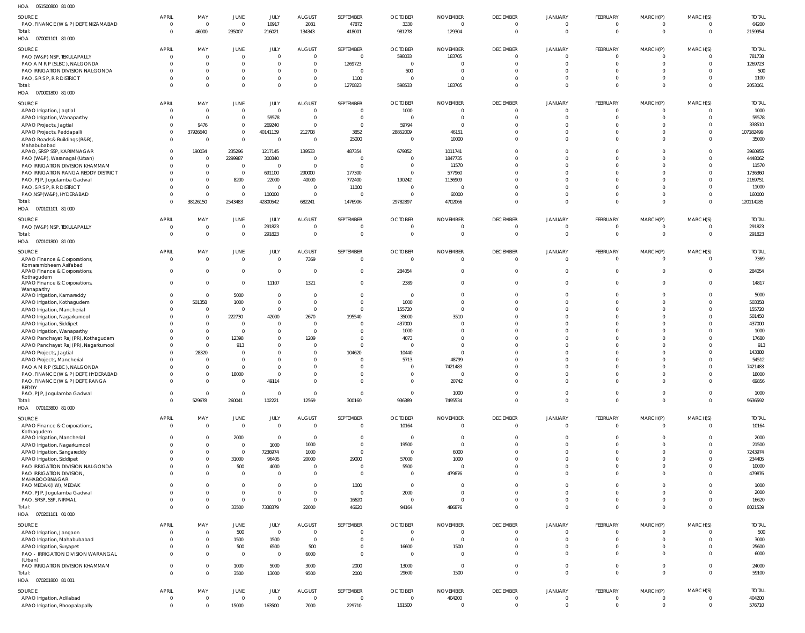| HOA<br>051500800 81 000                                   |                          |                |                                  |                         |                        |                               |                         |                          |                 |                |                |                |                |              |
|-----------------------------------------------------------|--------------------------|----------------|----------------------------------|-------------------------|------------------------|-------------------------------|-------------------------|--------------------------|-----------------|----------------|----------------|----------------|----------------|--------------|
| SOURCE                                                    | <b>APRIL</b>             | MAY            | JUNE                             | JULY                    | <b>AUGUST</b>          | SEPTEMBER                     | <b>OCTOBER</b>          | <b>NOVEMBER</b>          | <b>DECEMBER</b> | <b>JANUARY</b> | FEBRUARY       | MARCH(P)       | MARCH(S)       | <b>TOTAL</b> |
| PAO, FINANCE (W & P) DEPT, NIZAMABAD                      | $\overline{0}$           | $\overline{0}$ | $\overline{0}$                   | 10917                   | 2081                   | 47872                         | 3330                    | $\mathbf 0$              | $\Omega$        | $\overline{0}$ | $\Omega$       | $\overline{0}$ | $\Omega$       | 64200        |
| Total:                                                    | $\overline{0}$           | 46000          | 235007                           | 216021                  | 134343                 | 418001                        | 981278                  | 129304                   | $\Omega$        | $\Omega$       | $\Omega$       | $\overline{0}$ | $\mathbf{0}$   | 2159954      |
|                                                           |                          |                |                                  |                         |                        |                               |                         |                          |                 |                |                |                |                |              |
| SOURCE                                                    | <b>APRIL</b>             | MAY            | JUNE                             | JULY                    | <b>AUGUST</b>          | SEPTEMBER                     | <b>OCTOBER</b>          | <b>NOVEMBER</b>          | <b>DECEMBER</b> | <b>JANUARY</b> | FEBRUARY       | MARCH(P)       | MARCH(S)       | <b>TOTAL</b> |
| PAO (W&P) NSP, TEKULAPALLY                                | $\overline{0}$           | C              | $\overline{0}$                   | $\mathbf 0$             | $\overline{0}$         | $\overline{0}$                | 598033                  | 183705                   | $\Omega$        | $\overline{0}$ | $\Omega$       | 0              | $^{\circ}$     | 781738       |
| PAO A M R P (SLBC), NALGONDA                              | $\Omega$                 | $\overline{0}$ | $\overline{0}$                   | 0                       | $\overline{0}$         | 1269723                       | $\overline{0}$          | $\Omega$                 | $\Omega$        | $\Omega$       | $\Omega$       | $\Omega$       | $\Omega$       | 1269723      |
| PAO IRRIGATION DIVISION NALGONDA                          | $\Omega$                 | - 0            | $\overline{0}$                   | $\mathbf 0$             | $\Omega$               | $\overline{0}$                | 500                     | $\overline{0}$           | $\Omega$        | $\Omega$       | $\Omega$       | $\Omega$       | $\Omega$       | 500          |
| PAO, S R S P, R R DISTRICT                                | $\Omega$                 | - 0            | $\mathbf 0$                      | $\mathbf 0$             | $\overline{0}$         | 1100                          | $\overline{0}$          | $\overline{0}$           | $\Omega$        | $\Omega$       | $\Omega$       | $\Omega$       | $\Omega$       | 1100         |
| Total:                                                    | $\Omega$                 |                | $\mathbf 0$                      | $\mathbf 0$             | $\mathbf 0$            | 1270823                       | 598533                  | 183705                   | $\Omega$        | $\Omega$       | $\Omega$       | $\mathbf{0}$   | $\Omega$       | 2053061      |
| HOA  070001800  81 000                                    |                          |                |                                  |                         |                        |                               |                         |                          |                 |                |                |                |                |              |
| SOURCE                                                    | <b>APRIL</b>             | MAY            | JUNE                             | JULY                    | <b>AUGUST</b>          | SEPTEMBER                     | <b>OCTOBER</b>          | <b>NOVEMBER</b>          | <b>DECEMBER</b> | <b>JANUARY</b> | FEBRUARY       | MARCH(P)       | MARCH(S)       | <b>TOTAL</b> |
| APAO Irrigation, Jagtial                                  | $\overline{0}$           | C              | $\mathbf 0$                      | $\mathbf 0$             | $\overline{0}$         | $\overline{0}$                | 1000                    | 0                        | $\Omega$        | $\Omega$       | $\Omega$       | $\overline{0}$ | $\Omega$       | 1000         |
| APAO Irrigation, Wanaparthy                               | $\Omega$                 | C              | $\overline{0}$                   | 59578                   | $\overline{0}$         | $\mathbf{0}$                  | $\mathbf{0}$            | $\mathbf 0$              | $\Omega$        | $\Omega$       | $\Omega$       | $\overline{0}$ | $\Omega$       | 59578        |
| APAO Projects, Jagtial                                    | $\Omega$                 | 9476           | $\mathbf 0$                      | 269240                  | $\overline{0}$         | $\mathbf{0}$                  | 59794                   | $\overline{0}$           | $\Omega$        | $\Omega$       | $\Omega$       | 0              | $\Omega$       | 338510       |
| APAO Projects, Peddapalli                                 | $\overline{0}$           | 37926640       | $\mathbf{0}$                     | 40141139                | 212708                 | 3852                          | 28852009                | 46151                    | $\Omega$        | $\Omega$       | $\Omega$       | $\Omega$       | $\Omega$       | 107182499    |
| APAO Roads & Buildings (R&B),                             | $\overline{0}$           | - 0            | $\overline{0}$                   | - 0                     | - 0                    | 25000                         | $\overline{0}$          | 10000                    | $\Omega$        | $\Omega$       | $\Omega$       | $\Omega$       | $\Omega$       | 35000        |
| Mahabubabad<br>APAO, SRSP SSP, KARIMNAGAR                 | $\overline{0}$           | 190034         | 235296                           | 1217145                 | 139533                 | 487354                        | 679852                  | 1011741                  | $\Omega$        | $\Omega$       | $\Omega$       | $\Omega$       | $\Omega$       | 3960955      |
| PAO (W&P), Waranagal (Urban)                              | $\Omega$                 | - 0            | 2299987                          | 300340                  | $\overline{0}$         | $\overline{0}$                | $\overline{0}$          | 1847735                  | $\Omega$        | $\Omega$       | $\Omega$       | $\Omega$       |                | 4448062      |
| PAO IRRIGATION DIVISION KHAMMAM                           | $\Omega$                 | $\overline{0}$ | $\overline{0}$                   | - 0                     | $\overline{0}$         | $\overline{0}$                | $\overline{0}$          | 11570                    | $\Omega$        | $\Omega$       | $\Omega$       | $\Omega$       |                | 11570        |
| PAO IRRIGATION RANGA REDDY DISTRICT                       | $\Omega$                 | $\overline{0}$ | $\overline{0}$                   | 691100                  | 290000                 | 177300                        | $\overline{0}$          | 577960                   | $\Omega$        | $\Omega$       | $\Omega$       | $\Omega$       |                | 1736360      |
| PAO, PJP, Jogulamba Gadwal                                | $\Omega$                 | $\mathbf{0}$   | 8200                             | 22000                   | 40000                  | 772400                        | 190242                  | 1136909                  |                 | $\Omega$       | $\Omega$       | $\Omega$       |                | 2169751      |
| PAO, S R S P, R R DISTRICT                                | $\Omega$                 | $\mathsf{C}$   | $\overline{0}$                   | $\overline{0}$          | $\overline{0}$         | 11000                         | $\overline{0}$          | $\Omega$                 | $\Omega$        | $\Omega$       | $\Omega$       | $\Omega$       |                | 11000        |
| PAO, NSP(W&P), HYDERABAD                                  | $\Omega$                 | - 0            | $\overline{0}$                   | 100000                  | $\overline{0}$         | $\Omega$                      | $\Omega$                | 60000                    | $\Omega$        | $\Omega$       | $\Omega$       | $\Omega$       | $\Omega$       | 160000       |
| Total:                                                    | $\Omega$                 | 38126150       | 2543483                          | 42800542                | 682241                 | 1476906                       | 29782897                | 4702066                  | $\Omega$        | $\Omega$       | $\Omega$       | $\Omega$       | $\Omega$       | 120114285    |
|                                                           |                          |                |                                  |                         |                        |                               |                         |                          |                 |                |                |                |                |              |
| SOURCE                                                    | <b>APRIL</b>             | MAY            | JUNE                             | <b>JULY</b>             | <b>AUGUST</b>          | SEPTEMBER                     | <b>OCTOBER</b>          | <b>NOVEMBER</b>          | <b>DECEMBER</b> | <b>JANUARY</b> | FEBRUARY       | MARCH(P)       | MARCH(S)       | <b>TOTAL</b> |
| PAO (W&P) NSP, TEKULAPALLY                                | $\overline{0}$           | C              | $\overline{0}$                   | 291823                  | $\overline{0}$         | $\mathbf 0$                   | $\mathbf 0$             | $\mathbf 0$              | $\mathbf{0}$    | $\overline{0}$ | $\overline{0}$ | $\overline{0}$ | 0              | 291823       |
| Total:                                                    | $\overline{0}$           | C              | $\overline{0}$                   | 291823                  | $\mathbf 0$            | $\overline{0}$                | $\overline{0}$          | $\overline{0}$           | $\mathbf{0}$    | $\overline{0}$ | $\overline{0}$ | $\overline{0}$ | $\mathbf 0$    | 291823       |
| HOA  070101800  81 000                                    |                          |                |                                  |                         |                        |                               |                         |                          |                 |                |                |                |                |              |
|                                                           |                          |                |                                  |                         |                        |                               |                         |                          |                 |                |                |                |                |              |
| SOURCE                                                    | <b>APRIL</b>             | MAY            | JUNE                             | JULY                    | <b>AUGUST</b>          | SEPTEMBER                     | <b>OCTOBER</b>          | <b>NOVEMBER</b>          | <b>DECEMBER</b> | <b>JANUARY</b> | FEBRUARY       | MARCH(P)       | MARCH(S)       | <b>TOTAL</b> |
| APAO Finance & Corporations,<br>Komarambheem Asifabad     | $\overline{\mathbf{0}}$  | $\overline{0}$ | $\overline{0}$                   | $\Omega$                | 7369                   | $\mathbf 0$                   | $\overline{0}$          | $\overline{0}$           | $\mathbf{0}$    | $\overline{0}$ | $\Omega$       | $\mathbf 0$    | $\overline{0}$ | 7369         |
| APAO Finance & Corporations,                              | $\overline{0}$           | $\overline{0}$ | $\overline{0}$                   | $\overline{0}$          | $\overline{0}$         | $\mathbf 0$                   | 284054                  | $\mathbf 0$              | $\mathbf{0}$    | $\overline{0}$ | $\Omega$       | $\mathbf 0$    | $\Omega$       | 284054       |
| Kothagudem                                                |                          |                |                                  |                         |                        |                               |                         |                          |                 |                |                |                |                |              |
| APAO Finance & Corporations,                              | $\overline{0}$           | $\Omega$       | $\overline{0}$                   | 11107                   | 1321                   | $\mathbf{0}$                  | 2389                    | $\overline{0}$           | $\Omega$        | $\overline{0}$ | $\Omega$       | $\mathbf 0$    | $\Omega$       | 14817        |
| Wanaparthy                                                | $\overline{0}$           | C              | 5000                             | $\mathbf 0$             | $\overline{0}$         | $\mathbf{0}$                  | $\overline{0}$          | $\mathbf 0$              | $\Omega$        | $\Omega$       | $\Omega$       | $\Omega$       | $\Omega$       | 5000         |
| APAO Irrigation, Kamareddy<br>APAO Irrigation, Kothagudem | $\overline{0}$           | 501358         | 1000                             | $\mathbf 0$             | $\mathbf 0$            | $\Omega$                      | 1000                    | $\Omega$                 | $\Omega$        | $\Omega$       | $\Omega$       | $\Omega$       | $\Omega$       | 503358       |
| APAO Irrigation, Mancherial                               | $\Omega$                 | C              | $\Omega$                         | $\mathbf 0$             | $\mathbf 0$            | $\Omega$                      | 155720                  | $\Omega$                 | $\Omega$        | $\Omega$       | $\Omega$       | $\Omega$       | $\Omega$       | 155720       |
| APAO Irrigation, Nagarkurnool                             | $\Omega$                 | $^{\circ}$     | 222730                           | 42000                   | 2670                   | 195540                        | 35000                   | 3510                     | $\Omega$        | $\Omega$       | $\Omega$       | $\Omega$       |                | 501450       |
| APAO Irrigation, Siddipet                                 | $\Omega$                 | $^{\circ}$     | $\overline{0}$                   | $\Omega$                | $^{\circ}$             | $\Omega$                      | 437000                  | $\Omega$                 |                 | $\Omega$       | $\Omega$       | $\Omega$       | $\Omega$       | 437000       |
| APAO Irrigation, Wanaparthy                               |                          | $^{\circ}$     | $\Omega$                         | $\Omega$                | $\mathbf 0$            |                               | 1000                    | $\Omega$                 | $\Omega$        | $\Omega$       | $\Omega$       | $\Omega$       |                | 1000         |
| APAO Panchayat Raj (PR), Kothagudem                       | $\Omega$                 | $^{\circ}$     | 12398                            | 0                       | 1209                   | $\Omega$                      | 4073                    | $\Omega$                 |                 | $\Omega$       |                | $\Omega$       |                | 17680        |
| APAO Panchayat Raj (PR), Nagarkurnool                     | $\Omega$                 | $\overline{0}$ | 913                              | $\mathbf 0$             | $^{\circ}$             | $\overline{0}$                | $\overline{0}$          | $\Omega$                 | $\Omega$        | $\Omega$       | $\Omega$       | $\Omega$       |                | 913          |
| APAO Projects, Jagtial                                    | $\Omega$                 | 28320          | $\Omega$                         | $\Omega$                | $\mathbf 0$            | 104620                        | 10440                   | $\Omega$                 |                 | $\Omega$       | $\Omega$       | $\Omega$       |                | 143380       |
| APAO Projects, Mancherial                                 | $\Omega$                 | $\mathsf{C}$   | $\Omega$                         | $\Omega$                | $\Omega$               | $\Omega$                      | 5713                    | 48799                    | $\Omega$        | $\Omega$       | $\Omega$       | $\Omega$       |                | 54512        |
| PAO A M R P (SLBC), NALGONDA                              | $\overline{0}$           | $\Omega$       | $\overline{0}$                   | $\Omega$                | $\Omega$               | $\mathbf{0}$                  | $\overline{0}$          | 7421483                  | $\Omega$        | $\Omega$       | $\Omega$       | $\Omega$       | $\Omega$       | 7421483      |
| PAO, FINANCE (W & P) DEPT, HYDERABAD                      | $\overline{0}$           | $\overline{0}$ | 18000                            | $\mathbf 0$             | $\mathbf 0$            | $\overline{0}$                | $\mathbf{0}$            | $\mathbf 0$              | $\Omega$        | $\overline{0}$ | $\overline{0}$ | $\Omega$       | $\Omega$       | 18000        |
| PAO, FINANCE (W & P) DEPT, RANGA                          | $\Omega$                 | $\Omega$       | $\overline{0}$                   | 49114                   | $\mathbf 0$            | $\Omega$                      | $\overline{0}$          | 20742                    | $\Omega$        | $\Omega$       | $\Omega$       | $\Omega$       | $\Omega$       | 69856        |
| REDDY                                                     |                          |                |                                  |                         |                        |                               |                         |                          |                 |                |                |                |                |              |
| PAO, PJP, Jogulamba Gadwal                                | $\overline{0}$           | $\Omega$       | $\overline{0}$                   | $\overline{0}$          | $\overline{0}$         | $\mathbf 0$                   | $\overline{0}$          | 1000                     | $\Omega$        | $\overline{0}$ | $\Omega$       | $\overline{0}$ | $\Omega$       | 1000         |
| Total:                                                    | $\Omega$                 | 529678         | 260041                           | 102221                  | 12569                  | 300160                        | 936389                  | 7495534                  | $\Omega$        | $\Omega$       | $\Omega$       | $\Omega$       | $\Omega$       | 9636592      |
| HOA   070103800   81   000                                |                          |                |                                  |                         |                        |                               |                         |                          |                 |                |                |                |                |              |
| SOURCE                                                    | <b>APRIL</b>             | MAY            | JUNE                             | JULY                    | <b>AUGUST</b>          | SEPTEMBER                     | <b>OCTOBER</b>          | <b>NOVEMBER</b>          | <b>DECEMBER</b> | <b>JANUARY</b> | FEBRUARY       | MARCH(P)       | MARCH(S)       | <b>TOTAL</b> |
| APAO Finance & Corporations,                              | $\overline{\phantom{0}}$ | $\overline{0}$ | $\overline{0}$                   | $\overline{0}$          | $\overline{0}$         | $\mathbf 0$                   | 10164                   | $\overline{\phantom{0}}$ | $\mathbf{0}$    | $\overline{0}$ | $\overline{0}$ | $\overline{0}$ | $\overline{0}$ | 10164        |
| Kothagudem                                                | $\overline{0}$           |                |                                  |                         |                        |                               | $\overline{0}$          | $\overline{\phantom{0}}$ | $\mathbf{0}$    | $\overline{0}$ | $\overline{0}$ | $\overline{0}$ | $\Omega$       | 2000         |
| APAO Irrigation, Mancherial                               | $\Omega$                 | C<br>$\Omega$  | 2000                             | $\overline{0}$<br>1000  | $\overline{0}$<br>1000 | $\mathbf 0$<br>$\overline{0}$ |                         | $\overline{\phantom{0}}$ | $\Omega$        | $\Omega$       | $\Omega$       | $\Omega$       | $\Omega$       | 21500        |
| APAO Irrigation, Nagarkurnool                             | $\Omega$                 | $\overline{0}$ | $\overline{0}$<br>$\overline{0}$ | 7236974                 | 1000                   | $\overline{0}$                | 19500<br>$\overline{0}$ | 6000                     | $\Omega$        | $\Omega$       | $\Omega$       | $\Omega$       | $\Omega$       | 7243974      |
| APAO Irrigation, Sangareddy<br>APAO Irrigation, Siddipet  | $\Omega$                 | $\overline{0}$ | 31000                            | 96405                   | 20000                  | 29000                         | 57000                   | 1000                     | $\Omega$        | $\Omega$       | $\Omega$       | $\Omega$       | $\Omega$       | 234405       |
| PAO IRRIGATION DIVISION NALGONDA                          | $\Omega$                 | $\overline{0}$ | 500                              | 4000                    | $\overline{0}$         | $\overline{0}$                | 5500                    | $\overline{0}$           | $\Omega$        | $\Omega$       | $\Omega$       | $\overline{0}$ | $\Omega$       | 10000        |
| PAO IRRIGATION DIVISION,                                  | $\Omega$                 | $\Omega$       | $\overline{0}$                   | $\mathbf 0$             | $\overline{0}$         | $\overline{0}$                | $\overline{0}$          | 479876                   | $\Omega$        | $\Omega$       | $\Omega$       | $\overline{0}$ | $\Omega$       | 479876       |
| MAHABOOBNAGAR                                             |                          |                |                                  |                         |                        |                               |                         |                          |                 |                |                |                |                |              |
| PAO MEDAK(IW), MEDAK                                      | $\Omega$                 | $\Omega$       | $\mathbf 0$                      | 0                       | $\mathbf 0$            | 1000                          | $\overline{0}$          | $\overline{0}$           | $\Omega$        | $\Omega$       | $\Omega$       | $\Omega$       | $\Omega$       | 1000         |
| PAO, PJP, Jogulamba Gadwal                                | $\Omega$                 | $\Omega$       | $\mathbf{0}$                     | $\mathbf 0$             | $\mathbf 0$            | $\overline{0}$                | 2000                    | $\overline{0}$           | $\Omega$        | $\Omega$       | $\Omega$       | $\Omega$       | $\Omega$       | 2000         |
| PAO, SRSP, SSP, NIRMAL                                    | $\Omega$                 | $\Omega$       | $\overline{0}$                   | $\mathbf 0$             | $\overline{0}$         | 16620                         | $\overline{0}$          | $\overline{0}$           | $\Omega$        | $\overline{0}$ | $\overline{0}$ | $\overline{0}$ | $\Omega$       | 16620        |
| Total:                                                    | $\Omega$                 | - 0            | 33500                            | 7338379                 | 22000                  | 46620                         | 94164                   | 486876                   | $\Omega$        | $\overline{0}$ | $\overline{0}$ | $\overline{0}$ | $\mathbf 0$    | 8021539      |
| HOA  070201101  01  000                                   |                          |                |                                  |                         |                        |                               |                         |                          |                 |                |                |                |                |              |
| SOURCE                                                    | <b>APRIL</b>             | MAY            | JUNE                             | JULY                    | <b>AUGUST</b>          | <b>SEPTEMBER</b>              | <b>OCTOBER</b>          | <b>NOVEMBER</b>          | <b>DECEMBER</b> | <b>JANUARY</b> | FEBRUARY       | MARCH(P)       | MARCH(S)       | <b>TOTAL</b> |
| APAO Irrigation, Jangaon                                  | $\overline{0}$           | $\overline{0}$ | 500                              | $\overline{0}$          | $\mathbf 0$            | $\mathbf{0}$                  | $\overline{0}$          | $\overline{0}$           | $\Omega$        | $\Omega$       | $\Omega$       | $\overline{0}$ | $\Omega$       | 500          |
| APAO Irrigation, Mahabubabad                              | $\Omega$                 | $\mathbf{0}$   | 1500                             | 1500                    | $\overline{0}$         | $\mathbf{0}$                  | $\mathbf{0}$            | $\mathbf 0$              | $\Omega$        | $\Omega$       | $\Omega$       | $\Omega$       | $\Omega$       | 3000         |
| APAO Irrigation, Suryapet                                 | $\Omega$                 | $\overline{0}$ | 500                              | 6500                    | 500                    | $\mathbf 0$                   | 16600                   | 1500                     | $\mathbf{0}$    | $\overline{0}$ | $\Omega$       | $\overline{0}$ | $\Omega$       | 25600        |
| PAO - IRRIGATION DIVISION WARANGAL                        | $\Omega$                 | $\Omega$       | $\overline{0}$                   | $\overline{\mathbf{0}}$ | 6000                   | $\mathbf 0$                   | $\overline{0}$          | $\overline{0}$           | $\Omega$        | $\Omega$       | $\Omega$       | $\Omega$       |                | 6000         |
| (Urban)                                                   |                          |                |                                  |                         |                        |                               |                         |                          |                 |                |                |                |                |              |
| PAO IRRIGATION DIVISION KHAMMAM                           | $\Omega$                 | - 0            | 1000                             | 5000                    | 3000                   | 2000                          | 13000                   | $\overline{0}$           | $\Omega$        | $\overline{0}$ | $\Omega$       | $\overline{0}$ | $\Omega$       | 24000        |
| Total:                                                    | $\Omega$                 | $\Omega$       | 3500                             | 13000                   | 9500                   | 2000                          | 29600                   | 1500                     | $\Omega$        | $\Omega$       | $\Omega$       | $\mathbf{0}$   | $\Omega$       | 59100        |
| HOA   070201800   81   001                                |                          |                |                                  |                         |                        |                               |                         |                          |                 |                |                |                |                |              |
| SOURCE                                                    | <b>APRIL</b>             | MAY            | JUNE                             | <b>JULY</b>             | <b>AUGUST</b>          | <b>SEPTEMBER</b>              | <b>OCTOBER</b>          | <b>NOVEMBER</b>          | <b>DECEMBER</b> | <b>JANUARY</b> | FEBRUARY       | MARCH(P)       | MARCH(S)       | <b>TOTAL</b> |
| APAO Irrigation, Adilabad                                 | $\overline{\phantom{0}}$ | $\overline{0}$ | $\overline{0}$                   | $\overline{0}$          | $\overline{0}$         | $\overline{0}$                | $\overline{0}$          | 404200                   | $\mathbf{0}$    | $\overline{0}$ | $\overline{0}$ | $\overline{0}$ | 0              | 404200       |
| APAO Irrigation, Bhoopalapally                            | $\overline{0}$           | C              | 15000                            | 163500                  | 7000                   | 229710                        | 161500                  | $\mathbf 0$              | $\Omega$        | $\overline{0}$ | $\Omega$       | $\overline{0}$ | $\mathbf 0$    | 576710       |
|                                                           |                          |                |                                  |                         |                        |                               |                         |                          |                 |                |                |                |                |              |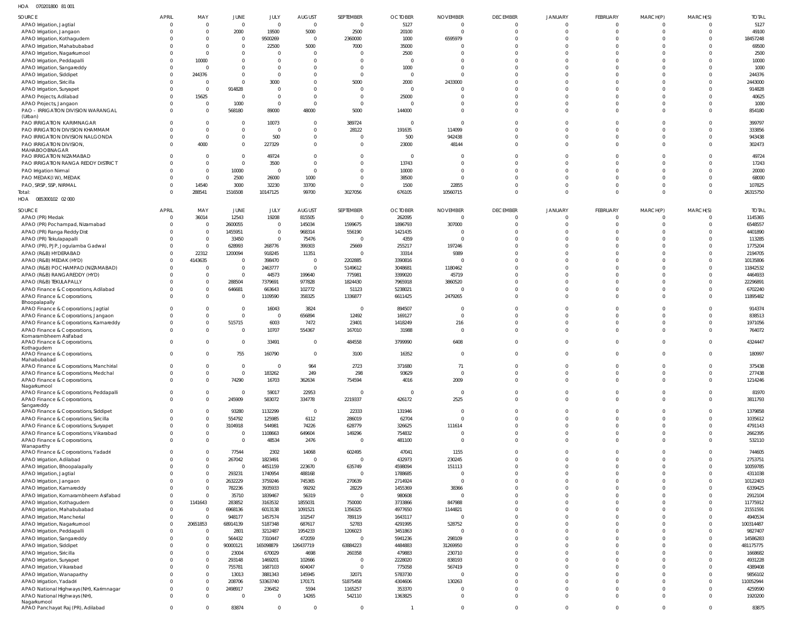070201800 81 001 HOA

| 1127<br>UIULUUUU UIUUI                        |                |                |                |                |                |                |                |                 |                 |                |                 |                |              |              |
|-----------------------------------------------|----------------|----------------|----------------|----------------|----------------|----------------|----------------|-----------------|-----------------|----------------|-----------------|----------------|--------------|--------------|
| SOURCE                                        | <b>APRIL</b>   | MAY            | <b>JUNE</b>    | JULY           | <b>AUGUST</b>  | SEPTEMBER      | <b>OCTOBER</b> | <b>NOVEMBER</b> | <b>DECEMBER</b> | <b>JANUARY</b> | <b>FEBRUARY</b> | MARCH(P)       | MARCH(S)     | <b>TOTAL</b> |
| APAO Irrigation, Jagtial                      | $\Omega$       | $\Omega$       | $\overline{0}$ | $\overline{0}$ | $\overline{0}$ | $\overline{0}$ | 5127           | $\overline{0}$  | $\Omega$        | $\Omega$       | $\Omega$        | $\overline{0}$ | $\Omega$     | 5127         |
| APAO Irrigation, Jangaon                      |                | $\Omega$       | 2000           | 19500          | 5000           | 2500           | 20100          | $\Omega$        | $\Omega$        | $\Omega$       | $\Omega$        | $\overline{0}$ | $\Omega$     | 49100        |
|                                               |                | $\Omega$       | $\overline{0}$ |                | $\Omega$       |                |                |                 | $\Omega$        | $\Omega$       | $\Omega$        | $\Omega$       | $\Omega$     | 18457248     |
| APAO Irrigation, Kothagudem                   |                |                |                | 9500269        |                | 2360000        | 1000           | 6595979         |                 |                |                 |                |              |              |
| APAO Irrigation, Mahabubabad                  |                | $\Omega$       | $\overline{0}$ | 22500          | 5000           | 7000           | 35000          | $\Omega$        | $\Omega$        | $\Omega$       | $\Omega$        | $\Omega$       |              | 69500        |
| APAO Irrigation, Nagarkurnool                 |                | $\Omega$       | $\mathbf 0$    | $\mathbf 0$    | $\Omega$       | $\Omega$       | 2500           | C               | $\Omega$        | $\Omega$       | $\Omega$        | $\Omega$       | $\Omega$     | 2500         |
| APAO Irrigation, Peddapalli                   |                | 10000          | $\mathbf 0$    | $\mathbf{0}$   | $\Omega$       | $\Omega$       | $\overline{0}$ | $\Omega$        | $\Omega$        | $\Omega$       | $\Omega$        | $\Omega$       |              | 10000        |
| APAO Irrigation, Sangareddy                   |                | $\Omega$       | $\mathbf 0$    | $\mathbf{0}$   | $\Omega$       | $\Omega$       | 1000           | $\Omega$        | $\Omega$        | $\Omega$       | $\Omega$        | $\Omega$       | $\Omega$     | 1000         |
| APAO Irrigation, Siddipet                     |                | 244376         | $\mathbf 0$    | $\mathbf{0}$   | $\Omega$       | $\overline{0}$ | $\overline{0}$ | $\Omega$        | $\Omega$        | $\Omega$       | $\Omega$        | $\Omega$       |              | 244376       |
| APAO Irrigation, Siricilla                    |                | $\Omega$       | $\mathbf 0$    | 3000           | $\Omega$       | 5000           | 2000           | 2433000         | $\Omega$        | $\Omega$       | $\Omega$        | $\Omega$       |              | 2443000      |
| APAO Irrigation, Suryapet                     |                | $\Omega$       | 914828         | $\mathbf 0$    | $\Omega$       | $\overline{0}$ | $\overline{0}$ | $\Omega$        | $\Omega$        | $\Omega$       | $\Omega$        | $\Omega$       |              | 914828       |
| APAO Projects, Adilabad                       |                | 15625          | $\overline{0}$ | $\mathbf 0$    | $\Omega$       | $\overline{0}$ | 25000          | $\Omega$        | $\Omega$        | $\Omega$       | $\Omega$        | $\Omega$       | $\Omega$     | 40625        |
| APAO Projects, Jangaon                        |                | $\Omega$       | 1000           | $\mathbf{0}$   | $\Omega$       | $\overline{0}$ | $\overline{0}$ | $\Omega$        | $\Omega$        | $\Omega$       | $\Omega$        | $\Omega$       | $\Omega$     | 1000         |
|                                               |                | $\Omega$       |                |                |                |                |                | $\Omega$        | $\Omega$        | $\Omega$       | $\Omega$        | $\Omega$       | $\Omega$     |              |
| PAO - IRRIGATION DIVISION WARANGAL<br>(Urban) |                |                | 568180         | 89000          | 48000          | 5000           | 144000         |                 |                 |                |                 |                |              | 854180       |
| PAO IRRIGATION KARIMNAGAR                     |                | $\Omega$       | $\mathbf 0$    | 10073          | $\Omega$       | 389724         | $\overline{0}$ | $\Omega$        | $\Omega$        | $\Omega$       | $\Omega$        | $\Omega$       |              | 399797       |
| PAO IRRIGATION DIVISION KHAMMAM               |                | $\Omega$       | $\mathbf 0$    | $\overline{0}$ | $\Omega$       | 28122          | 191635         | 114099          | $\Omega$        | $\Omega$       | $\Omega$        | $\Omega$       | $\Omega$     | 333856       |
|                                               |                | $\Omega$       |                |                |                |                |                |                 | $\Omega$        |                |                 |                | $\Omega$     |              |
| PAO IRRIGATION DIVISION NALGONDA              |                |                | $\mathbf 0$    | 500            | $\overline{0}$ | $\mathbf 0$    | 500            | 942438          |                 | $\Omega$       | $\Omega$        | $\Omega$       |              | 943438       |
| PAO IRRIGATION DIVISION,                      |                | 4000           | $\mathbf 0$    | 227329         | $\Omega$       | $\mathbf 0$    | 23000          | 48144           | $\Omega$        | $\Omega$       | $\Omega$        | $\Omega$       | $\Omega$     | 302473       |
| MAHABOOBNAGAR<br>PAO IRRIGATION NIZAMABAD     |                | $\Omega$       | $\mathbf 0$    | 49724          | $\Omega$       | $\mathbf 0$    | $\overline{0}$ | C               | $\Omega$        | $\Omega$       | $\Omega$        | $\Omega$       |              | 49724        |
|                                               |                |                |                |                |                |                |                |                 |                 |                |                 |                |              |              |
| PAO IRRIGATION RANGA REDDY DISTRICT           |                | $\Omega$       | $\overline{0}$ | 3500           | $\Omega$       | $\Omega$       | 13743          | $\Omega$        | $\Omega$        | $\Omega$       | $\Omega$        | $\Omega$       | $\Omega$     | 17243        |
| PAO Irrigation Nirmal                         |                | $\overline{0}$ | 10000          | $\overline{0}$ | $\Omega$       | $\Omega$       | 10000          | $\Omega$        | $\Omega$        | $\Omega$       | $\Omega$        | $\Omega$       | $\Omega$     | 20000        |
| PAO MEDAK(IW), MEDAK                          |                | $\Omega$       | 2500           | 26000          | 1000           | $\Omega$       | 38500          | $\sqrt{2}$      | $\Omega$        | $\Omega$       | $\Omega$        | $\Omega$       | $\Omega$     | 68000        |
| PAO, SRSP, SSP, NIRMAL                        |                | 14540          | 3000           | 32230          | 33700          | $\Omega$       | 1500           | 22855           | $\Omega$        | $\Omega$       | $\Omega$        | $\overline{0}$ | $\Omega$     | 107825       |
| Total:                                        |                | 288541         | 1516508        | 10147125       | 99700          | 3027056        | 676105         | 10560715        | $\Omega$        | $\Omega$       | $\Omega$        | $\Omega$       | $\Omega$     | 26315750     |
| 085300102 02 000<br>HOA                       |                |                |                |                |                |                |                |                 |                 |                |                 |                |              |              |
|                                               |                |                |                |                |                |                |                |                 |                 |                |                 |                |              |              |
| SOURCE                                        | <b>APRIL</b>   | MAY            | JUNE           | JULY           | <b>AUGUST</b>  | SEPTEMBER      | <b>OCTOBER</b> | <b>NOVEMBER</b> | <b>DECEMBER</b> | <b>JANUARY</b> | FEBRUARY        | MARCH(P)       | MARCH(S)     | <b>TOTAL</b> |
| APAO (PR) Medak                               | $\Omega$       | 36014          | 12543          | 19208          | 815505         | $\overline{0}$ | 262095         | $\overline{0}$  | $\Omega$        | $\Omega$       | $\Omega$        | $\overline{0}$ | $\Omega$     | 1145365      |
| APAO (PR) Pochampad, Nizamabad                |                | $\overline{0}$ | 2600055        | $\overline{0}$ | 145034         | 1599675        | 1896793        | 307000          | $\Omega$        | $\Omega$       | $\Omega$        | $\overline{0}$ |              | 6548557      |
| APAO (PR) Ranga Reddy Dist                    |                | $\overline{0}$ | 1455951        | $\mathbf{0}$   | 968314         | 556190         | 1421435        | $\overline{0}$  | $\Omega$        | $\Omega$       | $\Omega$        | $\Omega$       |              | 4401890      |
| APAO (PR) Tekulapapalli                       |                | $\overline{0}$ | 33450          | $\mathbf 0$    | 75476          | $\mathbf 0$    | 4359           | C               | $\Omega$        | $\Omega$       | $\Omega$        | $\Omega$       |              | 113285       |
| APAO (PR), PJP, Jogulamba Gadwal              |                | $\Omega$       | 628993         | 268776         | 399303         | 25669          | 255217         | 197246          | $\Omega$        | $\Omega$       | $\Omega$        | $\Omega$       |              | 1775204      |
| APAO (R&B) HYDERABAD                          |                | 22312          | 1200094        | 918245         | 11351          | $\overline{0}$ | 33314          | 9389            | $\Omega$        | $\Omega$       | $\Omega$        | $\Omega$       |              | 2194705      |
| APAO (R&B) MEDAK (HYD)                        |                | 4143635        | $\overline{0}$ | 398470         | $\overline{0}$ | 2202885        | 3390816        | $\overline{0}$  | $\Omega$        | $\Omega$       | $\Omega$        | $\Omega$       |              | 10135806     |
|                                               |                | $\Omega$       | $\overline{0}$ |                |                |                |                |                 | $\Omega$        | $\Omega$       | $\Omega$        | $\Omega$       |              |              |
| APAO (R&B) POCHAMPAD (NIZAMABAD)              |                |                |                | 2463777        | $\overline{0}$ | 5149612        | 3048681        | 1180462         |                 |                |                 |                |              | 11842532     |
| APAO (R&B) RANGAREDDY (HYD)                   |                | $\Omega$       | $\overline{0}$ | 44573          | 199640         | 775981         | 3399020        | 45719           | $\Omega$        | $\Omega$       | $\Omega$        | $\Omega$       |              | 4464933      |
| APAO (R&B) TEKULAPALLY                        |                | $\overline{0}$ | 288504         | 7379691        | 977828         | 1824430        | 7965918        | 3860520         | $\Omega$        | $\Omega$       | $\Omega$        | $\Omega$       |              | 22296891     |
| APAO Finance & Corporations, Adilabad         |                | $\Omega$       | 646681         | 663643         | 102772         | 51123          | 5238021        | $\overline{0}$  | $\Omega$        | $\Omega$       | $\Omega$        | $\Omega$       |              | 6702240      |
| APAO Finance & Corporations,                  |                | $\Omega$       | $\overline{0}$ | 1109590        | 358325         | 1336877        | 6611425        | 2479265         | $\Omega$        | $\Omega$       | $\Omega$        | $\Omega$       | $\Omega$     | 11895482     |
| Bhoopalapally                                 |                |                |                |                |                |                |                |                 |                 |                |                 |                |              |              |
| APAO Finance & Corporations, Jagtial          |                | $\Omega$       | $\overline{0}$ | 16043          | 3824           | $\overline{0}$ | 894507         | $\overline{0}$  | $\Omega$        | $\Omega$       | $\Omega$        | $\Omega$       |              | 914374       |
| APAO Finance & Corporations, Jangaon          |                | $\overline{0}$ | $\mathbf 0$    | $\overline{0}$ | 656894         | 12492          | 169127         | $\Omega$        | $\Omega$        | $\Omega$       | $\Omega$        | $\Omega$       | $\Omega$     | 838513       |
| APAO Finance & Corporations, Kamareddy        |                | $\Omega$       | 515715         | 6003           | 7472           | 23401          | 1418249        | 216             | $\Omega$        | $\Omega$       | $\Omega$        | $\Omega$       |              | 1971056      |
| APAO Finance & Corporations,                  |                | $\mathbf 0$    | $\overline{0}$ | 10707          | 554367         | 167010         | 31988          | $\overline{0}$  | $\Omega$        | $\Omega$       | $\Omega$        | $\Omega$       | $\Omega$     | 764072       |
| Komarambheem Asifabad                         |                |                |                |                |                |                |                |                 |                 |                |                 |                |              |              |
| APAO Finance & Corporations,                  |                | $\Omega$       | $\overline{0}$ | 33491          | $\Omega$       | 484558         | 3799990        | 6408            | $\Omega$        | $\Omega$       | $\Omega$        | $\Omega$       |              | 4324447      |
| Kothagudem                                    |                |                |                |                |                |                |                |                 |                 |                |                 |                |              |              |
| APAO Finance & Corporations,                  | $\Omega$       | $\Omega$       | 755            | 160790         | $\Omega$       | 3100           | 16352          | $\Omega$        | $\Omega$        | $\Omega$       | $\Omega$        | $\Omega$       |              | 180997       |
| Mahabubabad                                   | $\cap$         | $\cap$         | $\sqrt{2}$     | $\cap$         |                |                |                | 71              |                 | $\cap$         | $\cap$          | $\cap$         | $\cap$       |              |
| APAO Finance & Corporations, Manchirial       |                |                |                |                | 964            | 2723           | 371680         |                 |                 |                |                 |                |              | 375438       |
| APAO Finance & Corporations, Medchal          |                | $\mathbf{0}$   | $\overline{0}$ | 183262         | 249            | 298            | 93629          | $\overline{0}$  | $\Omega$        | $\Omega$       | $\Omega$        | $\overline{0}$ |              | 277438       |
| APAO Finance & Corporations,                  |                | $\mathbf{0}$   | 74290          | 16703          | 362634         | 754594         | 4016           | 2009            | $\mathbf{0}$    | $\mathbf{0}$   | $\mathbf{0}$    | $\overline{0}$ | $\mathbf{0}$ | 1214246      |
| Nagarkurnool                                  |                |                |                |                |                |                |                |                 |                 |                |                 |                |              |              |
| APAO Finance & Corporations, Peddapalli       |                | $\mathbf 0$    | $\overline{0}$ | 59017          | 22953          | $\overline{0}$ | $\overline{0}$ | $\overline{0}$  | $\Omega$        | $\mathbf{0}$   | $\Omega$        | $\overline{0}$ | $\Omega$     | 81970        |
| APAO Finance & Corporations,                  |                | $\mathbf{0}$   | 245909         | 583072         | 334778         | 2219337        | 426172         | 2525            | $\Omega$        | $\Omega$       | $\Omega$        | $\overline{0}$ | $\Omega$     | 3811793      |
| Sangareddy                                    |                |                |                |                |                |                |                |                 |                 |                |                 |                |              |              |
| APAO Finance & Corporations, Siddipet         |                | $\Omega$       | 93280          | 1132299        | $\overline{0}$ | 22333          | 131946         | $\overline{0}$  | $\Omega$        | $\Omega$       | $\Omega$        | $\overline{0}$ | $\Omega$     | 1379858      |
| APAO Finance & Corporations, Siricilla        |                | $\mathbf 0$    | 554792         | 125985         | 6112           | 286019         | 62704          | $\overline{0}$  | $\Omega$        | $\Omega$       | $\Omega$        | $\overline{0}$ | $\Omega$     | 1035612      |
| APAO Finance & Corporations, Suryapet         |                | $\overline{0}$ | 3104918        | 544981         | 74226          | 628779         | 326625         | 111614          | $\Omega$        | $\Omega$       | $\Omega$        | $\overline{0}$ | $\Omega$     | 4791143      |
| APAO Finance & Corporations, Vikarabad        |                | $\overline{0}$ | $\overline{0}$ | 1108663        | 649604         | 149296         | 754832         | $\overline{0}$  | $\Omega$        | $\Omega$       | $\Omega$        | $\overline{0}$ |              | 2662395      |
| APAO Finance & Corporations,                  |                | $\overline{0}$ | $\overline{0}$ | 48534          | 2476           | $\overline{0}$ | 481100         | $\overline{0}$  | $\Omega$        | $\Omega$       | $\Omega$        | $\Omega$       | $\Omega$     | 532110       |
| Wanaparthy                                    |                |                |                |                |                |                |                |                 |                 |                |                 |                |              |              |
| APAO Finance & Corporations, Yadadri          |                | $\overline{0}$ | 77544          | 2302           | 14068          | 602495         | 47041          | 1155            | $\Omega$        | $\Omega$       | $\Omega$        | $\Omega$       | $\Omega$     | 744605       |
| APAO Irrigation, Adilabad                     |                | $\overline{0}$ | 267042         | 1823491        | $\overline{0}$ | $\mathbf 0$    | 432973         | 230245          | $\Omega$        | $\Omega$       | $\Omega$        | $\Omega$       | <sup>0</sup> | 2753751      |
| APAO Irrigation, Bhoopalapally                |                | $\mathbf{0}$   | $\overline{0}$ | 4451159        | 223670         | 635749         | 4598094        | 151113          | $\Omega$        | $\Omega$       | $\Omega$        | $\overline{0}$ | $\Omega$     | 10059785     |
| APAO Irrigation, Jagtial                      |                | $\overline{0}$ | 293231         | 1740954        | 488168         | $\overline{0}$ | 1788685        | $\overline{0}$  | $\Omega$        | $\Omega$       | $\Omega$        | $\Omega$       | $\Omega$     | 4311038      |
| APAO Irrigation, Jangaon                      |                | $\overline{0}$ | 2632229        | 3759246        | 745365         | 270639         | 2714924        | $\overline{0}$  | $\Omega$        | $\Omega$       | $\Omega$        | $\Omega$       |              | 10122403     |
| APAO Irrigation, Kamareddy                    |                | $\overline{0}$ | 782236         | 3935933        | 99292          | 28229          | 1455369        | 38366           | $\Omega$        | $\Omega$       | $\Omega$        | $\Omega$       |              | 6339425      |
| APAO Irrigation, Komarambheem Asifabad        |                | $\Omega$       | 35710          | 1839467        | 56319          | $\overline{0}$ | 980608         | $\overline{0}$  | $\Omega$        | $\Omega$       | $\Omega$        | $\Omega$       |              | 2912104      |
| APAO Irrigation, Kothagudem                   | $\Omega$       | 1141643        | 283852         | 3163532        | 1855031        | 750000         | 3733866        | 847988          | $\Omega$        | $\Omega$       | $\Omega$        | $\Omega$       | $\Omega$     | 11775912     |
|                                               |                | $\overline{0}$ | 6968136        | 6013138        | 1091521        | 1356325        | 4977650        | 1144821         | $\Omega$        | $\Omega$       | $\Omega$        | $\Omega$       | $\Omega$     | 21551591     |
| APAO Irrigation, Mahabubabad                  |                |                |                |                |                |                |                |                 | $\Omega$        |                |                 |                |              |              |
| APAO Irrigation, Mancherial                   | $\Omega$       | $\overline{0}$ | 948177         | 1457574        | 102547         | 789119         | 1643117        | $\overline{0}$  |                 | $\Omega$       | $\Omega$        | $\Omega$       | $\Omega$     | 4940534      |
| APAO Irrigation, Nagarkurnool                 |                | 20651853       | 68914139       | 5187348        | 687617         | 52783          | 4291995        | 528752          | $\Omega$        | $\Omega$       | $\Omega$        | $\Omega$       | $\Omega$     | 100314487    |
| APAO Irrigation, Peddapalli                   |                | $\overline{0}$ | 2801           | 3212487        | 1954233        | 1206023        | 3451863        | $\overline{0}$  | $\Omega$        | $\Omega$       | $\Omega$        | $\Omega$       | $\Omega$     | 9827407      |
| APAO Irrigation, Sangareddy                   |                | $\overline{0}$ | 564432         | 7310447        | 472059         | $\overline{0}$ | 5941236        | 298109          | $\Omega$        | $\Omega$       | $\Omega$        | $\Omega$       | $\Omega$     | 14586283     |
| APAO Irrigation, Siddipet                     |                | $\overline{0}$ | 90000121       | 165098879      | 126437719      | 63884223       | 4484883        | 31269950        | $\Omega$        | $\Omega$       | $\Omega$        | $\Omega$       | $\Omega$     | 481175775    |
| APAO Irrigation, Siricilla                    |                | $\overline{0}$ | 23004          | 670029         | 4698           | 260358         | 479883         | 230710          | $\Omega$        | $\Omega$       | $\Omega$        | $\Omega$       |              | 1668682      |
| APAO Irrigation, Suryapet                     |                | $\overline{0}$ | 293148         | 1469201        | 102666         | $\overline{0}$ | 2228020        | 838193          | $\Omega$        | $\Omega$       | $\Omega$        | $\Omega$       |              | 4931228      |
| APAO Irrigation, Vikarabad                    |                | $\overline{0}$ | 755781         | 1687103        | 604047         | 0              | 775058         | 567419          | $\Omega$        | $\Omega$       | $\Omega$        | $\Omega$       |              | 4389408      |
|                                               |                |                |                |                |                |                |                |                 | $\Omega$        | $\Omega$       | $\Omega$        | $\Omega$       |              |              |
| APAO Irrigation, Wanaparthy                   |                | $\overline{0}$ | 13013          | 3881343        | 145945         | 32071          | 5783730        | $\overline{0}$  |                 |                |                 |                |              | 9856102      |
| APAO Irrigation, Yadadri                      |                | $\mathbf{0}$   | 208706         | 53363740       | 170171         | 51875458       | 4304606        | 130263          | $\Omega$        | $\Omega$       | $\Omega$        | $\Omega$       | $\Omega$     | 110052944    |
| APAO National Highways (NH), Karimnagar       |                | $\overline{0}$ | 2498917        | 236452         | 5594           | 1165257        | 353370         | $\overline{0}$  | $\Omega$        | $\Omega$       | $\Omega$        | $\overline{0}$ | $\Omega$     | 4259590      |
| APAO National Highways (NH)                   |                | $\mathbf{0}$   | $\overline{0}$ | $\overline{0}$ | 14265          | 542110         | 1363825        | $\overline{0}$  | $\Omega$        | $\mathbf{0}$   | $\Omega$        | $\overline{0}$ | $\Omega$     | 1920200      |
| Nagarkurnool                                  |                |                |                |                |                |                |                |                 |                 |                |                 |                |              |              |
| APAO Panchayat Raj (PR), Adilabad             | $\overline{0}$ | $\mathbf 0$    | 83874          | $\overline{0}$ | $\overline{0}$ | $\overline{0}$ |                | $\overline{0}$  | $\mathbf{0}$    | $\mathbf{0}$   | $\Omega$        | $\overline{0}$ | $\mathbf 0$  | 83875        |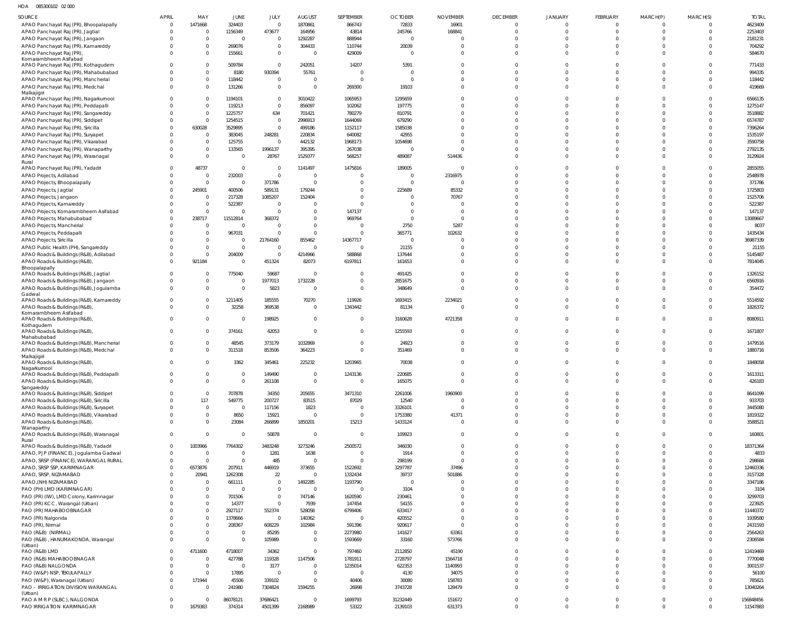## HOA 085300102 02 000

| SOURCE                                                                            | <b>APRIL</b>   | MAY                              | JUNE                      | JULY                       | <b>AUGUST</b>             | SEPTEMBER           | <b>OCTOBER</b>     | <b>NOVEMBER</b>      | <b>DECEMBER</b>      | <b>JANUARY</b>       | FEBRUARY             | MARCH(P)                 | MARCH(S)                | <b>TOTAL</b>        |
|-----------------------------------------------------------------------------------|----------------|----------------------------------|---------------------------|----------------------------|---------------------------|---------------------|--------------------|----------------------|----------------------|----------------------|----------------------|--------------------------|-------------------------|---------------------|
| APAO Panchayat Raj (PR), Bhoopalapally                                            | $\overline{0}$ | 1471668                          | 324403                    | $\overline{0}$             | 1870861                   | 866743              | 72833              | 16901                | $\overline{0}$       | $\overline{0}$       | $\overline{0}$       | $\Omega$                 | $\mathbf{0}$            | 4623409             |
| APAO Panchayat Raj (PR), Jagtial                                                  | $\Omega$       | $\overline{0}$<br>$\overline{0}$ | 1156349<br>$\overline{0}$ | 473677<br>$\overline{0}$   | 164956<br>1292287         | 43814<br>888944     | 245766<br>$\Omega$ | 168841               | $\Omega$<br>$\Omega$ | $\Omega$<br>$\Omega$ | $\Omega$<br>$\Omega$ | $\Omega$                 | $\mathbf 0$<br>$\Omega$ | 2253403<br>2181231  |
| APAO Panchayat Raj (PR), Jangaon<br>APAO Panchayat Raj (PR), Kamareddy            |                | $\overline{0}$                   | 269076                    | $\overline{0}$             | 304433                    | 110744              | 20039              |                      | $\Omega$             | $\Omega$             | $\Omega$             | U                        | $\Omega$                | 704292              |
| APAO Panchayat Raj (PR),                                                          |                | $\overline{0}$                   | 155661                    | $\overline{0}$             | $\overline{0}$            | 429009              | $\Omega$           | $\Omega$             | $\Omega$             | $\Omega$             | $\Omega$             | $\Omega$                 | $\mathbf 0$             | 584670              |
| Komarambheem Asifabad<br>APAO Panchayat Raj (PR), Kothagudem                      |                | $\overline{0}$                   | 509784                    | $\overline{0}$             | 242051                    | 14207               | 5391               |                      | $\Omega$             | $\Omega$             | $\Omega$             | <sup>0</sup>             | $\Omega$                | 771433              |
| APAO Panchayat Raj (PR), Mahabubabad                                              |                | $\overline{0}$                   | 8180                      | 930394                     | 55761                     | $\Omega$            | $\Omega$           |                      | $\Omega$             | $\Omega$             | $\Omega$             |                          | $\Omega$                | 994335              |
| APAO Panchayat Raj (PR), Mancherial                                               |                | $\overline{0}$                   | 118442                    | $\overline{0}$             | $\overline{0}$            | $\Omega$            | $\cap$             |                      | $\Omega$             | $\Omega$             | $\Omega$             | $\Omega$                 | $\mathbf 0$             | 118442              |
| APAO Panchayat Raj (PR), Medchal<br>Malkajigiri                                   |                | $\overline{0}$                   | 131266                    | $\overline{0}$             | $\overline{0}$            | 269300              | 19103              | $\Omega$             | $\Omega$             | $\Omega$             | $\Omega$             | $\Omega$                 | $\Omega$                | 419669              |
| APAO Panchayat Raj (PR), Nagarkurnool                                             | $\Omega$       | $\overline{0}$                   | 1194101                   | $\overline{0}$             | 3010422                   | 1065953             | 1295659            |                      | $\Omega$             | $\Omega$             | $\Omega$             | <sup>0</sup>             | $\Omega$                | 6566135             |
| APAO Panchayat Raj (PR), Peddapalli                                               |                | $\overline{0}$                   | 119213                    | $\overline{0}$             | 856097                    | 102062              | 197775             |                      | $\Omega$             | $\Omega$             | $\Omega$             |                          | $\Omega$                | 1275147             |
| APAO Panchayat Raj (PR), Sangareddy<br>APAO Panchayat Raj (PR), Siddipet          |                | $\overline{0}$<br>$\overline{0}$ | 1225757<br>1254515        | 634<br>$\overline{0}$      | 701421<br>2996913         | 780279<br>1644069   | 810791<br>679290   |                      | $\Omega$<br>$\Omega$ | $\Omega$<br>$\Omega$ | $\Omega$<br>$\Omega$ | $\Omega$                 | $\Omega$<br>$\Omega$    | 3518882<br>6574787  |
| APAO Panchayat Raj (PR), Siricilla                                                |                | 630028                           | 3529895                   | $\Omega$                   | 499186                    | 1152117             | 1585038            |                      | $\Omega$             | $\Omega$             | $\Omega$             |                          | $\Omega$                | 7396264             |
| APAO Panchayat Raj (PR), Suryapet                                                 |                | $\overline{0}$                   | 383045                    | 248281                     | 220834                    | 640082              | 42955              |                      | $\cap$               | $\Omega$             | $\Omega$             |                          | $\Omega$                | 1535197             |
| APAO Panchayat Raj (PR), Vikarabad                                                |                | $\overline{0}$                   | 125755                    | $\overline{0}$             | 442132                    | 1968173             | 1054698            |                      | $\Omega$             | $\Omega$             | $\Omega$             |                          | $\Omega$                | 3590758             |
| APAO Panchayat Raj (PR), Wanaparthy<br>APAO Panchayat Raj (PR), Waranagal         |                | $\overline{0}$<br>$\overline{0}$ | 133565<br>$\mathbf 0$     | 1996137<br>28767           | 395395<br>1529377         | 267038<br>568257    | $\Omega$<br>489087 | $\Omega$<br>514436   | $\Omega$<br>$\Omega$ | $\Omega$<br>$\Omega$ | $\Omega$<br>$\Omega$ | <sup>0</sup><br>$\Omega$ | $\Omega$<br>$\mathbf 0$ | 2792135<br>3129924  |
| Rural                                                                             |                |                                  |                           |                            |                           |                     |                    |                      |                      |                      |                      |                          |                         |                     |
| APAO Panchayat Raj (PR), Yadadri<br>APAO Projects, Adilabad                       |                | 48737<br>$\overline{0}$          | $\mathbf 0$<br>232003     | $\overline{0}$<br>$\Omega$ | 1141497<br>$\overline{0}$ | 1475816             | 189005<br>$\Omega$ | $\Omega$<br>2316975  | $\Omega$<br>$\Omega$ | $\Omega$<br>$\Omega$ | $\Omega$<br>$\Omega$ | $\Omega$                 | $\Omega$<br>$\Omega$    | 2855055<br>2548978  |
| APAO Projects, Bhoopalapally                                                      |                | $\overline{0}$                   | 0                         | 371786                     | $\overline{0}$            |                     | $\Omega$           | $\Omega$             | $\Omega$             | $\Omega$             | $\Omega$             |                          | $\Omega$                | 371786              |
| APAO Projects, Jagtial                                                            |                | 245901                           | 400506                    | 589131                     | 179244                    | $\Omega$            | 225689             | 85332                | $\Omega$             | $\Omega$             | $\Omega$             |                          | $\Omega$                | 1725803             |
| APAO Projects, Jangaon                                                            |                | $\overline{0}$                   | 217328                    | 1085207                    | 152404                    | $\Omega$            | - 0                | 70767                | $\Omega$             | $\Omega$             | $\Omega$             |                          | $\Omega$                | 1525706             |
| APAO Projects, Kamareddy<br>APAO Projects, Komarambheem Asifabad                  |                | $\overline{0}$<br>$\overline{0}$ | 522387<br>0               | $\Omega$<br>$\Omega$       | $\Omega$<br>$\Omega$      | 147137              |                    |                      | $\Omega$<br>$\Omega$ | $\Omega$<br>$\Omega$ | $\Omega$<br>$\Omega$ |                          | $\Omega$<br>$\Omega$    | 522387<br>147137    |
| APAO Projects, Mahabubabad                                                        | $\Omega$       | 238717                           | 11512814                  | 368372                     | $\overline{0}$            | 969764              | $\Omega$           | $\cap$               | $\Omega$             | $\Omega$             | $\Omega$             |                          | $\Omega$                | 13089667            |
| APAO Projects, Mancherial                                                         |                | $\overline{0}$                   | $\overline{0}$            | $\Omega$                   | $\overline{0}$            | $\Omega$            | 2750               | 5287                 | $\Omega$             | $\Omega$             | $\Omega$             |                          | $\Omega$                | 8037                |
| APAO Projects, Peddapalli                                                         |                | $\overline{0}$                   | 967031                    | $\Omega$                   | $\overline{0}$            |                     | 365771             | 102632               | $\Omega$             | $\Omega$             | $\Omega$             |                          | $\Omega$                | 1435434             |
| APAO Projects, Siricilla<br>APAO Public Health (PH), Sangareddy                   |                | $\overline{0}$<br>$\overline{0}$ | 0<br>$\mathbf{0}$         | 21764160<br>$\overline{0}$ | 855462<br>$\overline{0}$  | 14367717<br>$\cap$  | $\Omega$<br>21155  |                      | $\Omega$<br>$\Omega$ | $\Omega$<br>$\Omega$ | $\Omega$<br>$\Omega$ |                          | $\Omega$<br>$\Omega$    | 36987339<br>21155   |
| APAO Roads & Buildings (R&B), Adilabad                                            |                | $\overline{0}$                   | 204009                    | $\overline{0}$             | 4214966                   | 588868              | 137644             |                      | $\Omega$             | $\Omega$             | $\Omega$             | $\Omega$                 | $\Omega$                | 5145487             |
| APAO Roads & Buildings (R&B),                                                     | $\Omega$       | 921184                           | 0                         | 451324                     | 82073                     | 6197811             | 161653             | $\Omega$             | $\Omega$             | $\Omega$             | $\Omega$             | $\Omega$                 | $\Omega$                | 7814045             |
| Bhoopalapally<br>APAO Roads & Buildings (R&B), Jagtial                            | $\Omega$       | $\overline{0}$                   | 775040                    | 59687                      | $\overline{0}$            | - 0                 | 491425             |                      | $\Omega$             | $\Omega$             | $\Omega$             |                          | $\mathbf 0$             | 1326152             |
| APAO Roads & Buildings (R&B), Jangaon                                             | $\Omega$       | $\overline{0}$                   | $\mathbf 0$               | 1977013                    | 1732228                   | $\Omega$            | 2851675            |                      | $\Omega$             | $\Omega$             | $\Omega$             | $\Omega$                 | $\mathbf 0$             | 6560916             |
| APAO Roads & Buildings (R&B), Jogulamba                                           | $\Omega$       | $\overline{0}$                   | $\mathbf{0}$              | 5823                       | - 0                       | $\Omega$            | 348649             | $\Omega$             | $\Omega$             | $\Omega$             | $\Omega$             | $\Omega$                 | $\Omega$                | 354472              |
| Gadwal<br>APAO Roads & Buildings (R&B), Kamareddy                                 | $\Omega$       | $\overline{0}$                   | 1211405                   | 185555                     | 70270                     | 119926              | 1693415            | 2234021              | $\Omega$             | $\Omega$             | $\Omega$             | $\Omega$                 | $\Omega$                | 5514592             |
| APAO Roads & Buildings (R&B),                                                     | $\Omega$       | $\overline{0}$                   | 32258                     | 369538                     | $\overline{0}$            | 1343442             | 81134              |                      | $\Omega$             | $\Omega$             | $\Omega$             | $\Omega$                 | $\Omega$                | 1826372             |
| Komarambheem Asifabad<br>APAO Roads & Buildings (R&B),                            | $\Omega$       | $\overline{0}$                   | $\overline{0}$            | 198925                     | $\overline{0}$            |                     | 3160628            | 4721358              | $\Omega$             | $\Omega$             | $\Omega$             | $\Omega$                 | $\mathbf{0}$            | 8080911             |
| Kothagudem                                                                        |                |                                  |                           |                            |                           |                     |                    |                      |                      |                      |                      |                          |                         |                     |
| APAO Roads & Buildings (R&B),<br>Mahabubabad                                      | $\Omega$       | $\Omega$                         | 374161                    | 42053                      | $\overline{0}$            | $\Omega$            | 1255593            |                      | $\Omega$             | $\Omega$             | $\Omega$             | $\Omega$                 | $\Omega$                | 1671807             |
| APAO Roads & Buildings (R&B), Mancherial                                          | $\Omega$       | $\mathbf{0}$                     | 48545                     | 373179                     | 1032869                   | $\Omega$            | 24923              | $\Omega$             | $\Omega$             | $\Omega$             | $\Omega$             | <sup>0</sup>             | $\Omega$                | 1479516             |
| APAO Roads & Buildings (R&B), Medchal<br>Malkajigiri                              | $\Omega$       | $\Omega$                         | 311518                    | 853506                     | 364223                    | $\Omega$            | 351469             | $\Omega$             | $\Omega$             | $\Omega$             | $\Omega$             | $\Omega$                 | $\Omega$                | 1880716             |
| APAO Roads & Buildings (R&B),                                                     | $\Omega$       | $\Omega$                         | 3362                      | 345461                     | 225232                    | 1203965             | 70038              | $\Omega$             | $\Omega$             | $\Omega$             | $\Omega$             | $\Omega$                 | $\Omega$                | 1848058             |
| Nagarkurnool<br>APAO Roads & Buildings (R&B), Peddapalli                          |                | $\Omega$                         | $\Omega$                  | 149490                     | $\overline{0}$            | 1243136             | 220685             | $\Omega$             | $\Omega$             | $\Omega$             | $\Omega$             | $\Omega$                 | $\Omega$                | 1613311             |
| APAO Roads & Buildings (R&B),                                                     | $\Omega$       | $\overline{0}$                   | $\Omega$                  | 261108                     | $\overline{0}$            | $\Omega$            | 165075             | $\Omega$             | $\Omega$             | $\Omega$             | $\Omega$             | $\Omega$                 | $\Omega$                | 426183              |
| Sangareddy                                                                        |                |                                  |                           |                            |                           |                     |                    |                      |                      |                      |                      | $\Omega$                 | $\Omega$                |                     |
| APAO Roads & Buildings (R&B), Siddipet<br>APAO Roads & Buildings (R&B), Siricilla | $\Omega$       | $\Omega$<br>117                  | 707878<br>549775          | 34350<br>200727            | 205655<br>83515           | 3471310<br>87029    | 2261006<br>12540   | 1960900              | $\Omega$<br>$\Omega$ | $\Omega$<br>$\Omega$ | $\Omega$<br>$\Omega$ | $\Omega$                 | $\Omega$                | 8641099<br>933703   |
| APAO Roads & Buildings (R&B), Suryapet                                            |                | $\overline{0}$                   | $\overline{0}$            | 117156                     | 1823                      | $\Omega$            | 3326101            |                      | $\Omega$             | $\Omega$             | $\Omega$             | $\Omega$                 | $\Omega$                | 3445080             |
| APAO Roads & Buildings (R&B), Vikarabad                                           | $\Omega$       | $\overline{0}$                   | 8650                      | 15921                      | $\overline{0}$            | $\Omega$            | 1753380            | 41371                | $\Omega$             | $\Omega$             | $\Omega$             | $\Omega$                 | $\Omega$                | 1819322             |
| APAO Roads & Buildings (R&B),<br>Wanaparthy                                       | $\Omega$       | $\Omega$                         | 23084                     | 266899                     | 1850201                   | 15213               | 1433124            | $\Omega$             | $\Omega$             | $\Omega$             | $\Omega$             | $\Omega$                 | $\Omega$                | 3588521             |
| APAO Roads & Buildings (R&B), Waranagal                                           | $\Omega$       | $\Omega$                         | $\overline{0}$            | 50878                      | $\overline{0}$            | $\Omega$            | 109923             | $\Omega$             | $\Omega$             | $\Omega$             | $\Omega$             | $\Omega$                 | $\Omega$                | 160801              |
| Rural<br>APAO Roads & Buildings (R&B), Yadadri                                    | $\Omega$       | 1003966                          | 7764302                   | 3483248                    | 3273246                   | 2500572             | 346030             | $\Omega$             | $\Omega$             | $\overline{0}$       | $\Omega$             | <sup>0</sup>             | $\Omega$                | 18371364            |
| APAO, PJP (FINANCE), Jogulamba Gadwal                                             | $\Omega$       | $\overline{0}$                   | $\overline{0}$            | 1281                       | 1638                      | $\Omega$            | 1914               | $\Omega$             | $\Omega$             | $\Omega$             | $\Omega$             | $\Omega$                 | $\Omega$                | 4833                |
| APAO, SRSP (FINANCE), WARANGAL RURAL                                              | $\Omega$       | $\Omega$                         | $\Omega$                  | 485                        | $\overline{0}$            | $\Omega$            | 298199             | $\Omega$             | $\Omega$             | $\Omega$             | $\Omega$             | $\Omega$                 | $\Omega$                | 298684              |
| APAO, SRSP SSP, KARIMNAGAR<br>APAO, SRSP, NIZAMABAD                               | $\Omega$       | 6573876<br>20941                 | 207911<br>1262308         | 446919<br>22               | 373655<br>$\overline{0}$  | 1522692<br>1332434  | 3297787<br>39737   | 37496<br>501886      | $\Omega$<br>$\Omega$ | $\Omega$<br>$\Omega$ | $\Omega$<br>$\Omega$ | $\Omega$<br><sup>0</sup> | $\Omega$<br>$\Omega$    | 12460336<br>3157328 |
| APAO, (NH) NIZAMABAD                                                              |                | $\Omega$                         | 661111                    | $\Omega$                   | 1492285                   | 1193790             |                    |                      | $\Omega$             | $\Omega$             | $\Omega$             | <sup>0</sup>             | $\Omega$                | 3347186             |
| PAO (PH) LMD (KARIMNAGAR)                                                         |                | $\Omega$                         | $\Omega$                  | $\overline{0}$             | $\overline{0}$            | $\Omega$            | 3104               |                      | $\Omega$             | $\Omega$             | $\Omega$             | <sup>0</sup>             | $\Omega$                | 3104                |
| PAO (PR) (IW), LMD Colony, Karimnagar                                             |                | $\Omega$                         | 701506                    | $\overline{0}$             | 747146                    | 1620590             | 230461             |                      | $\Omega$             | $\Omega$             | $\Omega$             | $\Omega$                 | $\Omega$                | 3299703             |
| PAO (PR) KCC, Warangal (Urban)<br>PAO (PR) MAHABOOBNAGAR                          |                | $\overline{0}$<br>$\overline{0}$ | 14377<br>2927117          | $\overline{0}$<br>552374   | 7939<br>528058            | 147454<br>6799406   | 54155<br>633417    | $\Omega$<br>$\Omega$ | $\Omega$<br>$\Omega$ | $\Omega$<br>$\Omega$ | $\Omega$<br>$\Omega$ | $\Omega$<br><sup>0</sup> | $\Omega$<br>$\Omega$    | 223925<br>11440372  |
| PAO (PR) Nalgonda                                                                 |                | $\Omega$                         | 1378666                   | $\overline{0}$             | 140362                    | $\Omega$            | 420552             | $\Omega$             | $\Omega$             | $\Omega$             | $\Omega$             | $\Omega$                 | $\Omega$                | 1939580             |
| PAO (PR), Nirmal                                                                  |                | $\Omega$                         | 208367                    | 608229                     | 102984                    | 591396              | 920617             | $\Omega$             | $\Omega$             | $\Omega$             | $\Omega$             | $\Omega$                 | $\Omega$                | 2431593             |
| PAO (R&B) (NIRMAL)                                                                |                | $\overline{0}$                   | $\Omega$                  | 85295                      | $\overline{0}$            | 2273980             | 141627             | 63361                | $\Omega$             | $\overline{0}$       | $\Omega$             | $\Omega$                 | $\Omega$                | 2564263             |
| PAO (R&B), HANUMAKONDA, Warangal<br>(Urban)                                       | $\Omega$       | $\Omega$                         | $\mathbf{0}$              | 105989                     | $\overline{0}$            | 1593669             | 33160              | 573766               | $\Omega$             | $\Omega$             | $\Omega$             | $\Omega$                 | $\Omega$                | 2306584             |
| PAO (R&B) LMD                                                                     | $\Omega$       | 4711600                          | 4718007                   | 34362                      | $\overline{0}$            | 797460              | 2112850            | 45190                | $\Omega$             | $\Omega$             | $\Omega$             | <sup>0</sup>             | $\Omega$                | 12419469            |
| PAO (R&B) MAHABOOBNAGAR                                                           | $\Omega$       | $\Omega$<br>$\overline{0}$       | 427788<br>$\overline{0}$  | 119328                     | 1147506<br>$\overline{0}$ | 1781911             | 2728797            | 1564718              | $\Omega$<br>$\Omega$ | $\Omega$<br>$\Omega$ | $\Omega$<br>$\Omega$ | $\Omega$<br>$\Omega$     | $\Omega$<br>$\Omega$    | 7770048<br>3001537  |
| PAO (R&B) NALGONDA<br>PAO (W&P) NSP, TEKULAPALLY                                  | $\Omega$       | $\Omega$                         | 17895                     | 3177<br>$\Omega$           | $\overline{0}$            | 1235014<br>$\Omega$ | 622353<br>4130     | 1140993<br>34075     | $\Omega$             | $\Omega$             | $\Omega$             | $\Omega$                 | $\Omega$                | 56100               |
| PAO (W&P), Waranagal (Urban)                                                      | $\Omega$       | 171944                           | 45506                     | 339102                     | $\overline{0}$            | 40406               | 30080              | 158783               | $\Omega$             | $\Omega$             | $\Omega$             | $\Omega$                 | $\Omega$                | 785821              |
| PAO - IRRIGATION DIVISION WARANGAL                                                | $\Omega$       | $\Omega$                         | 241980                    | 7304824                    | 1594255                   | 26998               | 3743728            | 128479               | $\Omega$             | $\Omega$             | $\Omega$             | $\Omega$                 | $\Omega$                | 13040264            |
| (Urban)<br>PAO A M R P (SLBC), NALGONDA                                           | $\mathbf 0$    | $\overline{0}$                   | 86078121                  | 37686421                   | $\overline{0}$            | 1699793             | 31232449           | 151672               | $\mathbf 0$          | $\overline{0}$       | $\overline{0}$       | $\mathbf{0}$             | $\mathbf 0$             | 156848456           |
| PAO IRRIGATION KARIMNAGAR                                                         | $\Omega$       | 1679383                          | 374314                    | 4501399                    | 2168989                   | 53322               | 2139103            | 631373               | $\mathbf 0$          | $\overline{0}$       | $\overline{0}$       | $\Omega$                 | $\Omega$                | 11547883            |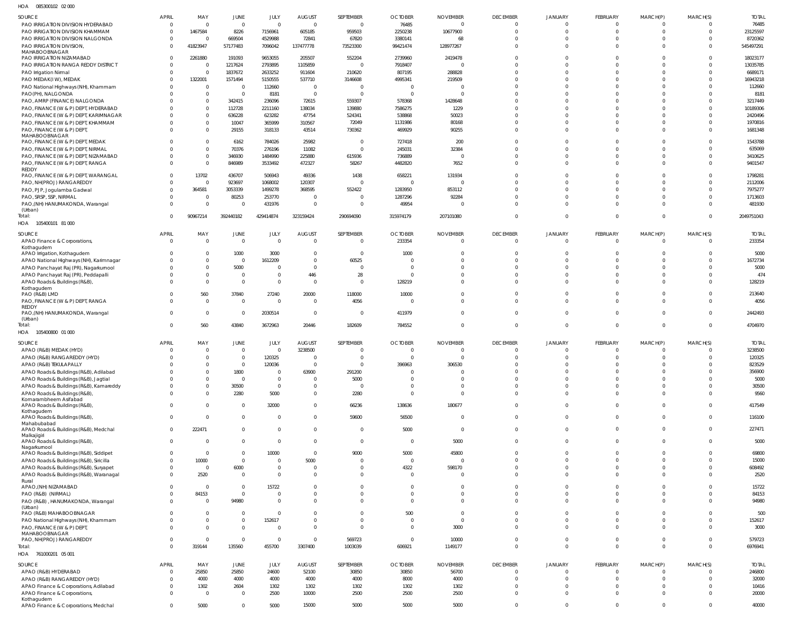085300102 02 000 HOA

| $\cdots$                                                                     |              |                         |                               |                    |                                  |                            |                            |                 |                            |                            |                            |                      |             |                 |
|------------------------------------------------------------------------------|--------------|-------------------------|-------------------------------|--------------------|----------------------------------|----------------------------|----------------------------|-----------------|----------------------------|----------------------------|----------------------------|----------------------|-------------|-----------------|
| SOURCE                                                                       | <b>APRIL</b> | MAY                     | JUNE                          | JULY               | <b>AUGUST</b>                    | SEPTEMBER                  | <b>OCTOBER</b>             | <b>NOVEMBER</b> | <b>DECEMBER</b>            | <b>JANUARY</b>             | <b>FEBRUARY</b>            | MARCH(P)             | MARCH(S)    | <b>TOTAL</b>    |
| PAO IRRIGATION DIVISION HYDERABAD                                            | $\Omega$     |                         | $\overline{0}$                | $\Omega$           | $\Omega$                         | $\overline{0}$             | 76485                      | $\mathbf 0$     | $\Omega$                   | $\Omega$                   | $\Omega$                   | $\Omega$             |             | 76485           |
| PAO IRRIGATION DIVISION KHAMMAM                                              | - 0          | 1467584                 | 8226                          | 7156961            | 605185                           | 959503                     | 2250238                    | 10677900        | $\Omega$                   | $\Omega$                   | $\Omega$                   | $\Omega$             |             | 23125597        |
| PAO IRRIGATION DIVISION NALGONDA                                             | $\Omega$     |                         | 669504                        | 4529988            | 72841                            | 67820                      | 3380141                    | 68              |                            | $\Omega$                   | $\Omega$                   | $\Omega$             |             | 8720362         |
| PAO IRRIGATION DIVISION,                                                     | $\Omega$     | 41823947                | 57177483                      | 7096042            | 137477778                        | 73523300                   | 99421474                   | 128977267       | $\Omega$                   | $\Omega$                   | $\Omega$                   | $\Omega$             |             | 545497291       |
| MAHABOOBNAGAR<br>PAO IRRIGATION NIZAMABAD                                    | $\Omega$     | 2261880                 | 191093                        | 9653055            | 205507                           | 552204                     | 2739960                    | 2419478         | $\Omega$                   | $\Omega$                   | $\Omega$                   | $\Omega$             |             | 18023177        |
| PAO IRRIGATION RANGA REDDY DISTRICT                                          |              | $\Omega$                | 1217624                       | 2793895            | 1105859                          | $\Omega$                   | 7918407                    | 0               | $\Omega$                   | $\Omega$                   | $\Omega$                   |                      |             | 13035785        |
| PAO Irrigation Nirmal                                                        |              | $\Omega$                | 1837672                       | 2633252            | 911604                           | 210620                     | 807195                     | 288828          |                            | $\Omega$                   | $\Omega$                   |                      |             | 6689171         |
| PAO MEDAK(IW), MEDAK                                                         |              | 1322001                 | 1571494                       | 5150555            | 537710                           | 3146608                    | 4995341                    | 219509          |                            | $\Omega$                   | $\Omega$                   |                      |             | 16943218        |
| PAO National Highways (NH), Khammam                                          |              | $\overline{0}$          | $\overline{0}$                | 112660             | $\Omega$                         | $\Omega$                   | $\Omega$                   | $\sqrt{ }$      |                            | $\Omega$                   | <sup>0</sup>               |                      |             | 112660          |
| PAO(PH), NALGONDA                                                            |              | $\Omega$                | $\overline{0}$                | 8181               | $\overline{0}$                   | $\Omega$                   | - 0                        | $\sqrt{ }$      |                            | $\Omega$                   | <sup>0</sup>               |                      |             | 8181            |
| PAO, AMRP (FINANCE) NALGONDA                                                 |              | $\Omega$                | 342415                        | 236096             | 72615                            | 559307                     | 578368                     | 1428648         |                            | $\Omega$                   |                            |                      |             | 3217449         |
| PAO, FINANCE (W & P) DEPT, HYDERABAD                                         |              | $\Omega$                | 112728                        | 2211160            | 138034                           | 139880                     | 7586275                    | 1229            |                            | $\Omega$                   | <sup>0</sup>               |                      |             | 10189306        |
| PAO, FINANCE (W & P) DEPT, KARIMNAGAR                                        |              | $\Omega$                | 636228                        | 623282             | 47754                            | 524341                     | 538868                     | 50023           |                            | $\Omega$                   | $\Omega$                   |                      |             | 2420496         |
| PAO, FINANCE (W & P) DEPT, KHAMMAM                                           |              | $\Omega$<br>$\Omega$    | 10047                         | 365999             | 310567                           | 72049                      | 1131986                    | 80168           | <sup>0</sup><br>$\Omega$   | $\Omega$<br>$\Omega$       | $\Omega$<br>$\Omega$       |                      |             | 1970816         |
| PAO, FINANCE (W & P) DEPT,<br>MAHABOOBNAGAR                                  |              |                         | 29155                         | 318133             | 43514                            | 730362                     | 469929                     | 90255           |                            |                            |                            |                      |             | 1681348         |
| PAO, FINANCE (W & P) DEPT, MEDAK                                             |              | $\Omega$                | 6162                          | 784026             | 25982                            | - 0                        | 727418                     | 200             |                            | $\Omega$                   |                            |                      |             | 1543788         |
| PAO, FINANCE (W & P) DEPT, NIRMAL                                            |              | $\Omega$                | 70376                         | 276196             | 11082                            | $\Omega$                   | 245031                     | 32384           |                            | $\Omega$                   | $\Omega$                   | - 0                  |             | 635069          |
| PAO, FINANCE (W & P) DEPT, NIZAMABAD                                         |              | $\mathbf 0$             | 346930                        | 1484990            | 225880                           | 615936                     | 736889                     | $\Omega$        | $\Omega$                   | $\Omega$                   | $\Omega$                   | $\Omega$             |             | 3410625         |
| PAO, FINANCE (W & P) DEPT, RANGA                                             |              | $\Omega$                | 846989                        | 3533492            | 472327                           | 58267                      | 4482820                    | 7652            | $\Omega$                   | $\Omega$                   | $\Omega$                   | $\Omega$             |             | 9401547         |
| REDDY<br>PAO, FINANCE (W & P) DEPT, WARANGAL                                 |              | 13702                   | 436707                        | 506943             | 49336                            | 1438                       | 658221                     | 131934          | <sup>0</sup>               | $\Omega$                   | $\Omega$                   |                      |             | 1798281         |
| PAO, NH(PROJ) RANGAREDDY                                                     |              | $\Omega$                | 923697                        | 1068002            | 120307                           | $\mathcal{L}$              | $\Omega$                   | $\mathcal{L}$   |                            | $\Omega$                   | $\Omega$                   |                      |             | 2112006         |
| PAO, PJP, Jogulamba Gadwal                                                   |              | 364581                  | 3053339                       | 1499278            | 368595                           | 552422                     | 1283950                    | 853112          |                            | $\Omega$                   | $\Omega$                   |                      |             | 7975277         |
| PAO, SRSP, SSP, NIRMAL                                                       |              | $\Omega$                | 80253                         | 253770             | $\Omega$                         | $\Omega$                   | 1287296                    | 92284           |                            | $\Omega$                   | $\Omega$                   |                      |             | 1713603         |
| PAO,(NH) HANUMAKONDA, Warangal                                               |              | $\Omega$                | $\mathbf 0$                   | 431976             | $\overline{0}$                   | - 0                        | 49954                      | $\Omega$        | $\Omega$                   | $\Omega$                   | $\Omega$                   | $\Omega$             |             | 481930          |
| (Urban)                                                                      |              |                         |                               |                    |                                  |                            |                            |                 |                            |                            |                            |                      |             |                 |
| Total:                                                                       |              | 90967214                | 392440182                     | 429414874          | 323159424                        | 290694090                  | 315974179                  | 207101080       | $\Omega$                   | $\Omega$                   | $\Omega$                   | $\Omega$             | $\Omega$    | 2049751043      |
| HOA 105400101 81 000                                                         |              |                         |                               |                    |                                  |                            |                            |                 |                            |                            |                            |                      |             |                 |
| SOURCE                                                                       | <b>APRIL</b> | MAY                     | JUNE                          | JULY               | <b>AUGUST</b>                    | SEPTEMBER                  | <b>OCTOBER</b>             | <b>NOVEMBER</b> | <b>DECEMBER</b>            | <b>JANUARY</b>             | FEBRUARY                   | MARCH(P)             | MARCH(S)    | <b>TOTAL</b>    |
| APAO Finance & Corporations,                                                 | $\Omega$     | $\Omega$                | $\overline{0}$                | $\Omega$           | $\overline{0}$                   | 0                          | 233354                     | 0               | $\Omega$                   | $\overline{0}$             | $\Omega$                   | $\Omega$             | $\Omega$    | 233354          |
| Kothagudem                                                                   |              |                         |                               |                    |                                  |                            |                            |                 |                            |                            |                            |                      |             |                 |
| APAO Irrigation, Kothagudem                                                  |              | $^{\circ}$              | 1000                          | 3000               | $\overline{0}$<br>$\overline{0}$ | - 0<br>60525               | 1000                       | $\Omega$        | $\Omega$<br>$\Omega$       | $\Omega$<br>$\Omega$       | $\Omega$<br>$\Omega$       | $\Omega$             |             | 5000            |
| APAO National Highways (NH), Karimnagar                                      |              | $\Omega$<br>$\mathbf 0$ | $\overline{0}$                | 1612209            | $\Omega$                         | 0                          | 0<br>$\Omega$              | $\Omega$        | $\Omega$                   | $\Omega$                   | $\Omega$                   | $\Omega$<br>$\Omega$ |             | 1672734<br>5000 |
| APAO Panchayat Raj (PR), Nagarkurnool<br>APAO Panchayat Raj (PR), Peddapalli |              | $\Omega$                | 5000<br>$\overline{0}$        | -0<br>$\Omega$     | 446                              | 28                         | $\Omega$                   | $\Omega$        | $\Omega$                   | $\Omega$                   | $\Omega$                   | $\Omega$             |             | 474             |
| APAO Roads & Buildings (R&B),                                                |              | $\Omega$                | $\overline{0}$                | $\Omega$           | $\Omega$                         | $\overline{0}$             | 128219                     | $\Omega$        | $\Omega$                   | $\Omega$                   | $\Omega$                   | $\Omega$             |             | 128219          |
| Kothagudem                                                                   |              |                         |                               |                    |                                  |                            |                            |                 |                            |                            |                            |                      |             |                 |
| PAO (R&B) LMD                                                                |              | 560                     | 37840                         | 27240              | 20000                            | 118000                     | 10000                      | $\Omega$        | $\Omega$                   | $\Omega$                   | $\Omega$                   | $\Omega$             |             | 213640          |
| PAO, FINANCE (W & P) DEPT, RANGA                                             |              | $\Omega$                | $\overline{0}$                | $\Omega$           | $\overline{0}$                   | 4056                       | 0                          | $\Omega$        | $\Omega$                   | $\Omega$                   | $\Omega$                   | $\Omega$             |             | 4056            |
| REDDY                                                                        | $\Omega$     | $\overline{0}$          | $\overline{0}$                |                    | $\overline{0}$                   | 0                          | 411979                     | $\Omega$        | $\Omega$                   | $\Omega$                   | $\Omega$                   | $\Omega$             |             | 2442493         |
| PAO,(NH) HANUMAKONDA, Warangal<br>(Urban)                                    |              |                         |                               | 2030514            |                                  |                            |                            |                 |                            |                            |                            |                      |             |                 |
| Total:                                                                       | $\Omega$     | 560                     | 43840                         | 3672963            | 20446                            | 182609                     | 784552                     | $\mathbf 0$     | $\Omega$                   | $\overline{0}$             | $\Omega$                   | $\Omega$             | $\Omega$    | 4704970         |
| HOA 105400800 01 000                                                         |              |                         |                               |                    |                                  |                            |                            |                 |                            |                            |                            |                      |             |                 |
| SOURCE                                                                       | <b>APRIL</b> | MAY                     | JUNE                          | JULY               | <b>AUGUST</b>                    | SEPTEMBER                  | <b>OCTOBER</b>             | <b>NOVEMBER</b> | <b>DECEMBER</b>            | <b>JANUARY</b>             | FEBRUARY                   | MARCH(P)             | MARCH(S)    | <b>TOTAL</b>    |
| APAO (R&B) MEDAK (HYD)                                                       |              | $\Omega$                | $\mathbf 0$                   | $\Omega$           | 3238500                          | $\Omega$                   | 0                          | $\Omega$        | $\Omega$                   |                            | $\Omega$                   |                      |             | 3238500         |
| APAO (R&B) RANGAREDDY (HYD)                                                  |              | $\Omega$                | $\mathbf 0$                   | 120325             | $\Omega$                         | $\Omega$                   | $\Omega$                   | $\Omega$        | $\Omega$                   | $\Omega$                   | $\Omega$                   | $\Omega$             |             | 120325          |
| APAO (R&B) TEKULAPALLY                                                       |              | $\Omega$                | $\Omega$                      | 120036             | $\Omega$                         | $\Omega$                   | 396963                     | 306530          | $\Omega$                   | $\Omega$                   | $\Omega$                   | $\cap$               |             | 823529          |
| APAO Roads & Buildings (R&B), Adilabad                                       |              | $\Omega$                | 1800                          | $\Omega$           | 63900                            | 291200                     | $\Omega$                   | $\Omega$        | $\Omega$                   | $\Omega$                   | $\Omega$                   | $\Omega$             |             | 356900          |
| APAO Roads & Buildings (R&B), Jagtial                                        |              | $\mathbf 0$             | $\overline{0}$                | $\Omega$           | $\overline{0}$                   | 5000                       | $\mathbf 0$                | $\Omega$        | $\overline{0}$             | $\overline{0}$             | $\overline{0}$             | $\Omega$             | $\Omega$    | 5000            |
| APAO Roads & Buildings (R&B), Kamareddy                                      |              | $\Omega$                | 30500                         | $\mathbf{0}$       | $\overline{0}$                   | $\overline{0}$             | $\Omega$                   | $\Omega$        | $\overline{0}$             | $\overline{0}$             | $\overline{0}$             | $\Omega$             | $\Omega$    | 30500           |
| APAO Roads & Buildings (R&B),                                                |              | $\Omega$                | 2280                          | 5000               | $\Omega$                         | 2280                       | $\Omega$                   | $\Omega$        | $\Omega$                   | $\Omega$                   | $\Omega$                   | $\Omega$             |             | 9560            |
| Komarambheem Asifabad                                                        | $\Omega$     | $\Omega$                | $\overline{0}$                |                    | $\overline{0}$                   |                            |                            |                 | $\Omega$                   | $\overline{0}$             | $\Omega$                   | $\Omega$             | $\Omega$    |                 |
| APAO Roads & Buildings (R&B),<br>Kothagudem                                  |              |                         |                               | 32000              |                                  | 66236                      | 138636                     | 180677          |                            |                            |                            |                      |             | 417549          |
| APAO Roads & Buildings (R&B),                                                | $\Omega$     | $\Omega$                | $\overline{0}$                | $\Omega$           | $\Omega$                         | 59600                      | 56500                      | $\overline{0}$  | $\Omega$                   | $\overline{0}$             | $\Omega$                   | $\Omega$             | $\Omega$    | 116100          |
| Mahabubabad                                                                  |              |                         |                               |                    |                                  |                            |                            |                 |                            |                            |                            |                      |             |                 |
| APAO Roads & Buildings (R&B), Medchal<br>Malkajigiri                         | $\Omega$     | 222471                  | $\mathbf{0}$                  | $\Omega$           | $\overline{0}$                   | $\overline{0}$             | 5000                       | $\overline{0}$  | $\overline{0}$             | $\overline{0}$             | $\overline{0}$             | $\Omega$             | $\Omega$    | 227471          |
| APAO Roads & Buildings (R&B),                                                | $\Omega$     | $\Omega$                | $\mathbf{0}$                  | $\Omega$           | $\overline{0}$                   | $\mathbf{0}$               | $\overline{0}$             | 5000            | $\overline{0}$             | $\overline{0}$             | $\overline{0}$             | $\Omega$             | $\Omega$    | 5000            |
| Nagarkurnool                                                                 |              |                         |                               |                    |                                  |                            |                            |                 |                            |                            |                            |                      |             |                 |
| APAO Roads & Buildings (R&B), Siddipet                                       | $\Omega$     | $\Omega$                | $\overline{0}$                | 10000              | $\overline{0}$                   | 9000                       | 5000                       | 45800           | $\Omega$                   | $\Omega$                   | $\Omega$                   | $\Omega$             | $\Omega$    | 69800           |
| APAO Roads & Buildings (R&B), Siricilla                                      | $\Omega$     | 10000                   | $\overline{0}$                | $\Omega$           | 5000                             | $\overline{0}$             | $\overline{0}$             | $\Omega$        | $\Omega$                   | $\Omega$                   | $\Omega$                   | $\Omega$             | $\Omega$    | 15000           |
| APAO Roads & Buildings (R&B), Suryapet                                       |              | $\Omega$                | 6000                          | $\Omega$           | $\overline{0}$                   | $\mathbf 0$                | 4322                       | 598170          | $\overline{0}$             | $\overline{0}$             | $\overline{0}$             | $\Omega$             | $\Omega$    | 608492          |
| APAO Roads & Buildings (R&B), Waranagal<br>Rural                             | $\Omega$     | 2520                    | $\overline{0}$                | $\Omega$           | $\Omega$                         | $\mathbf 0$                | $\Omega$                   | $\Omega$        | $\Omega$                   | $\Omega$                   | $\Omega$                   | $\Omega$             |             | 2520            |
| APAO, (NH) NIZAMABAD                                                         | $\Omega$     | $\Omega$                | $\overline{0}$                | 15722              | $\overline{0}$                   | $\Omega$                   | $\Omega$                   | $\Omega$        | $\Omega$                   | $\Omega$                   | $\Omega$                   | $\Omega$             |             | 15722           |
| PAO (R&B) (NIRMAL)                                                           | $\Omega$     | 84153                   | $\overline{0}$                | $\Omega$           | $\overline{0}$                   | $\overline{0}$             | $\mathbf 0$                | $\overline{0}$  | $\overline{0}$             | $\overline{0}$             | $\overline{0}$             | $\Omega$             | $\Omega$    | 84153           |
| PAO (R&B), HANUMAKONDA, Warangal                                             | $\Omega$     | $\Omega$                | 94980                         | $\Omega$           | $\Omega$                         | $\mathbf 0$                | $\Omega$                   | $\mathbf{0}$    | $\Omega$                   | $\Omega$                   | $\Omega$                   | $\Omega$             | $\Omega$    | 94980           |
| (Urban)                                                                      |              |                         |                               |                    |                                  |                            |                            |                 |                            |                            |                            |                      |             |                 |
| PAO (R&B) MAHABOOBNAGAR                                                      | $\Omega$     | $\Omega$                | $\mathbf 0$                   | $\Omega$           | $\Omega$                         | $\overline{0}$             | 500                        | $\overline{0}$  | $\Omega$                   | $\Omega$                   | $\Omega$                   | $\Omega$             | $\Omega$    | 500             |
| PAO National Highways (NH), Khammam                                          |              | $\mathbf 0$<br>$\Omega$ | $\mathbf 0$<br>$\overline{0}$ | 152617<br>$\Omega$ | $\overline{0}$<br>$\Omega$       | $\overline{0}$<br>$\Omega$ | $\overline{0}$<br>$\Omega$ | $\overline{0}$  | $\overline{0}$<br>$\Omega$ | $\overline{0}$<br>$\Omega$ | $\overline{0}$<br>$\Omega$ | $\Omega$<br>$\Omega$ | $\Omega$    | 152617          |
| PAO, FINANCE (W & P) DEPT,<br>MAHABOOBNAGAR                                  |              |                         |                               |                    |                                  |                            |                            | 3000            |                            |                            |                            |                      | $\Omega$    | 3000            |
| PAO, NH(PROJ) RANGAREDDY                                                     |              | $\Omega$                | $\overline{0}$                | $\Omega$           | $\Omega$                         | 569723                     | $\overline{0}$             | 10000           | $\Omega$                   | $\overline{0}$             | $\Omega$                   | $\Omega$             | $\Omega$    | 579723          |
| Total:                                                                       | $\cap$       | 319144                  | 135560                        | 455700             | 3307400                          | 1003039                    | 606921                     | 1149177         | $\Omega$                   | $\Omega$                   | $\Omega$                   | $\Omega$             | $\Omega$    | 6976941         |
| HOA 761000201 05 001                                                         |              |                         |                               |                    |                                  |                            |                            |                 |                            |                            |                            |                      |             |                 |
| <b>SOURCE</b>                                                                | <b>APRIL</b> | MAY                     | JUNE                          | JULY               | <b>AUGUST</b>                    | SEPTEMBER                  | <b>OCTOBER</b>             | <b>NOVEMBER</b> | <b>DECEMBER</b>            | <b>JANUARY</b>             | FEBRUARY                   | MARCH(P)             | MARCH(S)    | <b>TOTAL</b>    |
| APAO (R&B) HYDERABAD                                                         | $\Omega$     | 25850                   | 25850                         | 24600              | 52100                            | 30850                      | 30850                      | 56700           | $\overline{0}$             | $\overline{0}$             | $\overline{0}$             | $\circ$              | $\Omega$    | 246800          |
| APAO (R&B) RANGAREDDY (HYD)                                                  | $\Omega$     | 4000                    | 4000                          | 4000               | 4000                             | 4000                       | 8000                       | 4000            | $\Omega$                   | $\Omega$                   | $\Omega$                   | $\Omega$             | $\Omega$    | 32000           |
| APAO Finance & Corporations, Adilabad                                        | $\Omega$     | 1302                    | 2604                          | 1302               | 1302                             | 1302                       | 1302                       | 1302            | $\Omega$                   | $\Omega$                   | $\Omega$                   | $\Omega$             | $\Omega$    | 10416           |
| APAO Finance & Corporations,                                                 | $\Omega$     | $\Omega$                | $\overline{0}$                | 2500               | 10000                            | 2500                       | 2500                       | 2500            | $\Omega$                   | $\overline{0}$             | $\Omega$                   | $\Omega$             | $\Omega$    | 20000           |
| Kothagudem                                                                   |              |                         |                               |                    |                                  |                            |                            |                 |                            |                            |                            |                      |             |                 |
| APAO Finance & Corporations, Medchal                                         | $\Omega$     | 5000                    | $\mathbf{0}$                  | 5000               | 15000                            | 5000                       | 5000                       | 5000            | $\overline{0}$             | $\mathbf 0$                | $\overline{0}$             | $\mathbf 0$          | $\mathbf 0$ | 40000           |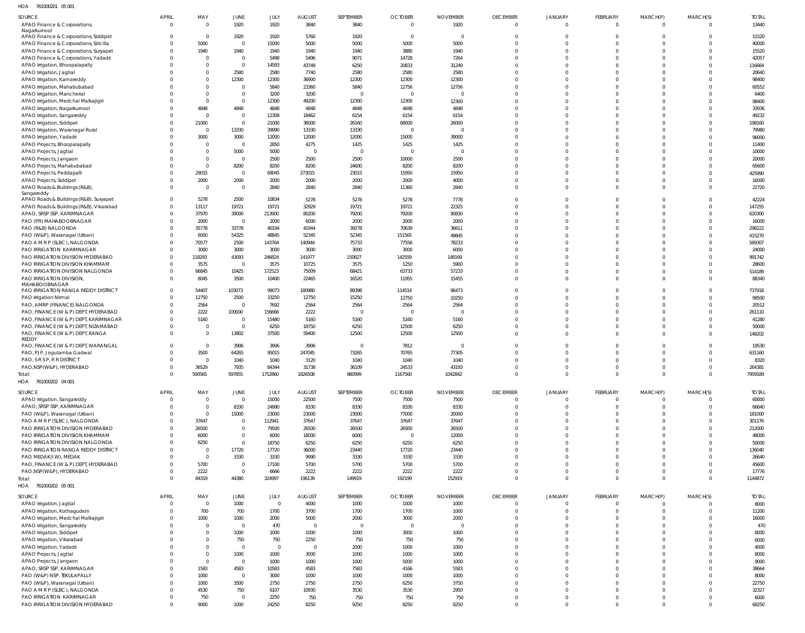761000201 05 001 HOA

| SOURCE                                  | <b>APRIL</b>   | MAY            | <b>JUNE</b>    | JULY     | <b>AUGUST</b>  | SEPTEMBER      | <b>OCTOBER</b>          | <b>NOVEMBER</b> | <b>DECEMBER</b> | <b>JANUARY</b> | <b>FEBRUARY</b> | MARCH(P) | MARCH(S)       | <b>TOTAL</b> |
|-----------------------------------------|----------------|----------------|----------------|----------|----------------|----------------|-------------------------|-----------------|-----------------|----------------|-----------------|----------|----------------|--------------|
| APAO Finance & Corporations,            | $\Omega$       | $\overline{0}$ | 1920           | 1920     | 3840           | 3840           | $\overline{0}$          | 1920            | $\mathbf{0}$    | $\mathbf 0$    | $\overline{0}$  | $\Omega$ | $\Omega$       | 13440        |
| Nagarkurnool                            |                |                |                |          |                |                |                         |                 |                 |                |                 |          |                |              |
| APAO Finance & Corporations, Siddipet   |                | $\Omega$       | 1920           | 1920     | 5760           | 1920           | $\overline{0}$          | $\Omega$        | $\Omega$        | $\Omega$       | $\Omega$        |          | $\Omega$       | 11520        |
| APAO Finance & Corporations, Siricilla  |                | 5000           | $\mathbf{0}$   | 15000    | 5000           | 5000           | 5000                    | 5000            | $\Omega$        | $\Omega$       | $\Omega$        | $\Omega$ | $\Omega$       | 40000        |
| APAO Finance & Corporations, Suryapet   |                | 1940           | 1940           | 1940     | 1940           | 1940           | 3880                    | 1940            | $\Omega$        | $\Omega$       | $\Omega$        | $\Omega$ | $\Omega$       | 15520        |
| APAO Finance & Corporations, Yadadri    |                | $\Omega$       | $\mathbf{0}$   | 5498     | 5496           | 9071           | 14728                   | 7264            | $\Omega$        | $\Omega$       | $\Omega$        | $\Omega$ | $\Omega$       | 42057        |
| APAO Irrigation, Bhoopalapally          |                | $\Omega$       | $\overline{0}$ | 14583    | 43749          | 6250           | 20833                   | 31249           | $\Omega$        | $\Omega$       | $\Omega$        |          | $\Omega$       | 116664       |
| APAO Irrigation, Jagtial                |                | $\Omega$       | 2580           | 2580     | 7740           | 2580           | 2580                    | 2580            | $\Omega$        | $\Omega$       | $\Omega$        |          | $\Omega$       | 20640        |
| APAO Irrigation, Kamareddy              |                | $\Omega$       | 12300          | 12300    | 36900          | 12300          | 12300                   | 12300           | $\Omega$        | $\Omega$       | $\Omega$        |          | $\Omega$       | 98400        |
|                                         |                | $\Omega$       |                |          |                |                |                         |                 |                 |                |                 |          | $\Omega$       |              |
| APAO Irrigation, Mahabubabad            |                |                | $\mathbf{0}$   | 5840     | 23360          | 5840           | 12756                   | 12756           | $\Omega$        | $\Omega$       | $\Omega$        |          |                | 60552        |
| APAO Irrigation, Mancherial             |                | $\Omega$       | $\overline{0}$ | 3200     | 3200           | $\mathsf{C}$   | $\overline{0}$          | $\Omega$        | $\Omega$        | $\Omega$       | $\Omega$        |          | $\Omega$       | 6400         |
| APAO Irrigation, Medchal Malkajigiri    |                | $\Omega$       | $\overline{0}$ | 12300    | 49200          | 12300          | 12300                   | 12300           | $\Omega$        | $\Omega$       | $\Omega$        |          | $\Omega$       | 98400        |
| APAO Irrigation, Nagarkurnool           |                | 4848           | 4848           | 4848     | 4848           | 4848           | 4848                    | 4848            | $\Omega$        | $\Omega$       | $\Omega$        |          | $\Omega$       | 33936        |
| APAO Irrigation, Sangareddy             |                | $\Omega$       | $\mathbf{0}$   | 12308    | 18462          | 6154           | 6154                    | 6154            | $\Omega$        | $\Omega$       | $\Omega$        |          | $\Omega$       | 49232        |
| APAO Irrigation, Siddipet               |                | 21000          | $\overline{0}$ | 21000    | 36000          | 26160          | 68000                   | 26000           | $\Omega$        | $\Omega$       | $\Omega$        |          | $\Omega$       | 198160       |
| APAO Irrigation, Waranagal Rural        |                | $\Omega$       | 13330          | 39990    | 13330          | 13330          | $\overline{0}$          | $\Omega$        | $\Omega$        | $\Omega$       | $\Omega$        |          | $\Omega$       | 79980        |
| APAO Irrigation, Yadadri                |                | 3000           | 3000           | 12000    | 12000          | 12000          | 15000                   | 39000           | $\Omega$        | $\Omega$       | $\Omega$        |          | $\Omega$       | 96000        |
| APAO Projects, Bhoopalapally            |                | $\Omega$       | $\mathbf{0}$   | 2850     | 4275           | 1425           | 1425                    | 1425            | $\Omega$        | $\Omega$       | $\Omega$        |          | $\Omega$       | 11400        |
|                                         |                | $\Omega$       | 5000           | 5000     | $\overline{0}$ | $\Omega$       | $\overline{0}$          | $\Omega$        | $\Omega$        | $\Omega$       | $\Omega$        |          | $\Omega$       | 10000        |
| APAO Projects, Jagtial                  |                |                |                |          |                |                |                         |                 |                 |                |                 |          |                |              |
| APAO Projects, Jangaon                  |                | $\Omega$       | $\mathbf{0}$   | 2500     | 2500           | 2500           | 10000                   | 2500            | $\Omega$        | $\Omega$       | $\Omega$        |          | $\Omega$       | 20000        |
| APAO Projects, Mahabubabad              |                | $\Omega$       | 8200           | 8200     | 8200           | 24600          | 8200                    | 8200            | $\Omega$        | $\Omega$       | $\Omega$        |          | $\Omega$       | 65600        |
| APAO Projects, Peddapalli               |                | 29015          | $\mathbf{0}$   | 69045    | 273015         | 23015          | 15950                   | 15950           | $\Omega$        | $\Omega$       | $\Omega$        | $\Omega$ | $\Omega$       | 425990       |
| APAO Projects, Siddipet                 |                | 2000           | 2000           | 2000     | 2000           | 2000           | 2000                    | 4000            | $\Omega$        | $\Omega$       | $\Omega$        |          | $\overline{0}$ | 16000        |
| APAO Roads & Buildings (R&B),           |                | $\overline{0}$ | $\mathbf{0}$   | 2840     | 2840           | 2840           | 11360                   | 2840            | $\Omega$        | $\Omega$       | $\Omega$        | $\Omega$ | $\Omega$       | 22720        |
| Sangareddy                              |                |                |                |          |                |                |                         |                 |                 |                |                 |          |                |              |
| APAO Roads & Buildings (R&B), Suryapet  |                | 5278           | 2500           | 10834    | 5278           | 5278           | 5278                    | 7778            | $\Omega$        | $\Omega$       | $\Omega$        |          | $\Omega$       | 42224        |
| APAO Roads & Buildings (R&B), Vikarabad | $\Omega$       | 13117          | 19721          | 19721    | 32929          | 19721          | 19721                   | 22325           | $\Omega$        | $\Omega$       | $\Omega$        |          | $\Omega$       | 147255       |
| APAO, SRSP SSP, KARIMNAGAR              |                | 37970          | 39000          | 213900   | 80200          | 79200          | 79200                   | 90830           | $\Omega$        | $\Omega$       | $\Omega$        | $\Omega$ | $\Omega$       | 620300       |
| PAO (PR) MAHABOOBNAGAR                  |                | 2000           | $\overline{0}$ | 2000     | 6000           | 2000           | 2000                    | 2000            | $\Omega$        | $\Omega$       | $\Omega$        |          | $\Omega$       | 16000        |
|                                         |                |                |                |          |                |                |                         |                 |                 |                |                 |          | $\Omega$       |              |
| PAO (R&B) NALGONDA                      |                | 35778          | 33778          | 40194    | 41944          | 39278          | 70639                   | 36611           | $\Omega$        | $\Omega$       | $\Omega$        |          |                | 298222       |
| PAO (W&P), Waranagal (Urban)            |                | 6000           | 54325          | 48845    | 52345          | 52345          | 151565                  | 49845           | $\Omega$        | $\Omega$       | $\Omega$        |          | $\Omega$       | 415270       |
| PAO A M R P (SLBC), NALGONDA            |                | 70577          | 2500           | 143764   | 140944         | 75733          | 77556                   | 78233           | $\Omega$        | $\Omega$       | $\Omega$        |          | $\Omega$       | 589307       |
| PAO IRRIGATION KARIMNAGAR               |                | 3000           | 3000           | 3000     | 3000           | 3000           | 3000                    | 6000            | $\Omega$        | $\Omega$       | $\Omega$        |          | $\Omega$       | 24000        |
| PAO IRRIGATION DIVISION HYDERABAD       |                | 118293         | 43093          | 246824   | 141977         | 150827         | 142559                  | 148169          | $\Omega$        | $\Omega$       | $\Omega$        |          | $\Omega$       | 991742       |
| PAO IRRIGATION DIVISION KHAMMAM         |                | 3575           | $\mathbf{0}$   | 3575     | 10725          | 3575           | 1250                    | 5900            | $\Omega$        | $\Omega$       | $\Omega$        |          | $\Omega$       | 28600        |
| PAO IRRIGATION DIVISION NALGONDA        |                | 66845          | 10425          | 172523   | 75009          | 68421          | 63733                   | 57233           | $\Omega$        | $\Omega$       | $\Omega$        |          | $\Omega$       | 514189       |
| PAO IRRIGATION DIVISION,                |                | 8045           | 3500           | 10400    | 22465          | 16520          | 11955                   | 15455           | $\Omega$        | $\Omega$       | $\Omega$        |          | $\Omega$       | 88340        |
| MAHABOOBNAGAR                           |                |                |                |          |                |                |                         |                 |                 |                |                 |          |                |              |
| PAO IRRIGATION RANGA REDDY DISTRICT     | $\Omega$       | 54407          | 103073         | 99073    | 180980         | 89398          | 114514                  | 96473           | $\Omega$        | $\Omega$       | $\Omega$        |          | $\Omega$       | 737918       |
|                                         | $\Omega$       | 12750          | 2500           | 33250    | 12750          | 15250          | 12750                   | 10250           | $\Omega$        | $\Omega$       | $\Omega$        | $\Omega$ | $\Omega$       | 99500        |
| PAO Irrigation Nirmal                   |                |                |                |          |                |                |                         |                 |                 |                |                 |          |                |              |
| PAO, AMRP (FINANCE) NALGONDA            |                | 2564           | $\mathbf{0}$   | 7692     | 2564           | 2564           | 2564                    | 2564            | $\Omega$        | $\Omega$       | $\Omega$        |          | $\Omega$       | 20512        |
| PAO, FINANCE (W & P) DEPT, HYDERABAD    |                | 2222           | 100000         | 156666   | 2222           | $\mathsf{C}$   | $\Omega$                |                 | $\Omega$        | $\Omega$       | $\Omega$        |          | $\Omega$       | 261110       |
| PAO, FINANCE (W & P) DEPT, KARIMNAGAR   |                | 5160           | $\mathbf{0}$   | 15480    | 5160           | 5160           | 5160                    | 5160            | $\Omega$        | $\Omega$       | $\Omega$        |          | $\Omega$       | 41280        |
| PAO, FINANCE (W & P) DEPT, NIZAMABAD    |                | $\Omega$       | $\mathbf{0}$   | 6250     | 18750          | 6250           | 12500                   | 6250            | $\Omega$        | $\Omega$       | $\Omega$        | $\Omega$ | $\Omega$       | 50000        |
| PAO, FINANCE (W & P) DEPT, RANGA        |                | $\mathbf 0$    | 13802          | 37500    | 59400          | 12500          | 12500                   | 12500           | $\Omega$        | $\Omega$       | $\Omega$        |          | $\Omega$       | 148202       |
| <b>REDDY</b>                            |                |                |                |          |                |                |                         |                 |                 |                |                 |          |                |              |
| PAO, FINANCE (W & P) DEPT, WARANGAL     |                | $\mathbf 0$    | 3906           | 3906     | 3906           | 0              | 7812                    | $\Omega$        | $\Omega$        | $\Omega$       | $\Omega$        |          | $\Omega$       | 19530        |
| PAO, PJP, Jogulamba Gadwal              |                | 3500           | 64265          | 95015    | 247045         | 73265          | 70765                   | 77305           | $\Omega$        | $\Omega$       | $\Omega$        |          | $\Omega$       | 631160       |
| PAO, S R S P, R R DISTRICT              | $\Omega$       | $\Omega$       | 1040           | 1040     | 3120           | 1040           | 1040                    | 1040            | $\Omega$        | $\Omega$       | $\Omega$        | $\Omega$ | $\Omega$       | 8320         |
| PAO, NSP(W&P), HYDERABAD                |                | 36529          | 7935           | 84344    | 31738          | 36109          | 24533                   | 43193           |                 |                |                 |          | $\Omega$       | 264381       |
| Total:                                  | $\Omega$       | 590565         | 597855         | 1752860  | 1826508        | 980999         | 1167560                 | 1042842         | $\overline{0}$  | $\mathbf 0$    | $\Omega$        | $\Omega$ | $\overline{0}$ | 7959189      |
| HOA 761000202 04 001                    |                |                |                |          |                |                |                         |                 |                 |                |                 |          |                |              |
|                                         |                |                |                |          |                |                |                         |                 |                 |                |                 |          |                |              |
| SOURCE                                  | <b>APRIL</b>   | MAY            | <b>JUNE</b>    | JULY     | <b>AUGUST</b>  | SEPTEMBER      | <b>OCTOBER</b>          | <b>NOVEMBER</b> | <b>DECEMBER</b> | <b>JANUARY</b> | <b>FEBRUARY</b> | MARCH(P) | MARCH(S)       | <b>TOTAL</b> |
| APAO Irrigation, Sangareddy             | $\overline{0}$ | $\mathbf 0$    | $\mathbf{0}$   | 15000    | 22500          | 7500           | 7500                    | 7500            | $\mathbf 0$     | $\mathbf 0$    | $\mathbf 0$     |          | $\Omega$       | 60000        |
| APAO, SRSP SSP, KARIMNAGAR              | $\Omega$       | $\mathbf 0$    | 8330           | 24990    | 8330           | 8330           | 8330                    | 8330            | $\mathbf 0$     | $\mathbf 0$    | $\Omega$        |          | $\overline{0}$ | 66640        |
|                                         |                | $\Omega$       |                |          |                |                |                         |                 |                 | $\Omega$       | $\Omega$        | $\Omega$ | $\Omega$       |              |
| PAO (W&P), Waranagal (Urban)            | $\Omega$       |                | 15000          | 23000    | 23000          | 23000          | 77000                   | 20000           | $\mathbf 0$     |                |                 |          |                | 181000       |
| PAO A M R P (SLBC), NALGONDA            | $\Omega$       | 37647          | $\overline{0}$ | 112941   | 37647          | 37647          | 37647                   | 37647           | $\mathbf 0$     | $\Omega$       | $\Omega$        | $\Omega$ | $\overline{0}$ | 301176       |
| PAO IRRIGATION DIVISION HYDERABAD       |                | 26500          | $\overline{0}$ | 79500    | 26500          | 26500          | 26500                   | 26500           | $\Omega$        | $\Omega$       | $\Omega$        | $\Omega$ | $\Omega$       | 212000       |
| PAO IRRIGATION DIVISION KHAMMAM         |                | 6000           | $\mathbf 0$    | 6000     | 18000          | 6000           | $\overline{\mathbf{0}}$ | 12000           | $\mathbf 0$     | $\Omega$       | $\Omega$        | $\Omega$ | $\overline{0}$ | 48000        |
| PAO IRRIGATION DIVISION NALGONDA        |                | 6250           | $\mathbf 0$    | 18750    | 6250           | 6250           | 6250                    | 6250            | $\Omega$        | $\Omega$       | $\Omega$        | $\Omega$ | $\Omega$       | 50000        |
| PAO IRRIGATION RANGA REDDY DISTRICT     |                | $\overline{0}$ | 17720          | 17720    | 36000          | 23440          | 17720                   | 23440           | $\mathbf 0$     | $\Omega$       | $\Omega$        | $\Omega$ | $\overline{0}$ | 136040       |
| PAO MEDAK(IW), MEDAK                    |                | $\overline{0}$ | 3330           | 3330     | 9990           | 3330           | 3330                    | 3330            | $\Omega$        | $\Omega$       | $\Omega$        | $\Omega$ | $\Omega$       | 26640        |
| PAO, FINANCE (W & P) DEPT, HYDERABAD    |                | 5700           | $\mathbf{0}$   | 17100    | 5700           | 5700           | 5700                    | 5700            | $\Omega$        | $\Omega$       | $\Omega$        | $\Omega$ | $\overline{0}$ | 45600        |
| PAO, NSP(W&P), HYDERABAD                |                | 2222           | $\mathbb O$    | 6666     | 2222           | 2222           | 2222                    | 2222            | $\mathbf 0$     | $\mathbf 0$    | $\mathbf 0$     | $\Omega$ | $\overline{0}$ | 17776        |
|                                         |                |                |                |          |                |                |                         |                 |                 |                |                 | $\Omega$ |                |              |
| Total:                                  | $\Omega$       | 84319          | 44380          | 324997   | 196139         | 149919         | 192199                  | 152919          | $\Omega$        | $\Omega$       | $\Omega$        |          | $\overline{0}$ | 1144872      |
| HOA 761000202 05 001                    |                |                |                |          |                |                |                         |                 |                 |                |                 |          |                |              |
| SOURCE                                  | <b>APRIL</b>   | MAY            | JUNE           | JULY     | <b>AUGUST</b>  | SEPTEMBER      | <b>OCTOBER</b>          | <b>NOVEMBER</b> | <b>DECEMBER</b> | <b>JANUARY</b> | FEBRUARY        | MARCH(P) | MARCH(S)       | <b>TOTAL</b> |
| APAO Irrigation, Jagtial                | $\Omega$       | $\overline{0}$ | 1000           | $\Omega$ | 4000           | 1000           | 1000                    | 1000            | $\mathbf 0$     | $\mathbf 0$    | $\mathbf 0$     |          | $\Omega$       | 8000         |
|                                         |                | 700            | 700            |          | 3700           | 1700           | 1700                    | 1000            | $\Omega$        | $\Omega$       | $\Omega$        | $\Omega$ | $\overline{0}$ | 11200        |
| APAO Irrigation, Kothagudem             |                |                |                | 1700     |                |                |                         |                 |                 |                |                 |          |                |              |
| APAO Irrigation, Medchal Malkajigiri    |                | 1000           | 1000           | 2000     | 5000           | 2000           | 3000                    | 2000            | $\mathbf 0$     | $\Omega$       | $\Omega$        | $\Omega$ | $\Omega$       | 16000        |
| APAO Irrigation, Sangareddy             |                | $\Omega$       | $\mathbf{0}$   | 470      | $\overline{0}$ | $\overline{0}$ | $\overline{0}$          | $\overline{0}$  | $\Omega$        | $\Omega$       | $\Omega$        | $\Omega$ | $\overline{0}$ | 470          |
| APAO Irrigation, Siddipet               |                | $\Omega$       | 1000           | 1000     | 1000           | 1000           | 3000                    | 1000            | $\Omega$        | $\Omega$       | $\Omega$        | $\Omega$ | $\Omega$       | 8000         |
| APAO Irrigation, Vikarabad              |                | $\Omega$       | 750            | 750      | 2250           | 750            | 750                     | 750             | $\Omega$        | $\Omega$       | $\Omega$        | $\Omega$ | $\Omega$       | 6000         |
| APAO Irrigation, Yadadri                |                | $\Omega$       | $\mathbf 0$    | $\Omega$ | $\overline{0}$ | 2000           | 1000                    | 1000            | $\Omega$        | $\Omega$       | $\Omega$        | $\Omega$ | $\Omega$       | 4000         |
| APAO Projects, Jagtial                  |                | $\Omega$       | 1000           | 1000     | 3000           | 1000           | 1000                    | 1000            | $\Omega$        | $\Omega$       | $\Omega$        | $\Omega$ | $\Omega$       | 8000         |
| APAO Projects, Jangaon                  |                | $\Omega$       | $\mathbf{0}$   | 1000     | 1000           | 1000           | 5000                    | 1000            | $\Omega$        | $\Omega$       | $\Omega$        | $\Omega$ | $\Omega$       | 9000         |
|                                         |                |                |                |          |                |                |                         |                 | $\Omega$        |                |                 | $\Omega$ | $\Omega$       |              |
| APAO, SRSP SSP, KARIMNAGAR              |                | 1583           | 4583           | 10583    | 4583           | 7583           | 4166                    | 5583            |                 | $\Omega$       | $\Omega$        |          |                | 38664        |
| PAO (W&P) NSP, TEKULAPALLY              |                | 1000           | $\overline{0}$ | 3000     | 1000           | 1000           | 1000                    | 1000            | $\Omega$        | $\Omega$       | $\Omega$        | $\Omega$ | $\Omega$       | 8000         |
| PAO (W&P), Waranagal (Urban)            |                | 1000           | 3500           | 2750     | 2750           | 2750           | 6250                    | 3750            | $\Omega$        | $\Omega$       | $\Omega$        | $\Omega$ | $\Omega$       | 22750        |
| PAO A M R P (SLBC), NALGONDA            |                | 4530           | 750            | 6107     | 10930          | 3530           | 3530                    | 2950            | $\Omega$        | $\Omega$       | $\Omega$        | $\Omega$ | $\Omega$       | 32327        |
| PAO IRRIGATION KARIMNAGAR               |                | 750            | $\mathbf{0}$   | 2250     | 750            | 750            | 750                     | 750             | $\mathbf 0$     | $\mathbf 0$    | $\mathbf 0$     | $\Omega$ | $\overline{0}$ | 6000         |
| PAO IRRIGATION DIVISION HYDERABAD       |                | 9000           | 1000           | 24250    | 8250           | 9250           | 8250                    | 8250            | $\Omega$        | $\Omega$       | $\Omega$        | $\Omega$ | $\Omega$       | 68250        |
|                                         |                |                |                |          |                |                |                         |                 |                 |                |                 |          |                |              |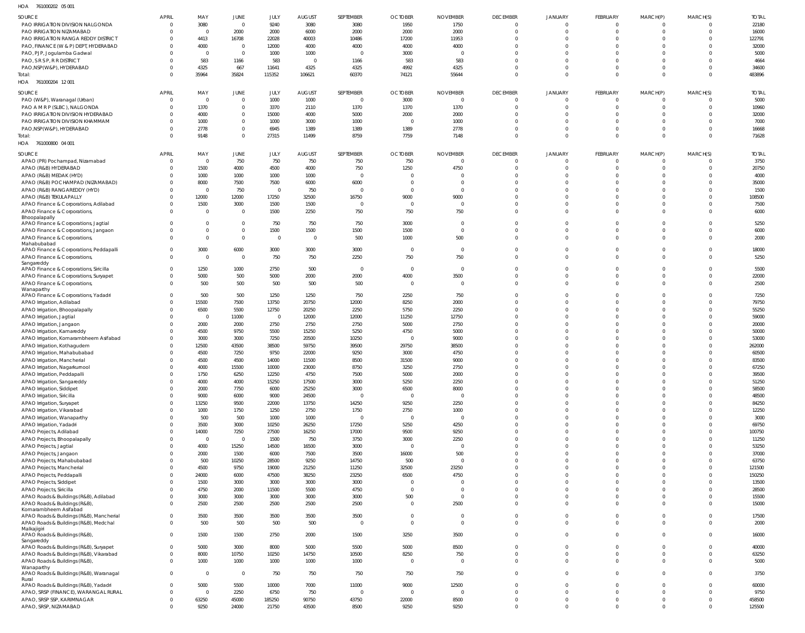| $H \cap \Delta$ | 741000202 05.001 |  |
|-----------------|------------------|--|

| HOA<br>761000202 05 001                              |              |                |                |                |                |                  |                |                 |                 |                |                |                |                |              |
|------------------------------------------------------|--------------|----------------|----------------|----------------|----------------|------------------|----------------|-----------------|-----------------|----------------|----------------|----------------|----------------|--------------|
| SOURCE                                               | <b>APRIL</b> | MAY            | JUNE           | JULY           | <b>AUGUST</b>  | <b>SEPTEMBER</b> | <b>OCTOBER</b> | <b>NOVEMBER</b> | <b>DECEMBER</b> | <b>JANUARY</b> | FEBRUARY       | MARCH(P)       | MARCH(S)       | <b>TOTAL</b> |
| PAO IRRIGATION DIVISION NALGONDA                     | - 0          | 3080           | $\mathbf 0$    | 9240           | 3080           | 3080             | 1950           | 1750            | 0               | $\mathbf 0$    | $\overline{0}$ | $\Omega$       | $\Omega$       | 22180        |
| PAO IRRIGATION NIZAMABAD                             |              | $\Omega$       | 2000           | 2000           | 6000           | 2000             | 2000           | 2000            | $\mathbf 0$     | $\mathbf 0$    | $\overline{0}$ | $\overline{0}$ | $\overline{0}$ | 16000        |
| PAO IRRIGATION RANGA REDDY DISTRICT                  |              | 4413           | 16708          | 22028          | 40003          | 10486            | 17200          | 11953           | $\Omega$        | $\Omega$       | $\Omega$       | $\Omega$       | 0              | 122791       |
| PAO, FINANCE (W & P) DEPT, HYDERABAD                 |              | 4000           | $\mathbf{0}$   | 12000          | 4000           | 4000             | 4000           | 4000            | $\Omega$        | $\Omega$       | $\Omega$       | $\Omega$       | $\Omega$       | 32000        |
| PAO, PJP, Jogulamba Gadwal                           |              | $\Omega$       | $\mathbf 0$    | 1000           | 1000           | $\Omega$         | 3000           |                 | $\Omega$        | $\Omega$       | $\Omega$       | $\Omega$       | $\Omega$       | 5000         |
| PAO, S R S P, R R DISTRICT                           |              | 583            | 1166           | 583            | $\mathbf{0}$   | 1166             | 583            | 583             | $\Omega$        | $\Omega$       | $\Omega$       | $\Omega$       | $\Omega$       | 4664         |
| PAO, NSP(W&P), HYDERABAD                             |              | 4325           | 667            | 11641          | 4325           | 4325             | 4992           | 4325            | $\mathbf 0$     | $\mathbf 0$    | $\mathbf 0$    | $\Omega$       | $\mathbf 0$    | 34600        |
| Total:                                               |              | 35964          | 35824          | 115352         | 106621         | 60370            | 74121          | 55644           | $\mathbf 0$     | $\mathbf{0}$   | $\mathbf 0$    | $\Omega$       | $\Omega$       | 483896       |
| HOA 761000204 12001                                  |              |                |                |                |                |                  |                |                 |                 |                |                |                |                |              |
|                                                      |              |                |                |                |                |                  |                |                 |                 |                |                |                |                |              |
| SOURCE                                               | <b>APRIL</b> | MAY            | JUNE           | JULY           | <b>AUGUST</b>  | <b>SEPTEMBER</b> | <b>OCTOBER</b> | <b>NOVEMBER</b> | <b>DECEMBER</b> | JANUARY        | FEBRUARY       | MARCH(P)       | MARCH(S)       | <b>TOTAL</b> |
| PAO (W&P), Waranagal (Urban)                         | - 0          | $\Omega$       | $\mathbf 0$    | 1000           | 1000           | $\mathbf 0$      | 3000           | $\Omega$        | $\overline{0}$  | $\overline{0}$ | $\overline{0}$ | $\Omega$       | $\overline{0}$ | 5000         |
| PAO A M R P (SLBC), NALGONDA                         |              | 1370           | $\mathbf 0$    | 3370           | 2110           | 1370             | 1370           | 1370            | $\mathbf{0}$    | $\mathbf{0}$   | $\overline{0}$ | $\Omega$       | 0              | 10960        |
| PAO IRRIGATION DIVISION HYDERABAD                    |              | 4000           | $\mathbf 0$    | 15000          | 4000           | 5000             | 2000           | 2000            | $\mathbf 0$     | $\mathbf 0$    | $\mathbf 0$    | $\Omega$       | 0              | 32000        |
| PAO IRRIGATION DIVISION KHAMMAM                      |              | 1000           | $\mathbf 0$    | 1000           | 3000           | 1000             | $\mathbf 0$    | 1000            | $\mathbf 0$     | $\Omega$       | $\Omega$       | $\Omega$       | $\Omega$       | 7000         |
| PAO, NSP(W&P), HYDERABAD                             |              | 2778           | $\mathbf 0$    | 6945           | 1389           | 1389             | 1389           | 2778            | $\mathbf 0$     | $\mathbf 0$    | $\mathbf 0$    | $\Omega$       | $\overline{0}$ | 16668        |
| Total:                                               |              | 9148           | $\mathbf 0$    | 27315          | 11499          | 8759             | 7759           | 7148            | $\mathbf{0}$    | $\overline{0}$ | $\overline{0}$ | $\Omega$       | $\Omega$       | 71628        |
| HOA<br>761000800 04 001                              |              |                |                |                |                |                  |                |                 |                 |                |                |                |                |              |
| SOURCE                                               | <b>APRIL</b> | MAY            | JUNE           | JULY           | <b>AUGUST</b>  | <b>SEPTEMBER</b> | <b>OCTOBER</b> | <b>NOVEMBER</b> | <b>DECEMBER</b> | <b>JANUARY</b> | FEBRUARY       | MARCH(P)       | MARCH(S)       | <b>TOTAL</b> |
| APAO (PR) Pochampad, Nizamabad                       | $\Omega$     | $\Omega$       | 750            | 750            | 750            | 750              | 750            |                 | 0               | 0              | $\mathbf 0$    | $\Omega$       | $\Omega$       | 3750         |
| APAO (R&B) HYDERABAD                                 |              | 1500           | 4000           | 4500           | 4000           | 750              | 1250           | 4750            | $\mathbf 0$     | $\mathbf 0$    | $\mathbf 0$    | $\Omega$       | 0              | 20750        |
| APAO (R&B) MEDAK (HYD)                               |              | 1000           | 1000           | 1000           | 1000           | $\Omega$         | $\Omega$       |                 | $\Omega$        | $\Omega$       | $\Omega$       | $\Omega$       | $\Omega$       | 4000         |
| APAO (R&B) POCHAMPAD (NIZAMABAD)                     |              | 8000           | 7500           | 7500           | 6000           | 6000             | $\Omega$       |                 | $\mathbf 0$     | $\Omega$       | $\Omega$       | $\Omega$       | $\mathbf 0$    | 35000        |
| APAO (R&B) RANGAREDDY (HYD)                          |              | $\Omega$       | 750            | $\overline{0}$ | 750            | $\Omega$         | $\Omega$       | $\Omega$        | $\Omega$        | $\Omega$       | $\Omega$       | $\Omega$       | $\Omega$       | 1500         |
| APAO (R&B) TEKULAPALLY                               |              | 12000          | 12000          | 17250          | 32500          | 16750            | 9000           | 9000            | $\Omega$        | $\Omega$       | $\Omega$       | $\Omega$       | $\Omega$       | 108500       |
| APAO Finance & Corporations, Adilabad                |              | 1500           | 3000           | 1500           | 1500           | $\Omega$         | $\Omega$       |                 | $\Omega$        | $\Omega$       | $\Omega$       | $\Omega$       | $\Omega$       | 7500         |
| APAO Finance & Corporations,                         |              | $\Omega$       | $\mathbf 0$    | 1500           | 2250           | 750              | 750            | 750             | $\Omega$        | $\Omega$       | $\mathbf 0$    | $\Omega$       | $\overline{0}$ | 6000         |
| Bhoopalapally                                        |              |                |                |                |                |                  |                |                 |                 |                |                |                |                |              |
| APAO Finance & Corporations, Jagtial                 |              | $\Omega$       | $\mathbf 0$    | 750            | 750            | 750              | 3000           | $\mathbf 0$     | $\Omega$        | $\mathbf 0$    | $\mathbf 0$    | $\Omega$       | $\overline{0}$ | 5250         |
| APAO Finance & Corporations, Jangaon                 |              | $\Omega$       | $\mathbf 0$    | 1500           | 1500           | 1500             | 1500           | $\overline{0}$  | $\mathbf 0$     | $\mathbf 0$    | $\mathbf 0$    | $\Omega$       | $\mathbf 0$    | 6000         |
| APAO Finance & Corporations,                         |              | $\Omega$       | $\mathbf 0$    | $\overline{0}$ | $\overline{0}$ | 500              | 1000           | 500             | $\Omega$        | $\Omega$       | $\Omega$       | $\Omega$       | $\Omega$       | 2000         |
| Mahabubabad                                          |              |                |                |                |                |                  |                |                 |                 |                |                |                |                |              |
| APAO Finance & Corporations, Peddapalli              |              | 3000           | 6000           | 3000           | 3000           | 3000             | $\mathbf 0$    | $\overline{0}$  | $\mathbf 0$     | $\mathbf 0$    | $\mathbf 0$    | $\overline{0}$ | $\overline{0}$ | 18000        |
| APAO Finance & Corporations,                         | $\Omega$     | $\Omega$       | $\mathbf 0$    | 750            | 750            | 2250             | 750            | 750             | $\Omega$        | $\Omega$       | $\overline{0}$ | $\Omega$       | $\Omega$       | 5250         |
| Sangareddy<br>APAO Finance & Corporations, Siricilla |              | 1250           | 1000           | 2750           | 500            | $\overline{0}$   | $\mathbf 0$    | $\Omega$        | $\mathbf 0$     | $\mathbf 0$    | $\mathbf 0$    | $\overline{0}$ | $\overline{0}$ | 5500         |
| APAO Finance & Corporations, Suryapet                |              | 5000           | 500            | 5000           | 2000           | 2000             | 4000           | 3500            | $\Omega$        | $\Omega$       | $\mathbf 0$    | $\Omega$       | $\Omega$       | 22000        |
| APAO Finance & Corporations,                         | $\Omega$     | 500            | 500            | 500            | 500            | 500              | $\overline{0}$ | $\overline{0}$  | $\mathbf 0$     | $\mathbf 0$    | $\mathbf 0$    | $\Omega$       | $\overline{0}$ | 2500         |
| Wanaparthy                                           |              |                |                |                |                |                  |                |                 |                 |                |                |                |                |              |
| APAO Finance & Corporations, Yadadri                 |              | 500            | 500            | 1250           | 1250           | 750              | 2250           | 750             | $\mathbf 0$     | $\Omega$       | $\Omega$       | $\Omega$       | $\overline{0}$ | 7250         |
| APAO Irrigation, Adilabad                            |              | 15500          | 7500           | 13750          | 20750          | 12000            | 8250           | 2000            | $\Omega$        | $\Omega$       | $\Omega$       | $\Omega$       | $\mathbf 0$    | 79750        |
| APAO Irrigation, Bhoopalapally                       |              | 6500           | 5500           | 12750          | 20250          | 2250             | 5750           | 2250            | $\Omega$        | $\Omega$       | $\Omega$       | $\Omega$       | $\Omega$       | 55250        |
| APAO Irrigation, Jagtial                             |              | $\overline{0}$ | 11000          | $\overline{0}$ | 12000          | 12000            | 11250          | 12750           | $\Omega$        | $\Omega$       | $\Omega$       | $\Omega$       | $\mathbf 0$    | 59000        |
| APAO Irrigation, Jangaon                             |              | 2000           | 2000           | 2750           | 2750           | 2750             | 5000           | 2750            | $\Omega$        | $\Omega$       | $\Omega$       | $\Omega$       | $\Omega$       | 20000        |
| APAO Irrigation, Kamareddy                           |              | 4500           | 9750           | 5500           | 15250          | 5250             | 4750           | 5000            | $\Omega$        | $\Omega$       | $\Omega$       | $\Omega$       | 0              | 50000        |
| APAO Irrigation, Komarambheem Asifabad               |              | 3000           | 3000           | 7250           | 20500          | 10250            | $\Omega$       | 9000            | $\Omega$        | $\Omega$       | $\Omega$       | $\Omega$       | $\Omega$       | 53000        |
| APAO Irrigation, Kothagudem                          |              | 12500          | 43500          | 38500          | 59750          | 39500            | 29750          | 38500           | $\Omega$        | $\Omega$       | $\mathbf 0$    | $\Omega$       | $\Omega$       | 262000       |
| APAO Irrigation, Mahabubabad                         |              | 4500           | 7250           | 9750           | 22000          | 9250             | 3000           | 4750            | $\Omega$        | $\Omega$       | $\Omega$       | $\Omega$       | $\Omega$       | 60500        |
| APAO Irrigation, Mancherial                          |              | 4500           | 4500           | 14000          | 11500          | 8500             | 31500          | 9000            | $\Omega$        | $\Omega$       | $\Omega$       | $\Omega$       | $\Omega$       | 83500        |
| APAO Irrigation, Nagarkurnool                        | - 0          | 4000           | 15500          | 10000          | 23000          | 8750             | 3250           | 2750            | $\overline{0}$  | $\mathbf 0$    | $\mathbf 0$    | $\overline{0}$ | $\Omega$       | 67250        |
| APAO Irrigation, Peddapalli                          |              | 1750           | 6250           | 12250          | 4750           | 7500             | 5000           | 2000            | $\mathbf 0$     | $\mathbf 0$    | $\mathbf 0$    | $\Omega$       | $\mathbf 0$    | 39500        |
| APAO Irrigation, Sangareddy                          |              | 4000           | 4000           | 15250          | 17500          | 3000             | 5250           | 2250            | $\mathbf 0$     | $\Omega$       | $\mathbf 0$    | $\overline{0}$ | $\Omega$       | 51250        |
| APAO Irrigation, Siddipet                            |              | 2000           | 7750           | 6000           | 25250          | 3000             | 6500           | 8000            | $\mathbf 0$     | $\mathbf 0$    | $\mathbf{0}$   | $\overline{0}$ | $\mathbf{0}$   | 58500        |
| APAO Irrigation, Siricilla                           |              | 9000           | 6000           | 9000           | 24500          | $\mathbf 0$      | $\mathbf 0$    | $\Omega$        | $\Omega$        | $\Omega$       | $\Omega$       | $\overline{0}$ | $\Omega$       | 48500        |
| APAO Irrigation, Suryapet                            |              | 13250          | 9500           | 22000          | 13750          | 14250            | 9250           | 2250            | $\mathbf 0$     | $\mathbf 0$    | $\mathbf 0$    | $\Omega$       | $\mathbf{0}$   | 84250        |
| APAO Irrigation, Vikarabad                           |              | 1000           | 1750           | 1250           | 2750           | 1750             | 2750           | 1000            | $\Omega$        | $\Omega$       | $\Omega$       | $\Omega$       | $\Omega$       | 12250        |
| APAO Irrigation, Wanaparthy                          |              | 500            | 500            | 1000           | 1000           | $\overline{0}$   | $\mathbf 0$    | $\overline{0}$  | $\mathbf 0$     | $\mathbf 0$    | $\mathbf 0$    | $\Omega$       | $\mathbf 0$    | 3000         |
| APAO Irrigation, Yadadri                             |              | 3500           | 3000           | 10250          | 26250          | 17250            | 5250           | 4250            | $\mathbf 0$     | $\Omega$       | $\mathbf 0$    | $\overline{0}$ | $\Omega$       | 69750        |
| APAO Projects, Adilabad                              |              | 14000          | 7250           | 27500          | 16250          | 17000            | 9500           | 9250            | $\mathbf 0$     | $\mathbf 0$    | $\mathbf 0$    | $\Omega$       | $\mathbf 0$    | 100750       |
| APAO Projects, Bhoopalapally                         |              | $\Omega$       | $\overline{0}$ | 1500           | 750            | 3750             | 3000           | 2250            | $\Omega$        | $\Omega$       | $\mathbf 0$    | $\Omega$       | $\Omega$       | 11250        |
| APAO Projects, Jagtial                               |              | 4000           | 15250          | 14500          | 16500          | 3000             | $\mathbf 0$    | $\overline{0}$  | $\mathbf 0$     | $\mathbf 0$    | $\mathbf 0$    | $\Omega$       | $\mathbf 0$    | 53250        |
| APAO Projects, Jangaon                               |              | 2000           | 1500           | 6000           | 7500           | 3500             | 16000          | 500             | $\Omega$        | $\Omega$       | $\mathbf 0$    | $\overline{0}$ | $\Omega$       | 37000        |
| APAO Projects, Mahabubabad                           |              | 500            | 10250          | 28500          | 9250           | 14750            | 500            | $\Omega$        | $\mathbf 0$     | $\mathbf 0$    | $\mathbf 0$    | $\Omega$       | $\mathbf 0$    | 63750        |
| APAO Projects, Mancherial                            |              | 4500           | 9750           | 19000          | 21250          | 11250            | 32500          | 23250           | $\Omega$        | $\Omega$       | $\Omega$       | $\Omega$       | $\Omega$       | 121500       |
| APAO Projects, Peddapalli                            |              | 24000          | 6000           | 47500          | 38250          | 23250            | 6500           | 4750            | $\mathbf 0$     | $\mathbf 0$    | $\mathbf 0$    | $\Omega$       | $\mathbf 0$    | 150250       |
| APAO Projects, Siddipet                              |              | 1500           | 3000           | 3000           | 3000           | 3000             | $\mathbf 0$    |                 | $\Omega$        | $\Omega$       | $\Omega$       | $\overline{0}$ | $\Omega$       | 13500        |
| APAO Projects, Siricilla                             |              | 4750           | 2000           | 11500          | 5500           | 4750             | $\mathbf 0$    | $\Omega$        | $\mathbf 0$     | $\mathbf 0$    | $\mathbf 0$    | $\overline{0}$ | $\overline{0}$ | 28500        |
| APAO Roads & Buildings (R&B), Adilabad               |              | 3000           | 3000           | 3000           | 3000           | 3000             | 500            | $\Omega$        | $\mathbf 0$     | $\Omega$       | $\mathbf{0}$   | $\overline{0}$ | $\overline{0}$ | 15500        |
| APAO Roads & Buildings (R&B),                        | $\Omega$     | 2500           | 2500           | 2500           | 2500           | 2500             | $\mathbf 0$    | 2500            | $\Omega$        | $\mathbf{0}$   | $\mathbf{0}$   | $\overline{0}$ | $\Omega$       | 15000        |
| Komarambheem Asifabad                                |              |                |                |                |                |                  |                |                 |                 |                |                |                |                |              |
| APAO Roads & Buildings (R&B), Mancherial             | $\Omega$     | 3500           | 3500           | 3500           | 3500           | 3500             | $\mathbf 0$    | $\mathbf 0$     | $\mathbf{0}$    | $\mathbf 0$    | $\mathbf{0}$   | $\overline{0}$ | $\mathbf 0$    | 17500        |
| APAO Roads & Buildings (R&B), Medchal                | $\Omega$     | 500            | 500            | 500            | 500            | $\overline{0}$   | $\mathbf 0$    | $\Omega$        | $\mathbf{0}$    | $\mathbf{0}$   | $\mathbf{0}$   | $\overline{0}$ | $\mathbf 0$    | 2000         |
| Malkajigiri                                          |              |                |                |                |                |                  |                |                 |                 |                |                |                |                |              |
| APAO Roads & Buildings (R&B),                        | $\Omega$     | 1500           | 1500           | 2750           | 2000           | 1500             | 3250           | 3500            | $\mathbf{0}$    | $\mathbf{0}$   | $\mathbf{0}$   | $\overline{0}$ | $\mathbf 0$    | 16000        |
| Sangareddy                                           |              |                |                |                |                |                  |                |                 |                 |                |                |                |                |              |
| APAO Roads & Buildings (R&B), Suryapet               | $\Omega$     | 5000           | 3000           | 8000           | 5000           | 5500             | 5000           | 8500            | $\mathbf 0$     | $\mathbf 0$    | $\overline{0}$ | $\overline{0}$ | $\overline{0}$ | 40000        |
| APAO Roads & Buildings (R&B), Vikarabad              |              | 8000           | 10750          | 10250          | 14750          | 10500            | 8250           | 750             | $\mathbf{0}$    | $\mathbf{0}$   | $\mathbf{0}$   | $\overline{0}$ | $\mathbf 0$    | 63250        |
| APAO Roads & Buildings (R&B),<br>Wanaparthy          | $\Omega$     | 1000           | 1000           | 1000           | 1000           | 1000             | $\overline{0}$ | $\overline{0}$  | $\mathbf 0$     | $\mathbf{0}$   | $\mathbf{0}$   | $\overline{0}$ | $\mathbf{0}$   | 5000         |
| APAO Roads & Buildings (R&B), Waranagal              | $\Omega$     | $\Omega$       | $\mathbf 0$    | 750            | 750            | 750              | 750            | 750             | $\overline{0}$  | $\Omega$       | $\mathbf 0$    | $\overline{0}$ | $\Omega$       | 3750         |
| Rural                                                |              |                |                |                |                |                  |                |                 |                 |                |                |                |                |              |
| APAO Roads & Buildings (R&B), Yadadri                |              | 5000           | 5500           | 10000          | 7000           | 11000            | 9000           | 12500           | $\Omega$        | $\Omega$       | $\Omega$       | $\Omega$       | $\overline{0}$ | 60000        |
| APAO, SRSP (FINANCE), WARANGAL RURAL                 |              | $\Omega$       | 2250           | 6750           | 750            | $\overline{0}$   | $\mathbf 0$    |                 | $\Omega$        | $\Omega$       | $\overline{0}$ | $\overline{0}$ | $\Omega$       | 9750         |
| APAO, SRSP SSP, KARIMNAGAR                           |              | 63250          | 45000          | 185250         | 90750          | 43750            | 22000          | 8500            | $\mathbf 0$     | $\mathbf 0$    | $\overline{0}$ | $\overline{0}$ | $\overline{0}$ | 458500       |
| APAO, SRSP, NIZAMABAD                                |              | 9250           | 24000          | 21750          | 43500          | 8500             | 9250           | 9250            | $\Omega$        | $\Omega$       | $\Omega$       | $\Omega$       | $\Omega$       | 125500       |